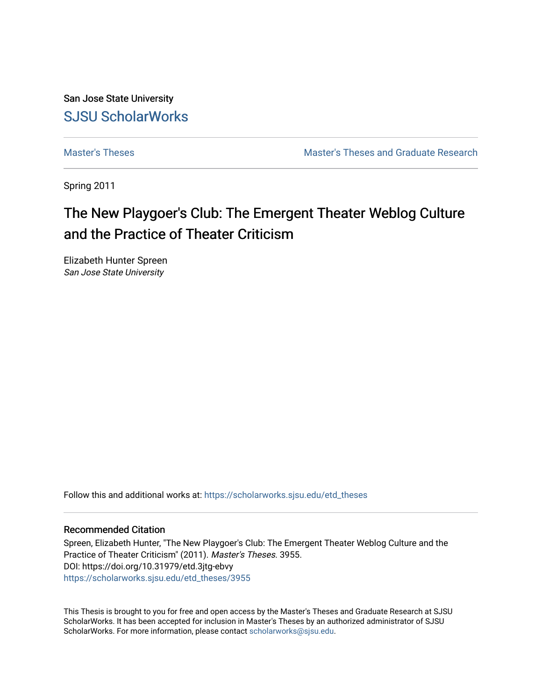San Jose State University [SJSU ScholarWorks](https://scholarworks.sjsu.edu/) 

[Master's Theses](https://scholarworks.sjsu.edu/etd_theses) [Master's Theses and Graduate Research](https://scholarworks.sjsu.edu/etd) 

Spring 2011

# The New Playgoer's Club: The Emergent Theater Weblog Culture and the Practice of Theater Criticism

Elizabeth Hunter Spreen San Jose State University

Follow this and additional works at: [https://scholarworks.sjsu.edu/etd\\_theses](https://scholarworks.sjsu.edu/etd_theses?utm_source=scholarworks.sjsu.edu%2Fetd_theses%2F3955&utm_medium=PDF&utm_campaign=PDFCoverPages)

#### Recommended Citation

Spreen, Elizabeth Hunter, "The New Playgoer's Club: The Emergent Theater Weblog Culture and the Practice of Theater Criticism" (2011). Master's Theses. 3955. DOI: https://doi.org/10.31979/etd.3jtg-ebvy [https://scholarworks.sjsu.edu/etd\\_theses/3955](https://scholarworks.sjsu.edu/etd_theses/3955?utm_source=scholarworks.sjsu.edu%2Fetd_theses%2F3955&utm_medium=PDF&utm_campaign=PDFCoverPages)

This Thesis is brought to you for free and open access by the Master's Theses and Graduate Research at SJSU ScholarWorks. It has been accepted for inclusion in Master's Theses by an authorized administrator of SJSU ScholarWorks. For more information, please contact [scholarworks@sjsu.edu](mailto:scholarworks@sjsu.edu).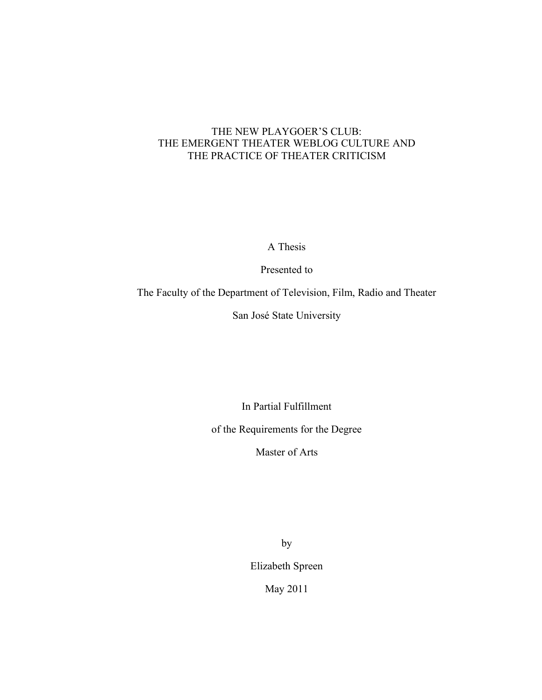## THE NEW PLAYGOER'S CLUB: THE EMERGENT THEATER WEBLOG CULTURE AND THE PRACTICE OF THEATER CRITICISM

A Thesis

Presented to

The Faculty of the Department of Television, Film, Radio and Theater

San José State University

In Partial Fulfillment

of the Requirements for the Degree

Master of Arts

by Elizabeth Spreen

May 2011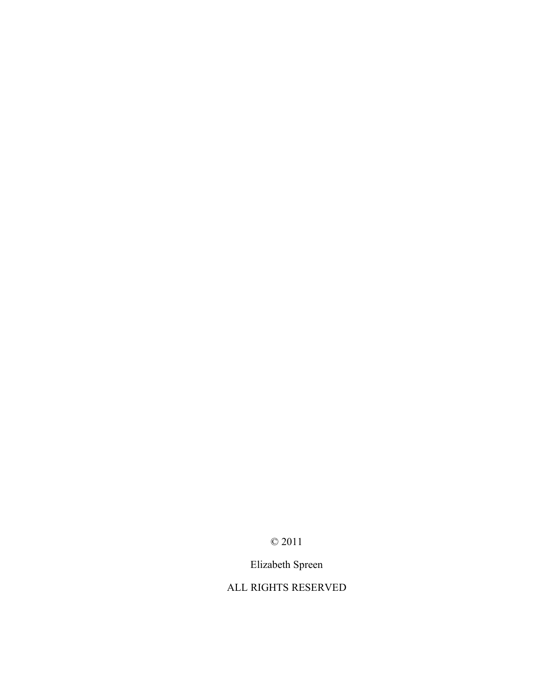© 2011

Elizabeth Spreen

# ALL RIGHTS RESERVED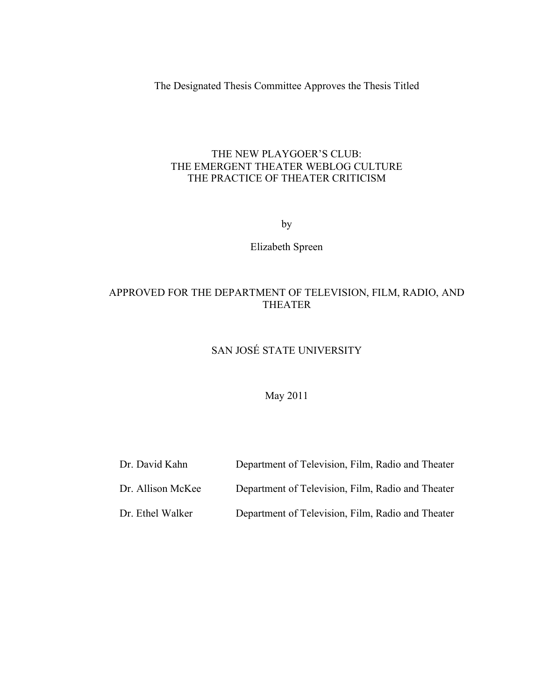The Designated Thesis Committee Approves the Thesis Titled

### THE NEW PLAYGOER'S CLUB: THE EMERGENT THEATER WEBLOG CULTURE THE PRACTICE OF THEATER CRITICISM

by

Elizabeth Spreen

## APPROVED FOR THE DEPARTMENT OF TELEVISION, FILM, RADIO, AND THEATER

# SAN JOSÉ STATE UNIVERSITY

## May 2011

- Dr. David Kahn Department of Television, Film, Radio and Theater
- Dr. Allison McKee Department of Television, Film, Radio and Theater
- Dr. Ethel Walker Department of Television, Film, Radio and Theater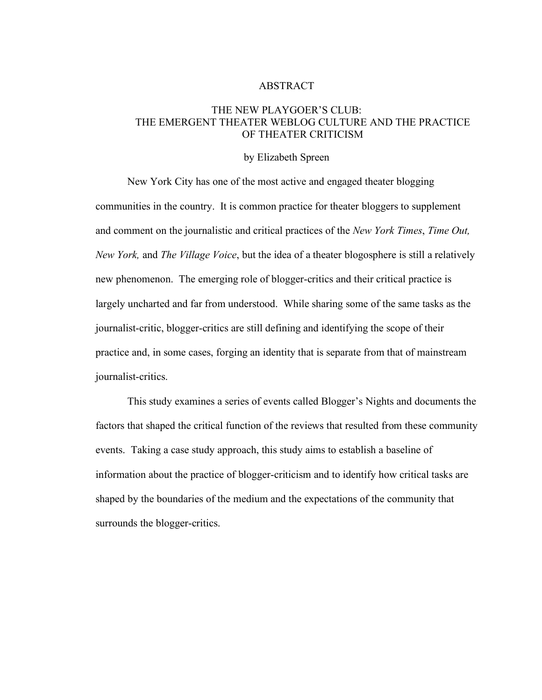#### ABSTRACT

#### THE NEW PLAYGOER'S CLUB: THE EMERGENT THEATER WEBLOG CULTURE AND THE PRACTICE OF THEATER CRITICISM

#### by Elizabeth Spreen

New York City has one of the most active and engaged theater blogging communities in the country. It is common practice for theater bloggers to supplement and comment on the journalistic and critical practices of the *New York Times*, *Time Out, New York,* and *The Village Voice*, but the idea of a theater blogosphere is still a relatively new phenomenon. The emerging role of blogger-critics and their critical practice is largely uncharted and far from understood. While sharing some of the same tasks as the journalist-critic, blogger-critics are still defining and identifying the scope of their practice and, in some cases, forging an identity that is separate from that of mainstream journalist-critics.

This study examines a series of events called Blogger's Nights and documents the factors that shaped the critical function of the reviews that resulted from these community events. Taking a case study approach, this study aims to establish a baseline of information about the practice of blogger-criticism and to identify how critical tasks are shaped by the boundaries of the medium and the expectations of the community that surrounds the blogger-critics.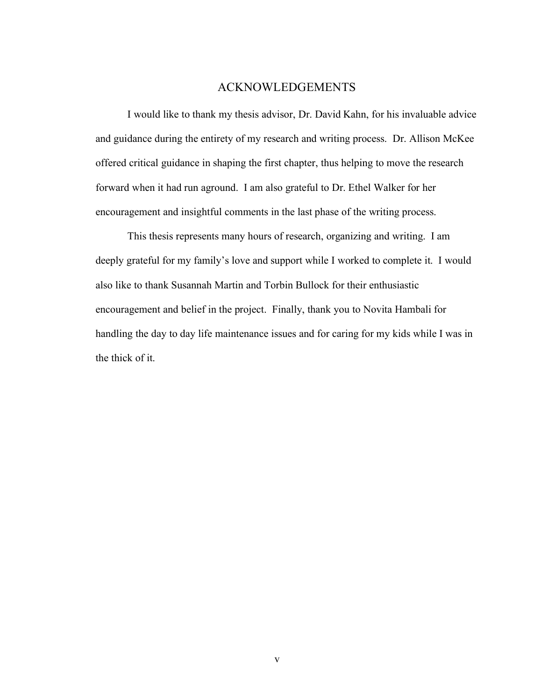#### ACKNOWLEDGEMENTS

I would like to thank my thesis advisor, Dr. David Kahn, for his invaluable advice and guidance during the entirety of my research and writing process. Dr. Allison McKee offered critical guidance in shaping the first chapter, thus helping to move the research forward when it had run aground. I am also grateful to Dr. Ethel Walker for her encouragement and insightful comments in the last phase of the writing process.

This thesis represents many hours of research, organizing and writing. I am deeply grateful for my family's love and support while I worked to complete it. I would also like to thank Susannah Martin and Torbin Bullock for their enthusiastic encouragement and belief in the project. Finally, thank you to Novita Hambali for handling the day to day life maintenance issues and for caring for my kids while I was in the thick of it.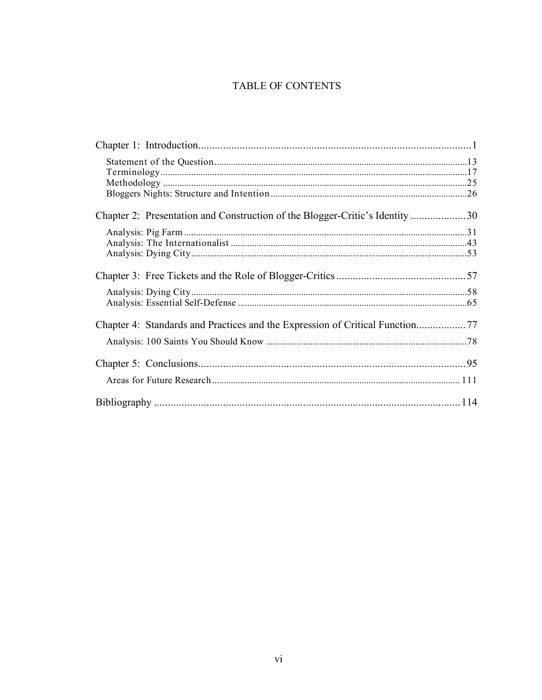## TABLE OF CONTENTS

| Chapter 2: Presentation and Construction of the Blogger-Critic's Identity 30 |  |
|------------------------------------------------------------------------------|--|
|                                                                              |  |
|                                                                              |  |
|                                                                              |  |
|                                                                              |  |
|                                                                              |  |
|                                                                              |  |
|                                                                              |  |
| Chapter 4: Standards and Practices and the Expression of Critical Function77 |  |
|                                                                              |  |
|                                                                              |  |
|                                                                              |  |
|                                                                              |  |
|                                                                              |  |
|                                                                              |  |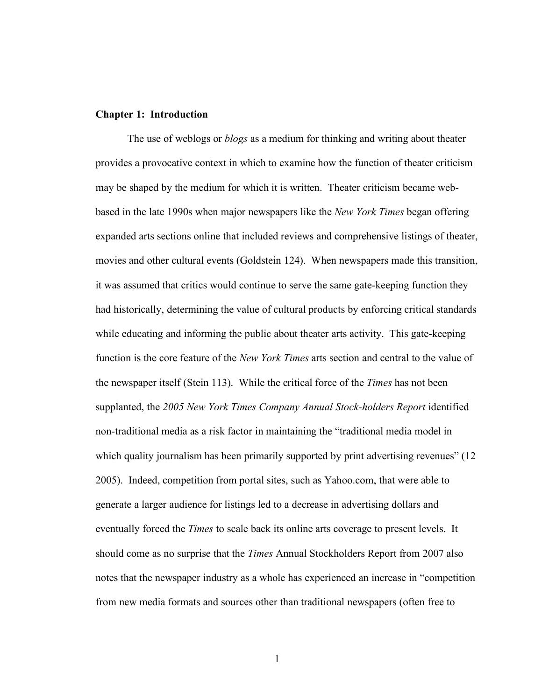#### **Chapter 1: Introduction**

The use of weblogs or *blogs* as a medium for thinking and writing about theater provides a provocative context in which to examine how the function of theater criticism may be shaped by the medium for which it is written. Theater criticism became webbased in the late 1990s when major newspapers like the *New York Times* began offering expanded arts sections online that included reviews and comprehensive listings of theater, movies and other cultural events (Goldstein 124). When newspapers made this transition, it was assumed that critics would continue to serve the same gate-keeping function they had historically, determining the value of cultural products by enforcing critical standards while educating and informing the public about theater arts activity. This gate-keeping function is the core feature of the *New York Times* arts section and central to the value of the newspaper itself (Stein 113). While the critical force of the *Times* has not been supplanted, the *2005 New York Times Company Annual Stock-holders Report* identified non-traditional media as a risk factor in maintaining the "traditional media model in which quality journalism has been primarily supported by print advertising revenues" (12) 2005). Indeed, competition from portal sites, such as Yahoo.com, that were able to generate a larger audience for listings led to a decrease in advertising dollars and eventually forced the *Times* to scale back its online arts coverage to present levels. It should come as no surprise that the *Times* Annual Stockholders Report from 2007 also notes that the newspaper industry as a whole has experienced an increase in "competition from new media formats and sources other than traditional newspapers (often free to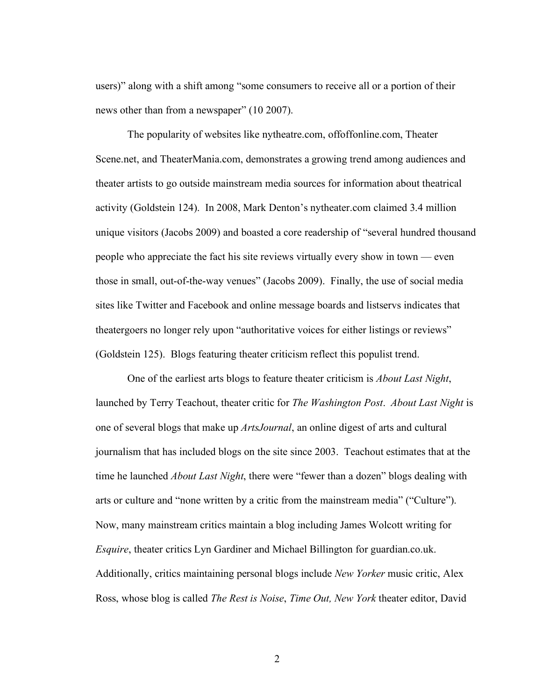users)" along with a shift among "some consumers to receive all or a portion of their news other than from a newspaper" (10 2007).

The popularity of websites like nytheatre.com, offoffonline.com, Theater Scene.net, and TheaterMania.com, demonstrates a growing trend among audiences and theater artists to go outside mainstream media sources for information about theatrical activity (Goldstein 124). In 2008, Mark Denton's nytheater.com claimed 3.4 million unique visitors (Jacobs 2009) and boasted a core readership of "several hundred thousand people who appreciate the fact his site reviews virtually every show in town — even those in small, out-of-the-way venues" (Jacobs 2009). Finally, the use of social media sites like Twitter and Facebook and online message boards and listservs indicates that theatergoers no longer rely upon "authoritative voices for either listings or reviews" (Goldstein 125). Blogs featuring theater criticism reflect this populist trend.

One of the earliest arts blogs to feature theater criticism is *About Last Night*, launched by Terry Teachout, theater critic for *The Washington Post*. *About Last Night* is one of several blogs that make up *ArtsJournal*, an online digest of arts and cultural journalism that has included blogs on the site since 2003. Teachout estimates that at the time he launched *About Last Night*, there were "fewer than a dozen" blogs dealing with arts or culture and "none written by a critic from the mainstream media" ("Culture"). Now, many mainstream critics maintain a blog including James Wolcott writing for *Esquire*, theater critics Lyn Gardiner and Michael Billington for guardian.co.uk. Additionally, critics maintaining personal blogs include *New Yorker* music critic, Alex Ross, whose blog is called *The Rest is Noise*, *Time Out, New York* theater editor, David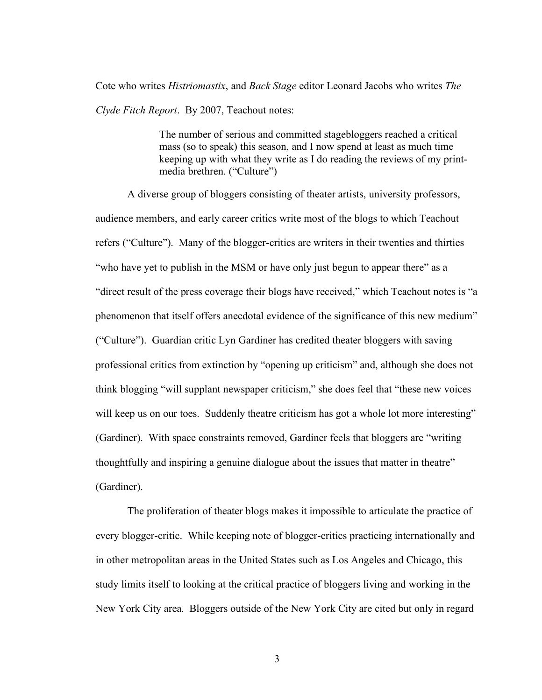Cote who writes *Histriomastix*, and *Back Stage* editor Leonard Jacobs who writes *The Clyde Fitch Report*. By 2007, Teachout notes:

> The number of serious and committed stagebloggers reached a critical mass (so to speak) this season, and I now spend at least as much time keeping up with what they write as I do reading the reviews of my printmedia brethren. ("Culture")

A diverse group of bloggers consisting of theater artists, university professors, audience members, and early career critics write most of the blogs to which Teachout refers ("Culture"). Many of the blogger-critics are writers in their twenties and thirties "who have yet to publish in the MSM or have only just begun to appear there" as a "direct result of the press coverage their blogs have received," which Teachout notes is "a phenomenon that itself offers anecdotal evidence of the significance of this new medium" ("Culture"). Guardian critic Lyn Gardiner has credited theater bloggers with saving professional critics from extinction by "opening up criticism" and, although she does not think blogging "will supplant newspaper criticism," she does feel that "these new voices will keep us on our toes. Suddenly theatre criticism has got a whole lot more interesting" (Gardiner). With space constraints removed, Gardiner feels that bloggers are "writing thoughtfully and inspiring a genuine dialogue about the issues that matter in theatre" (Gardiner).

The proliferation of theater blogs makes it impossible to articulate the practice of every blogger-critic. While keeping note of blogger-critics practicing internationally and in other metropolitan areas in the United States such as Los Angeles and Chicago, this study limits itself to looking at the critical practice of bloggers living and working in the New York City area. Bloggers outside of the New York City are cited but only in regard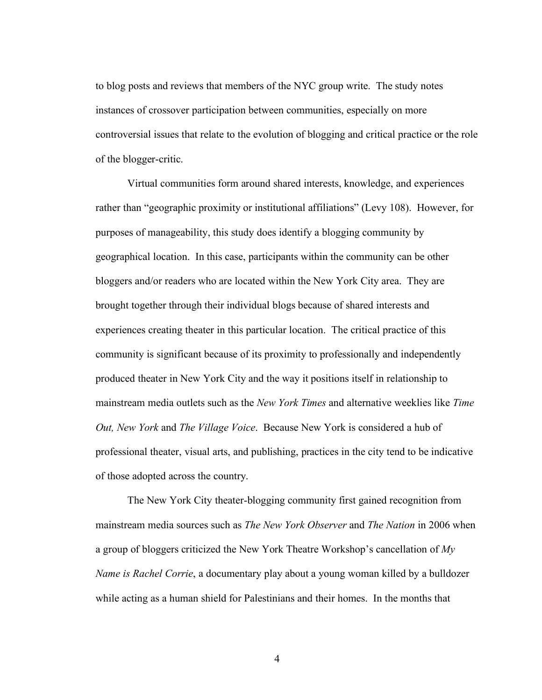to blog posts and reviews that members of the NYC group write. The study notes instances of crossover participation between communities, especially on more controversial issues that relate to the evolution of blogging and critical practice or the role of the blogger-critic.

Virtual communities form around shared interests, knowledge, and experiences rather than "geographic proximity or institutional affiliations" (Levy 108). However, for purposes of manageability, this study does identify a blogging community by geographical location. In this case, participants within the community can be other bloggers and/or readers who are located within the New York City area. They are brought together through their individual blogs because of shared interests and experiences creating theater in this particular location. The critical practice of this community is significant because of its proximity to professionally and independently produced theater in New York City and the way it positions itself in relationship to mainstream media outlets such as the *New York Times* and alternative weeklies like *Time Out, New York* and *The Village Voice*. Because New York is considered a hub of professional theater, visual arts, and publishing, practices in the city tend to be indicative of those adopted across the country.

The New York City theater-blogging community first gained recognition from mainstream media sources such as *The New York Observer* and *The Nation* in 2006 when a group of bloggers criticized the New York Theatre Workshop's cancellation of *My Name is Rachel Corrie*, a documentary play about a young woman killed by a bulldozer while acting as a human shield for Palestinians and their homes. In the months that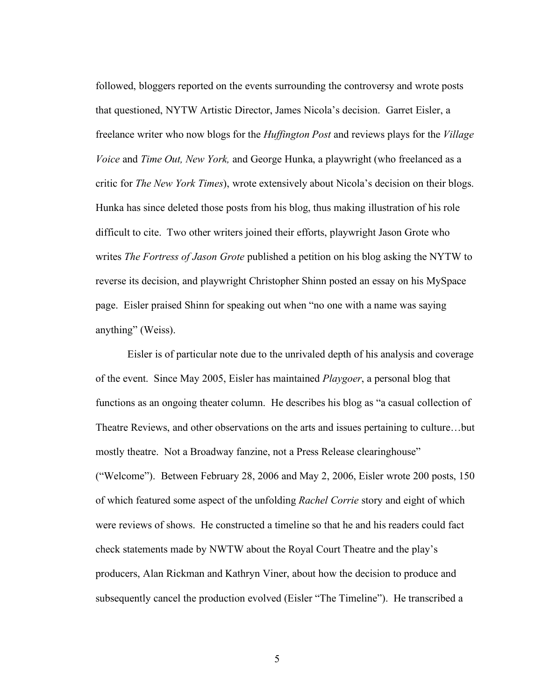followed, bloggers reported on the events surrounding the controversy and wrote posts that questioned, NYTW Artistic Director, James Nicola's decision. Garret Eisler, a freelance writer who now blogs for the *Huffington Post* and reviews plays for the *Village Voice* and *Time Out, New York,* and George Hunka, a playwright (who freelanced as a critic for *The New York Times*), wrote extensively about Nicola's decision on their blogs. Hunka has since deleted those posts from his blog, thus making illustration of his role difficult to cite. Two other writers joined their efforts, playwright Jason Grote who writes *The Fortress of Jason Grote* published a petition on his blog asking the NYTW to reverse its decision, and playwright Christopher Shinn posted an essay on his MySpace page. Eisler praised Shinn for speaking out when "no one with a name was saying anything" (Weiss).

Eisler is of particular note due to the unrivaled depth of his analysis and coverage of the event. Since May 2005, Eisler has maintained *Playgoer*, a personal blog that functions as an ongoing theater column. He describes his blog as "a casual collection of Theatre Reviews, and other observations on the arts and issues pertaining to culture…but mostly theatre. Not a Broadway fanzine, not a Press Release clearinghouse" ("Welcome"). Between February 28, 2006 and May 2, 2006, Eisler wrote 200 posts, 150 of which featured some aspect of the unfolding *Rachel Corrie* story and eight of which were reviews of shows. He constructed a timeline so that he and his readers could fact check statements made by NWTW about the Royal Court Theatre and the play's producers, Alan Rickman and Kathryn Viner, about how the decision to produce and subsequently cancel the production evolved (Eisler "The Timeline"). He transcribed a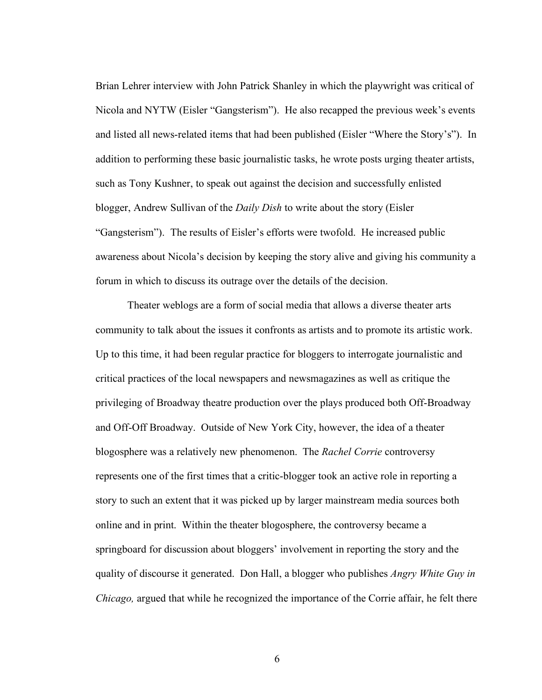Brian Lehrer interview with John Patrick Shanley in which the playwright was critical of Nicola and NYTW (Eisler "Gangsterism"). He also recapped the previous week's events and listed all news-related items that had been published (Eisler "Where the Story's"). In addition to performing these basic journalistic tasks, he wrote posts urging theater artists, such as Tony Kushner, to speak out against the decision and successfully enlisted blogger, Andrew Sullivan of the *Daily Dish* to write about the story (Eisler "Gangsterism"). The results of Eisler's efforts were twofold. He increased public awareness about Nicola's decision by keeping the story alive and giving his community a forum in which to discuss its outrage over the details of the decision.

Theater weblogs are a form of social media that allows a diverse theater arts community to talk about the issues it confronts as artists and to promote its artistic work. Up to this time, it had been regular practice for bloggers to interrogate journalistic and critical practices of the local newspapers and newsmagazines as well as critique the privileging of Broadway theatre production over the plays produced both Off-Broadway and Off-Off Broadway. Outside of New York City, however, the idea of a theater blogosphere was a relatively new phenomenon. The *Rachel Corrie* controversy represents one of the first times that a critic-blogger took an active role in reporting a story to such an extent that it was picked up by larger mainstream media sources both online and in print. Within the theater blogosphere, the controversy became a springboard for discussion about bloggers' involvement in reporting the story and the quality of discourse it generated. Don Hall, a blogger who publishes *Angry White Guy in Chicago,* argued that while he recognized the importance of the Corrie affair, he felt there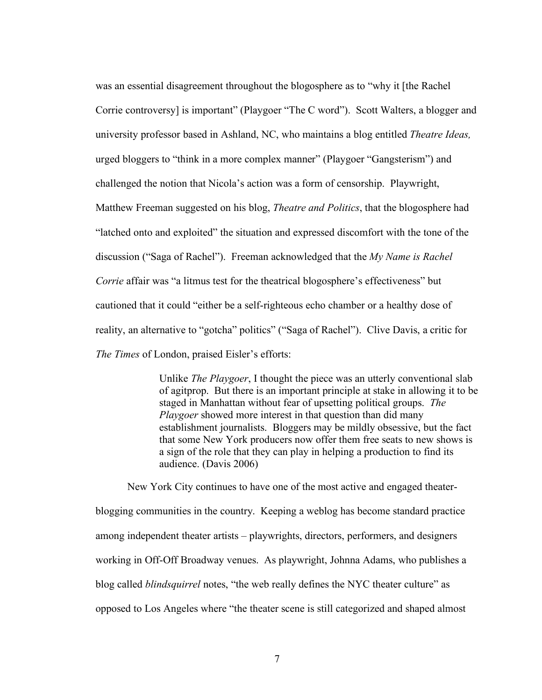was an essential disagreement throughout the blogosphere as to "why it [the Rachel Corrie controversy] is important" (Playgoer "The C word"). Scott Walters, a blogger and university professor based in Ashland, NC, who maintains a blog entitled *Theatre Ideas,* urged bloggers to "think in a more complex manner" (Playgoer "Gangsterism") and challenged the notion that Nicola's action was a form of censorship. Playwright, Matthew Freeman suggested on his blog, *Theatre and Politics*, that the blogosphere had "latched onto and exploited" the situation and expressed discomfort with the tone of the discussion ("Saga of Rachel"). Freeman acknowledged that the *My Name is Rachel Corrie* affair was "a litmus test for the theatrical blogosphere's effectiveness" but cautioned that it could "either be a self-righteous echo chamber or a healthy dose of reality, an alternative to "gotcha" politics" ("Saga of Rachel"). Clive Davis, a critic for *The Times* of London, praised Eisler's efforts:

> Unlike *The Playgoer*, I thought the piece was an utterly conventional slab of agitprop. But there is an important principle at stake in allowing it to be staged in Manhattan without fear of upsetting political groups. *The Playgoer* showed more interest in that question than did many establishment journalists. Bloggers may be mildly obsessive, but the fact that some New York producers now offer them free seats to new shows is a sign of the role that they can play in helping a production to find its audience. (Davis 2006)

New York City continues to have one of the most active and engaged theaterblogging communities in the country. Keeping a weblog has become standard practice among independent theater artists – playwrights, directors, performers, and designers working in Off-Off Broadway venues. As playwright, Johnna Adams, who publishes a blog called *blindsquirrel* notes, "the web really defines the NYC theater culture" as opposed to Los Angeles where "the theater scene is still categorized and shaped almost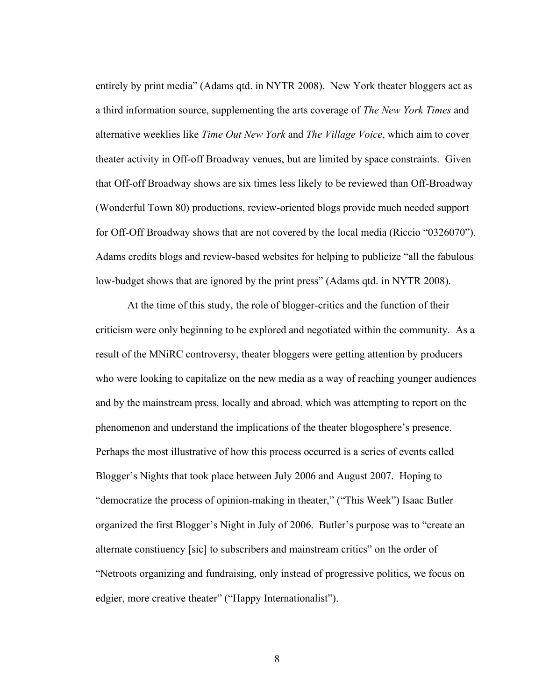entirely by print media" (Adams qtd. in NYTR 2008). New York theater bloggers act as a third information source, supplementing the arts coverage of *The New York Times* and alternative weeklies like *Time Out New York* and *The Village Voice*, which aim to cover theater activity in Off-off Broadway venues, but are limited by space constraints. Given that Off-off Broadway shows are six times less likely to be reviewed than Off-Broadway (Wonderful Town 80) productions, review-oriented blogs provide much needed support for Off-Off Broadway shows that are not covered by the local media (Riccio "0326070"). Adams credits blogs and review-based websites for helping to publicize "all the fabulous low-budget shows that are ignored by the print press" (Adams qtd. in NYTR 2008).

At the time of this study, the role of blogger-critics and the function of their criticism were only beginning to be explored and negotiated within the community. As a result of the MNiRC controversy, theater bloggers were getting attention by producers who were looking to capitalize on the new media as a way of reaching younger audiences and by the mainstream press, locally and abroad, which was attempting to report on the phenomenon and understand the implications of the theater blogosphere's presence. Perhaps the most illustrative of how this process occurred is a series of events called Blogger's Nights that took place between July 2006 and August 2007. Hoping to "democratize the process of opinion-making in theater," ("This Week") Isaac Butler organized the first Blogger's Night in July of 2006. Butler's purpose was to "create an alternate constiuency [sic] to subscribers and mainstream critics" on the order of "Netroots organizing and fundraising, only instead of progressive politics, we focus on edgier, more creative theater" ("Happy Internationalist").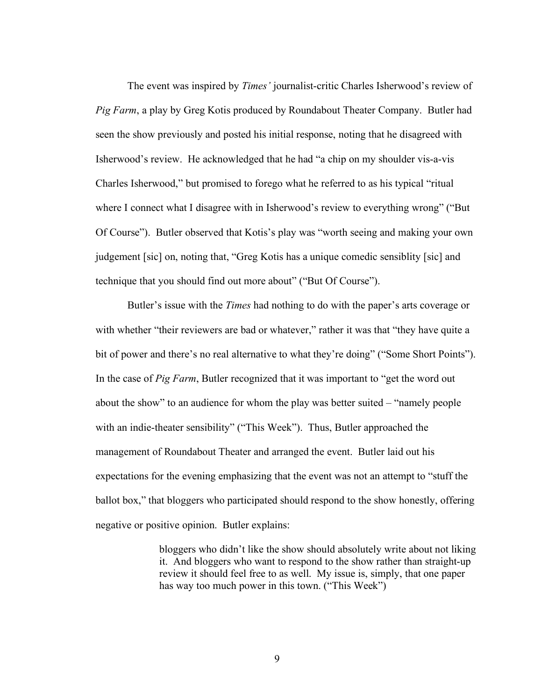The event was inspired by *Times'* journalist-critic Charles Isherwood's review of *Pig Farm*, a play by Greg Kotis produced by Roundabout Theater Company. Butler had seen the show previously and posted his initial response, noting that he disagreed with Isherwood's review. He acknowledged that he had "a chip on my shoulder vis-a-vis Charles Isherwood," but promised to forego what he referred to as his typical "ritual where I connect what I disagree with in Isherwood's review to everything wrong" ("But Of Course"). Butler observed that Kotis's play was "worth seeing and making your own judgement [sic] on, noting that, "Greg Kotis has a unique comedic sensiblity [sic] and technique that you should find out more about" ("But Of Course").

Butler's issue with the *Times* had nothing to do with the paper's arts coverage or with whether "their reviewers are bad or whatever," rather it was that "they have quite a bit of power and there's no real alternative to what they're doing" ("Some Short Points"). In the case of *Pig Farm*, Butler recognized that it was important to "get the word out about the show" to an audience for whom the play was better suited – "namely people with an indie-theater sensibility" ("This Week"). Thus, Butler approached the management of Roundabout Theater and arranged the event. Butler laid out his expectations for the evening emphasizing that the event was not an attempt to "stuff the ballot box," that bloggers who participated should respond to the show honestly, offering negative or positive opinion. Butler explains:

> bloggers who didn't like the show should absolutely write about not liking it. And bloggers who want to respond to the show rather than straight-up review it should feel free to as well. My issue is, simply, that one paper has way too much power in this town. ("This Week")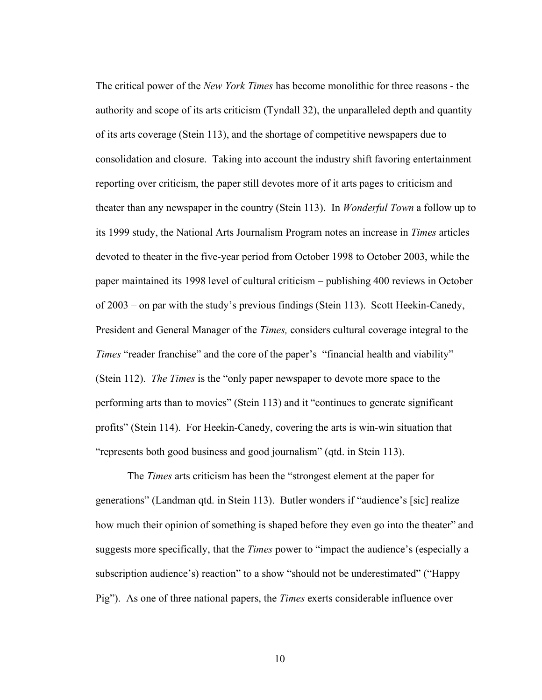The critical power of the *New York Times* has become monolithic for three reasons - the authority and scope of its arts criticism (Tyndall 32), the unparalleled depth and quantity of its arts coverage (Stein 113), and the shortage of competitive newspapers due to consolidation and closure. Taking into account the industry shift favoring entertainment reporting over criticism, the paper still devotes more of it arts pages to criticism and theater than any newspaper in the country (Stein 113). In *Wonderful Town* a follow up to its 1999 study, the National Arts Journalism Program notes an increase in *Times* articles devoted to theater in the five-year period from October 1998 to October 2003, while the paper maintained its 1998 level of cultural criticism – publishing 400 reviews in October of 2003 – on par with the study's previous findings (Stein 113). Scott Heekin-Canedy, President and General Manager of the *Times,* considers cultural coverage integral to the *Times* "reader franchise" and the core of the paper's "financial health and viability" (Stein 112). *The Times* is the "only paper newspaper to devote more space to the performing arts than to movies" (Stein 113) and it "continues to generate significant profits" (Stein 114). For Heekin-Canedy, covering the arts is win-win situation that "represents both good business and good journalism" (qtd. in Stein 113).

The *Times* arts criticism has been the "strongest element at the paper for generations" (Landman qtd. in Stein 113). Butler wonders if "audience's [sic] realize how much their opinion of something is shaped before they even go into the theater" and suggests more specifically, that the *Times* power to "impact the audience's (especially a subscription audience's) reaction" to a show "should not be underestimated" ("Happy Pig"). As one of three national papers, the *Times* exerts considerable influence over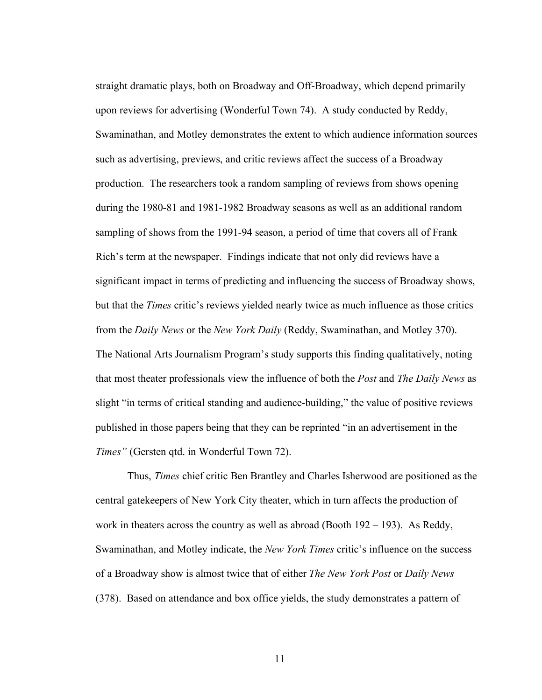straight dramatic plays, both on Broadway and Off-Broadway, which depend primarily upon reviews for advertising (Wonderful Town 74). A study conducted by Reddy, Swaminathan, and Motley demonstrates the extent to which audience information sources such as advertising, previews, and critic reviews affect the success of a Broadway production. The researchers took a random sampling of reviews from shows opening during the 1980-81 and 1981-1982 Broadway seasons as well as an additional random sampling of shows from the 1991-94 season, a period of time that covers all of Frank Rich's term at the newspaper. Findings indicate that not only did reviews have a significant impact in terms of predicting and influencing the success of Broadway shows, but that the *Times* critic's reviews yielded nearly twice as much influence as those critics from the *Daily News* or the *New York Daily* (Reddy, Swaminathan, and Motley 370). The National Arts Journalism Program's study supports this finding qualitatively, noting that most theater professionals view the influence of both the *Post* and *The Daily News* as slight "in terms of critical standing and audience-building," the value of positive reviews published in those papers being that they can be reprinted "in an advertisement in the *Times"* (Gersten qtd. in Wonderful Town 72).

Thus, *Times* chief critic Ben Brantley and Charles Isherwood are positioned as the central gatekeepers of New York City theater, which in turn affects the production of work in theaters across the country as well as abroad (Booth 192 – 193). As Reddy, Swaminathan, and Motley indicate, the *New York Times* critic's influence on the success of a Broadway show is almost twice that of either *The New York Post* or *Daily News* (378). Based on attendance and box office yields, the study demonstrates a pattern of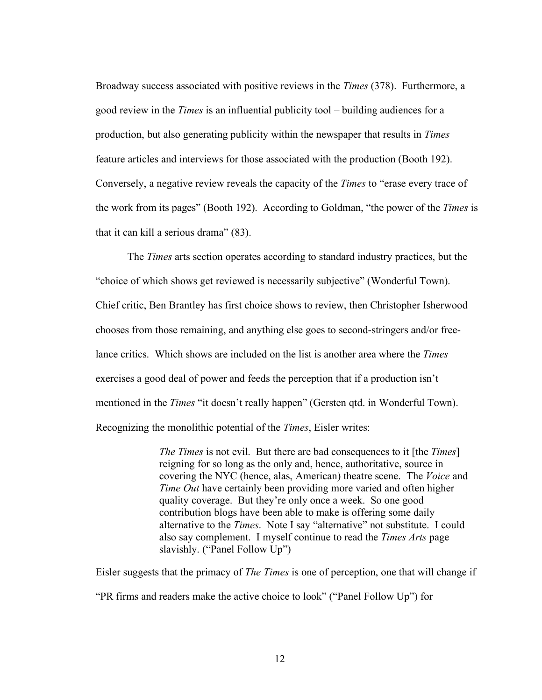Broadway success associated with positive reviews in the *Times* (378). Furthermore, a good review in the *Times* is an influential publicity tool – building audiences for a production, but also generating publicity within the newspaper that results in *Times* feature articles and interviews for those associated with the production (Booth 192). Conversely, a negative review reveals the capacity of the *Times* to "erase every trace of the work from its pages" (Booth 192). According to Goldman, "the power of the *Times* is that it can kill a serious drama" (83).

The *Times* arts section operates according to standard industry practices, but the "choice of which shows get reviewed is necessarily subjective" (Wonderful Town). Chief critic, Ben Brantley has first choice shows to review, then Christopher Isherwood chooses from those remaining, and anything else goes to second-stringers and/or freelance critics. Which shows are included on the list is another area where the *Times* exercises a good deal of power and feeds the perception that if a production isn't mentioned in the *Times* "it doesn't really happen" (Gersten qtd. in Wonderful Town). Recognizing the monolithic potential of the *Times*, Eisler writes:

> *The Times* is not evil. But there are bad consequences to it [the *Times*] reigning for so long as the only and, hence, authoritative, source in covering the NYC (hence, alas, American) theatre scene. The *Voice* and *Time Out* have certainly been providing more varied and often higher quality coverage. But they're only once a week. So one good contribution blogs have been able to make is offering some daily alternative to the *Times*. Note I say "alternative" not substitute. I could also say complement. I myself continue to read the *Times Arts* page slavishly. ("Panel Follow Up")

Eisler suggests that the primacy of *The Times* is one of perception, one that will change if "PR firms and readers make the active choice to look" ("Panel Follow Up") for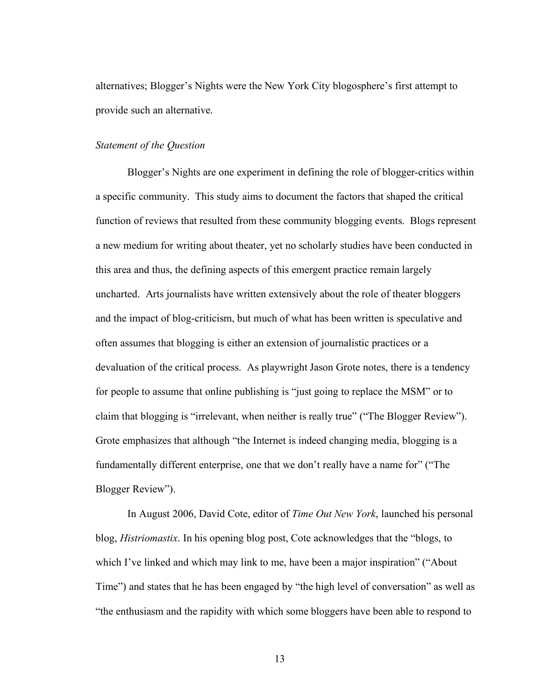alternatives; Blogger's Nights were the New York City blogosphere's first attempt to provide such an alternative.

#### *Statement of the Question*

Blogger's Nights are one experiment in defining the role of blogger-critics within a specific community. This study aims to document the factors that shaped the critical function of reviews that resulted from these community blogging events. Blogs represent a new medium for writing about theater, yet no scholarly studies have been conducted in this area and thus, the defining aspects of this emergent practice remain largely uncharted. Arts journalists have written extensively about the role of theater bloggers and the impact of blog-criticism, but much of what has been written is speculative and often assumes that blogging is either an extension of journalistic practices or a devaluation of the critical process. As playwright Jason Grote notes, there is a tendency for people to assume that online publishing is "just going to replace the MSM" or to claim that blogging is "irrelevant, when neither is really true" ("The Blogger Review"). Grote emphasizes that although "the Internet is indeed changing media, blogging is a fundamentally different enterprise, one that we don't really have a name for" ("The Blogger Review").

In August 2006, David Cote, editor of *Time Out New York*, launched his personal blog, *Histriomastix*. In his opening blog post, Cote acknowledges that the "blogs, to which I've linked and which may link to me, have been a major inspiration" ("About Time") and states that he has been engaged by "the high level of conversation" as well as "the enthusiasm and the rapidity with which some bloggers have been able to respond to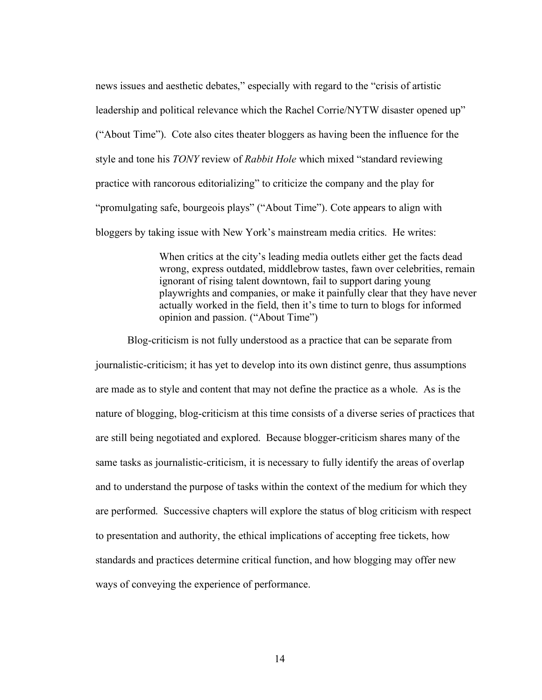news issues and aesthetic debates," especially with regard to the "crisis of artistic leadership and political relevance which the Rachel Corrie/NYTW disaster opened up" ("About Time"). Cote also cites theater bloggers as having been the influence for the style and tone his *TONY* review of *Rabbit Hole* which mixed "standard reviewing practice with rancorous editorializing" to criticize the company and the play for "promulgating safe, bourgeois plays" ("About Time"). Cote appears to align with bloggers by taking issue with New York's mainstream media critics. He writes:

> When critics at the city's leading media outlets either get the facts dead wrong, express outdated, middlebrow tastes, fawn over celebrities, remain ignorant of rising talent downtown, fail to support daring young playwrights and companies, or make it painfully clear that they have never actually worked in the field, then it's time to turn to blogs for informed opinion and passion. ("About Time")

Blog-criticism is not fully understood as a practice that can be separate from journalistic-criticism; it has yet to develop into its own distinct genre, thus assumptions are made as to style and content that may not define the practice as a whole. As is the nature of blogging, blog-criticism at this time consists of a diverse series of practices that are still being negotiated and explored. Because blogger-criticism shares many of the same tasks as journalistic-criticism, it is necessary to fully identify the areas of overlap and to understand the purpose of tasks within the context of the medium for which they are performed. Successive chapters will explore the status of blog criticism with respect to presentation and authority, the ethical implications of accepting free tickets, how standards and practices determine critical function, and how blogging may offer new ways of conveying the experience of performance.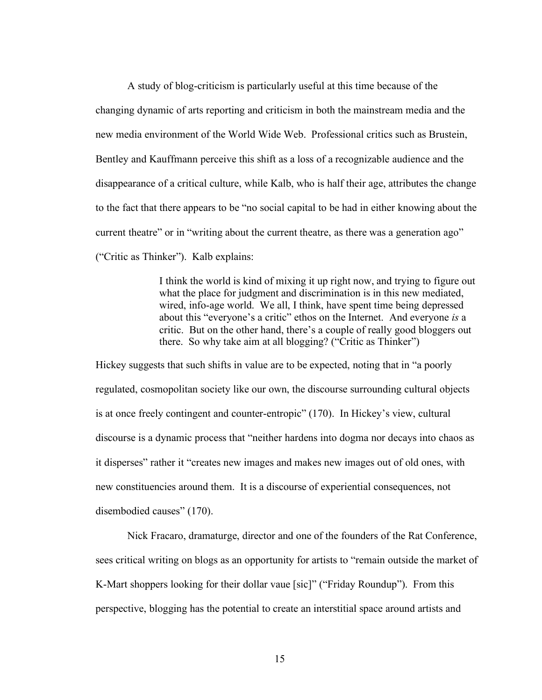A study of blog-criticism is particularly useful at this time because of the changing dynamic of arts reporting and criticism in both the mainstream media and the new media environment of the World Wide Web. Professional critics such as Brustein, Bentley and Kauffmann perceive this shift as a loss of a recognizable audience and the disappearance of a critical culture, while Kalb, who is half their age, attributes the change to the fact that there appears to be "no social capital to be had in either knowing about the current theatre" or in "writing about the current theatre, as there was a generation ago" ("Critic as Thinker"). Kalb explains:

> I think the world is kind of mixing it up right now, and trying to figure out what the place for judgment and discrimination is in this new mediated, wired, info-age world. We all, I think, have spent time being depressed about this "everyone's a critic" ethos on the Internet. And everyone *is* a critic. But on the other hand, there's a couple of really good bloggers out there. So why take aim at all blogging? ("Critic as Thinker")

Hickey suggests that such shifts in value are to be expected, noting that in "a poorly regulated, cosmopolitan society like our own, the discourse surrounding cultural objects is at once freely contingent and counter-entropic" (170). In Hickey's view, cultural discourse is a dynamic process that "neither hardens into dogma nor decays into chaos as it disperses" rather it "creates new images and makes new images out of old ones, with new constituencies around them. It is a discourse of experiential consequences, not disembodied causes" (170).

Nick Fracaro, dramaturge, director and one of the founders of the Rat Conference, sees critical writing on blogs as an opportunity for artists to "remain outside the market of K-Mart shoppers looking for their dollar vaue [sic]" ("Friday Roundup"). From this perspective, blogging has the potential to create an interstitial space around artists and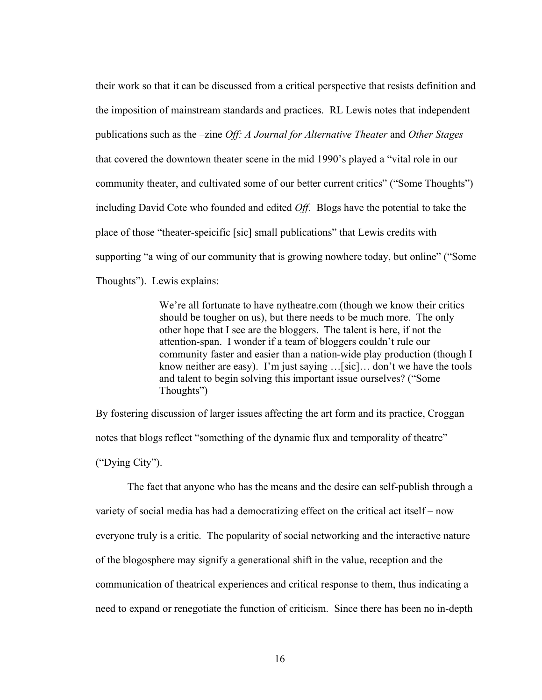their work so that it can be discussed from a critical perspective that resists definition and the imposition of mainstream standards and practices. RL Lewis notes that independent publications such as the –zine *Off: A Journal for Alternative Theater* and *Other Stages* that covered the downtown theater scene in the mid 1990's played a "vital role in our community theater, and cultivated some of our better current critics" ("Some Thoughts") including David Cote who founded and edited *Off*. Blogs have the potential to take the place of those "theater-speicific [sic] small publications" that Lewis credits with supporting "a wing of our community that is growing nowhere today, but online" ("Some Thoughts"). Lewis explains:

> We're all fortunate to have nytheatre.com (though we know their critics should be tougher on us), but there needs to be much more. The only other hope that I see are the bloggers. The talent is here, if not the attention-span. I wonder if a team of bloggers couldn't rule our community faster and easier than a nation-wide play production (though I know neither are easy). I'm just saying …[sic]… don't we have the tools and talent to begin solving this important issue ourselves? ("Some Thoughts")

By fostering discussion of larger issues affecting the art form and its practice, Croggan notes that blogs reflect "something of the dynamic flux and temporality of theatre" ("Dying City").

The fact that anyone who has the means and the desire can self-publish through a variety of social media has had a democratizing effect on the critical act itself – now everyone truly is a critic. The popularity of social networking and the interactive nature of the blogosphere may signify a generational shift in the value, reception and the communication of theatrical experiences and critical response to them, thus indicating a need to expand or renegotiate the function of criticism. Since there has been no in-depth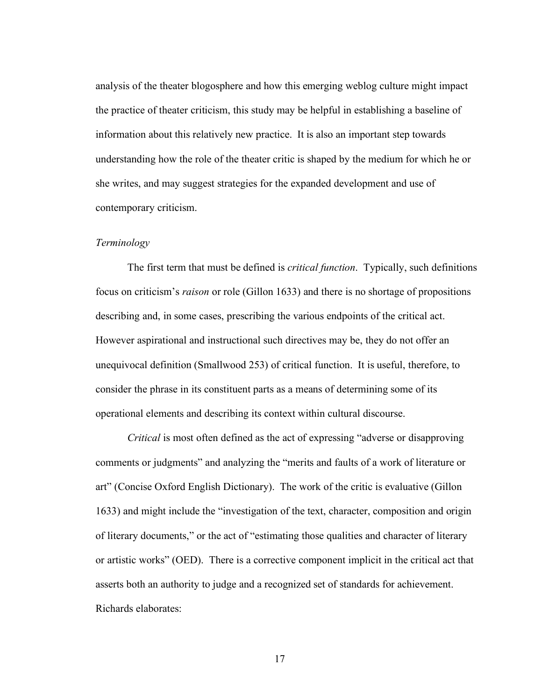analysis of the theater blogosphere and how this emerging weblog culture might impact the practice of theater criticism, this study may be helpful in establishing a baseline of information about this relatively new practice. It is also an important step towards understanding how the role of the theater critic is shaped by the medium for which he or she writes, and may suggest strategies for the expanded development and use of contemporary criticism.

#### *Terminology*

The first term that must be defined is *critical function*. Typically, such definitions focus on criticism's *raison* or role (Gillon 1633) and there is no shortage of propositions describing and, in some cases, prescribing the various endpoints of the critical act. However aspirational and instructional such directives may be, they do not offer an unequivocal definition (Smallwood 253) of critical function. It is useful, therefore, to consider the phrase in its constituent parts as a means of determining some of its operational elements and describing its context within cultural discourse.

*Critical* is most often defined as the act of expressing "adverse or disapproving comments or judgments" and analyzing the "merits and faults of a work of literature or art" (Concise Oxford English Dictionary). The work of the critic is evaluative (Gillon 1633) and might include the "investigation of the text, character, composition and origin of literary documents," or the act of "estimating those qualities and character of literary or artistic works" (OED). There is a corrective component implicit in the critical act that asserts both an authority to judge and a recognized set of standards for achievement. Richards elaborates: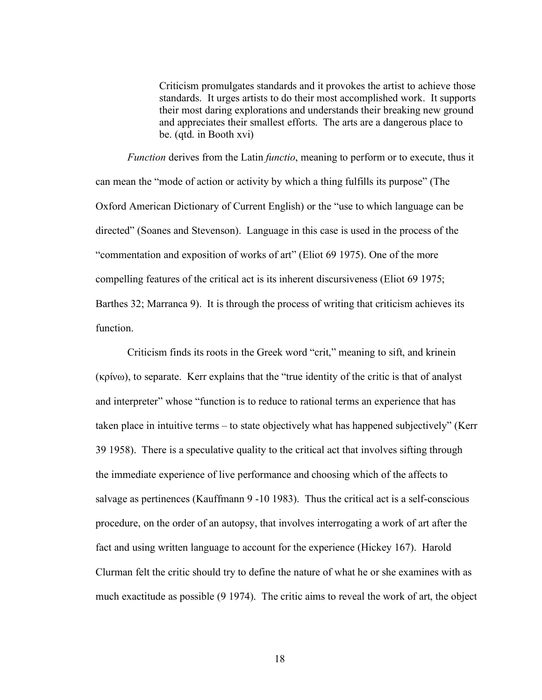Criticism promulgates standards and it provokes the artist to achieve those standards. It urges artists to do their most accomplished work. It supports their most daring explorations and understands their breaking new ground and appreciates their smallest efforts. The arts are a dangerous place to be. (qtd. in Booth xvi)

*Function* derives from the Latin *functio*, meaning to perform or to execute, thus it can mean the "mode of action or activity by which a thing fulfills its purpose" (The Oxford American Dictionary of Current English) or the "use to which language can be directed" (Soanes and Stevenson). Language in this case is used in the process of the "commentation and exposition of works of art" (Eliot 69 1975). One of the more compelling features of the critical act is its inherent discursiveness (Eliot 69 1975; Barthes 32; Marranca 9). It is through the process of writing that criticism achieves its function.

Criticism finds its roots in the Greek word "crit," meaning to sift, and krinein (κρίνω), to separate. Kerr explains that the "true identity of the critic is that of analyst and interpreter" whose "function is to reduce to rational terms an experience that has taken place in intuitive terms – to state objectively what has happened subjectively" (Kerr 39 1958). There is a speculative quality to the critical act that involves sifting through the immediate experience of live performance and choosing which of the affects to salvage as pertinences (Kauffmann 9 -10 1983). Thus the critical act is a self-conscious procedure, on the order of an autopsy, that involves interrogating a work of art after the fact and using written language to account for the experience (Hickey 167). Harold Clurman felt the critic should try to define the nature of what he or she examines with as much exactitude as possible (9 1974). The critic aims to reveal the work of art, the object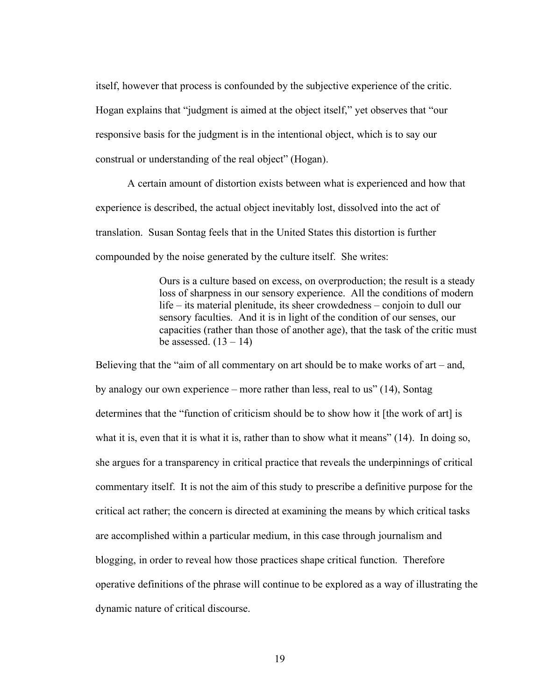itself, however that process is confounded by the subjective experience of the critic. Hogan explains that "judgment is aimed at the object itself," yet observes that "our responsive basis for the judgment is in the intentional object, which is to say our construal or understanding of the real object" (Hogan).

A certain amount of distortion exists between what is experienced and how that experience is described, the actual object inevitably lost, dissolved into the act of translation. Susan Sontag feels that in the United States this distortion is further compounded by the noise generated by the culture itself. She writes:

> Ours is a culture based on excess, on overproduction; the result is a steady loss of sharpness in our sensory experience. All the conditions of modern life – its material plenitude, its sheer crowdedness – conjoin to dull our sensory faculties. And it is in light of the condition of our senses, our capacities (rather than those of another age), that the task of the critic must be assessed.  $(13 – 14)$

Believing that the "aim of all commentary on art should be to make works of art – and, by analogy our own experience – more rather than less, real to us" (14), Sontag determines that the "function of criticism should be to show how it [the work of art] is what it is, even that it is what it is, rather than to show what it means" (14). In doing so, she argues for a transparency in critical practice that reveals the underpinnings of critical commentary itself. It is not the aim of this study to prescribe a definitive purpose for the critical act rather; the concern is directed at examining the means by which critical tasks are accomplished within a particular medium, in this case through journalism and blogging, in order to reveal how those practices shape critical function. Therefore operative definitions of the phrase will continue to be explored as a way of illustrating the dynamic nature of critical discourse.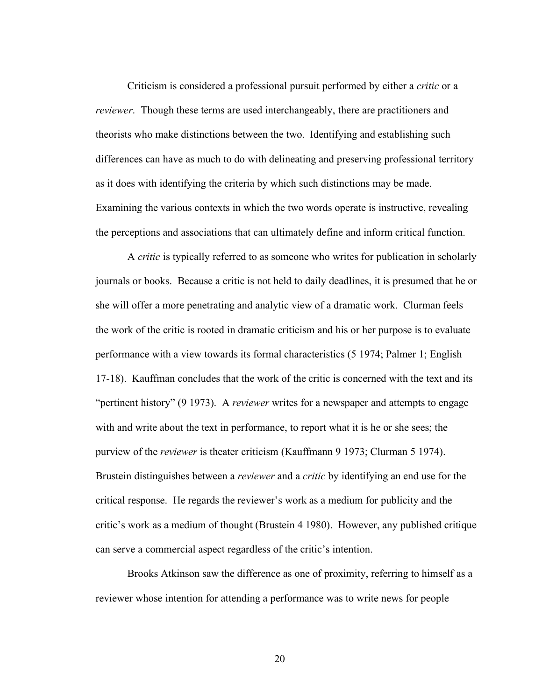Criticism is considered a professional pursuit performed by either a *critic* or a *reviewer*. Though these terms are used interchangeably, there are practitioners and theorists who make distinctions between the two. Identifying and establishing such differences can have as much to do with delineating and preserving professional territory as it does with identifying the criteria by which such distinctions may be made. Examining the various contexts in which the two words operate is instructive, revealing the perceptions and associations that can ultimately define and inform critical function.

A *critic* is typically referred to as someone who writes for publication in scholarly journals or books. Because a critic is not held to daily deadlines, it is presumed that he or she will offer a more penetrating and analytic view of a dramatic work. Clurman feels the work of the critic is rooted in dramatic criticism and his or her purpose is to evaluate performance with a view towards its formal characteristics (5 1974; Palmer 1; English 17-18). Kauffman concludes that the work of the critic is concerned with the text and its "pertinent history" (9 1973). A *reviewer* writes for a newspaper and attempts to engage with and write about the text in performance, to report what it is he or she sees; the purview of the *reviewer* is theater criticism (Kauffmann 9 1973; Clurman 5 1974). Brustein distinguishes between a *reviewer* and a *critic* by identifying an end use for the critical response. He regards the reviewer's work as a medium for publicity and the critic's work as a medium of thought (Brustein 4 1980). However, any published critique can serve a commercial aspect regardless of the critic's intention.

Brooks Atkinson saw the difference as one of proximity, referring to himself as a reviewer whose intention for attending a performance was to write news for people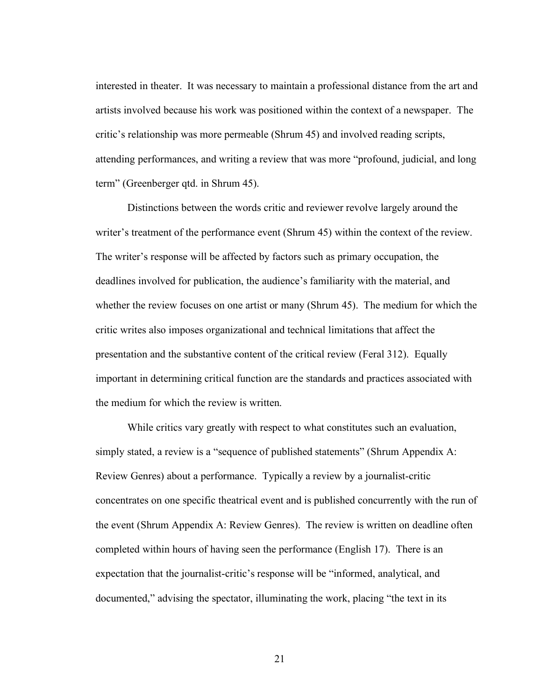interested in theater. It was necessary to maintain a professional distance from the art and artists involved because his work was positioned within the context of a newspaper. The critic's relationship was more permeable (Shrum 45) and involved reading scripts, attending performances, and writing a review that was more "profound, judicial, and long term" (Greenberger qtd. in Shrum 45).

Distinctions between the words critic and reviewer revolve largely around the writer's treatment of the performance event (Shrum 45) within the context of the review. The writer's response will be affected by factors such as primary occupation, the deadlines involved for publication, the audience's familiarity with the material, and whether the review focuses on one artist or many (Shrum 45). The medium for which the critic writes also imposes organizational and technical limitations that affect the presentation and the substantive content of the critical review (Feral 312). Equally important in determining critical function are the standards and practices associated with the medium for which the review is written.

While critics vary greatly with respect to what constitutes such an evaluation, simply stated, a review is a "sequence of published statements" (Shrum Appendix A: Review Genres) about a performance. Typically a review by a journalist-critic concentrates on one specific theatrical event and is published concurrently with the run of the event (Shrum Appendix A: Review Genres). The review is written on deadline often completed within hours of having seen the performance (English 17). There is an expectation that the journalist-critic's response will be "informed, analytical, and documented," advising the spectator, illuminating the work, placing "the text in its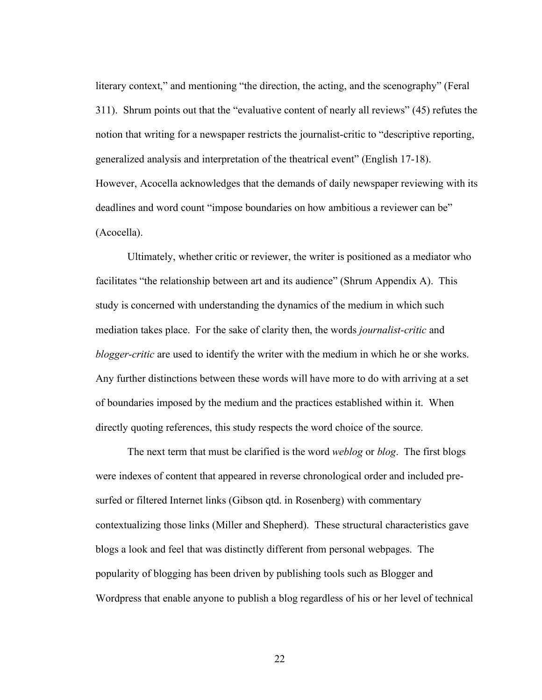literary context," and mentioning "the direction, the acting, and the scenography" (Feral 311). Shrum points out that the "evaluative content of nearly all reviews" (45) refutes the notion that writing for a newspaper restricts the journalist-critic to "descriptive reporting, generalized analysis and interpretation of the theatrical event" (English 17-18). However, Acocella acknowledges that the demands of daily newspaper reviewing with its deadlines and word count "impose boundaries on how ambitious a reviewer can be" (Acocella).

Ultimately, whether critic or reviewer, the writer is positioned as a mediator who facilitates "the relationship between art and its audience" (Shrum Appendix A). This study is concerned with understanding the dynamics of the medium in which such mediation takes place. For the sake of clarity then, the words *journalist-critic* and *blogger-critic* are used to identify the writer with the medium in which he or she works. Any further distinctions between these words will have more to do with arriving at a set of boundaries imposed by the medium and the practices established within it. When directly quoting references, this study respects the word choice of the source.

The next term that must be clarified is the word *weblog* or *blog*. The first blogs were indexes of content that appeared in reverse chronological order and included presurfed or filtered Internet links (Gibson qtd. in Rosenberg) with commentary contextualizing those links (Miller and Shepherd). These structural characteristics gave blogs a look and feel that was distinctly different from personal webpages. The popularity of blogging has been driven by publishing tools such as Blogger and Wordpress that enable anyone to publish a blog regardless of his or her level of technical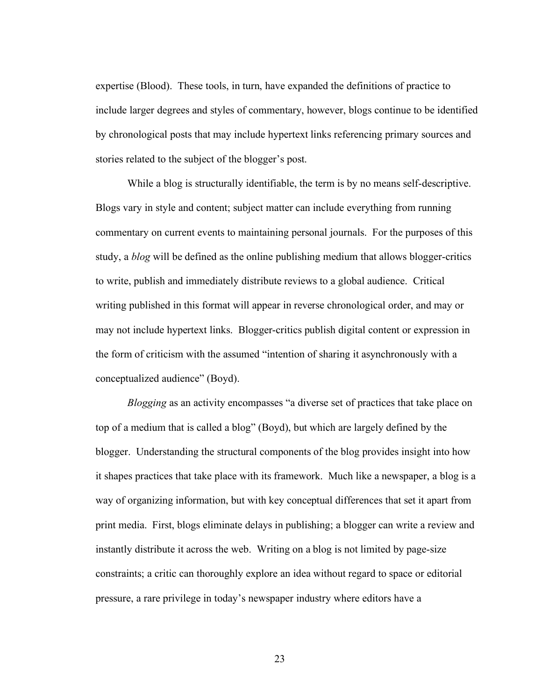expertise (Blood). These tools, in turn, have expanded the definitions of practice to include larger degrees and styles of commentary, however, blogs continue to be identified by chronological posts that may include hypertext links referencing primary sources and stories related to the subject of the blogger's post.

While a blog is structurally identifiable, the term is by no means self-descriptive. Blogs vary in style and content; subject matter can include everything from running commentary on current events to maintaining personal journals. For the purposes of this study, a *blog* will be defined as the online publishing medium that allows blogger-critics to write, publish and immediately distribute reviews to a global audience. Critical writing published in this format will appear in reverse chronological order, and may or may not include hypertext links. Blogger-critics publish digital content or expression in the form of criticism with the assumed "intention of sharing it asynchronously with a conceptualized audience" (Boyd).

*Blogging* as an activity encompasses "a diverse set of practices that take place on top of a medium that is called a blog" (Boyd), but which are largely defined by the blogger. Understanding the structural components of the blog provides insight into how it shapes practices that take place with its framework. Much like a newspaper, a blog is a way of organizing information, but with key conceptual differences that set it apart from print media. First, blogs eliminate delays in publishing; a blogger can write a review and instantly distribute it across the web. Writing on a blog is not limited by page-size constraints; a critic can thoroughly explore an idea without regard to space or editorial pressure, a rare privilege in today's newspaper industry where editors have a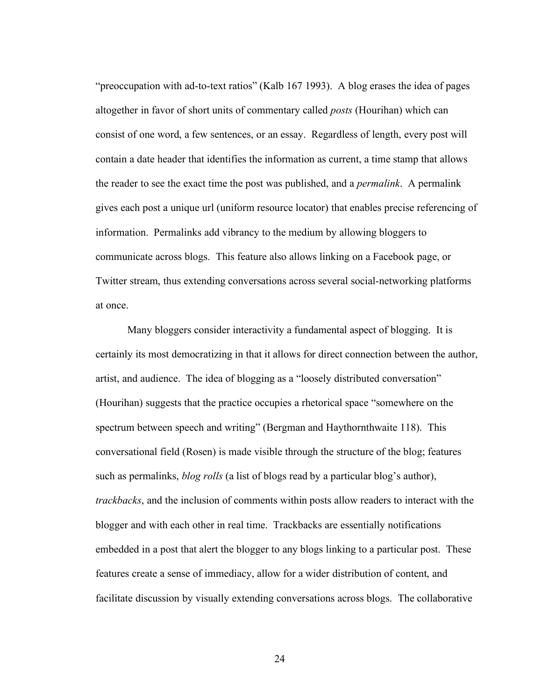"preoccupation with ad-to-text ratios" (Kalb 167 1993). A blog erases the idea of pages altogether in favor of short units of commentary called *posts* (Hourihan) which can consist of one word, a few sentences, or an essay. Regardless of length, every post will contain a date header that identifies the information as current, a time stamp that allows the reader to see the exact time the post was published, and a *permalink*. A permalink gives each post a unique url (uniform resource locator) that enables precise referencing of information. Permalinks add vibrancy to the medium by allowing bloggers to communicate across blogs. This feature also allows linking on a Facebook page, or Twitter stream, thus extending conversations across several social-networking platforms at once.

Many bloggers consider interactivity a fundamental aspect of blogging. It is certainly its most democratizing in that it allows for direct connection between the author, artist, and audience. The idea of blogging as a "loosely distributed conversation" (Hourihan) suggests that the practice occupies a rhetorical space "somewhere on the spectrum between speech and writing" (Bergman and Haythornthwaite 118). This conversational field (Rosen) is made visible through the structure of the blog; features such as permalinks, *blog rolls* (a list of blogs read by a particular blog's author), *trackbacks*, and the inclusion of comments within posts allow readers to interact with the blogger and with each other in real time. Trackbacks are essentially notifications embedded in a post that alert the blogger to any blogs linking to a particular post. These features create a sense of immediacy, allow for a wider distribution of content, and facilitate discussion by visually extending conversations across blogs. The collaborative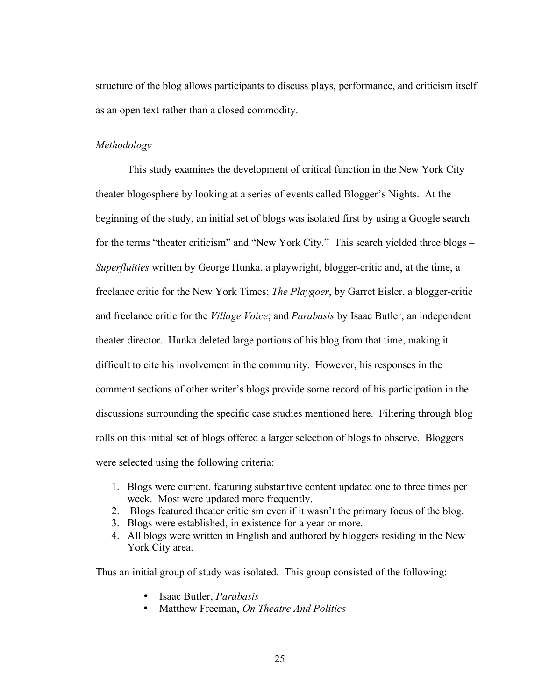structure of the blog allows participants to discuss plays, performance, and criticism itself as an open text rather than a closed commodity.

#### *Methodology*

This study examines the development of critical function in the New York City theater blogosphere by looking at a series of events called Blogger's Nights. At the beginning of the study, an initial set of blogs was isolated first by using a Google search for the terms "theater criticism" and "New York City." This search yielded three blogs – *Superfluities* written by George Hunka, a playwright, blogger-critic and, at the time, a freelance critic for the New York Times; *The Playgoer*, by Garret Eisler, a blogger-critic and freelance critic for the *Village Voice*; and *Parabasis* by Isaac Butler, an independent theater director. Hunka deleted large portions of his blog from that time, making it difficult to cite his involvement in the community. However, his responses in the comment sections of other writer's blogs provide some record of his participation in the discussions surrounding the specific case studies mentioned here. Filtering through blog rolls on this initial set of blogs offered a larger selection of blogs to observe. Bloggers were selected using the following criteria:

- 1. Blogs were current, featuring substantive content updated one to three times per week. Most were updated more frequently.
- 2. Blogs featured theater criticism even if it wasn't the primary focus of the blog.
- 3. Blogs were established, in existence for a year or more.
- 4. All blogs were written in English and authored by bloggers residing in the New York City area.

Thus an initial group of study was isolated. This group consisted of the following:

- Isaac Butler, *Parabasis*
- Matthew Freeman, *On Theatre And Politics*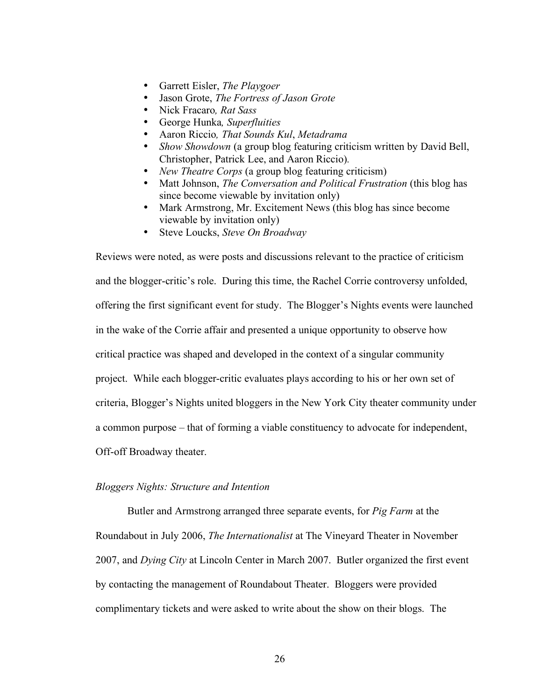- Garrett Eisler, *The Playgoer*
- Jason Grote, *The Fortress of Jason Grote*
- Nick Fracaro*, Rat Sass*
- George Hunka*, Superfluities*
- Aaron Riccio*, That Sounds Kul*, *Metadrama*
- *Show Showdown* (a group blog featuring criticism written by David Bell, Christopher, Patrick Lee, and Aaron Riccio)*.*
- *New Theatre Corps* (a group blog featuring criticism)
- Matt Johnson, *The Conversation and Political Frustration* (this blog has since become viewable by invitation only)
- Mark Armstrong, Mr. Excitement News (this blog has since become viewable by invitation only)
- Steve Loucks, *Steve On Broadway*

Reviews were noted, as were posts and discussions relevant to the practice of criticism and the blogger-critic's role. During this time, the Rachel Corrie controversy unfolded, offering the first significant event for study. The Blogger's Nights events were launched in the wake of the Corrie affair and presented a unique opportunity to observe how critical practice was shaped and developed in the context of a singular community project. While each blogger-critic evaluates plays according to his or her own set of criteria, Blogger's Nights united bloggers in the New York City theater community under a common purpose – that of forming a viable constituency to advocate for independent, Off-off Broadway theater.

#### *Bloggers Nights: Structure and Intention*

Butler and Armstrong arranged three separate events, for *Pig Farm* at the Roundabout in July 2006, *The Internationalist* at The Vineyard Theater in November 2007, and *Dying City* at Lincoln Center in March 2007. Butler organized the first event by contacting the management of Roundabout Theater. Bloggers were provided complimentary tickets and were asked to write about the show on their blogs. The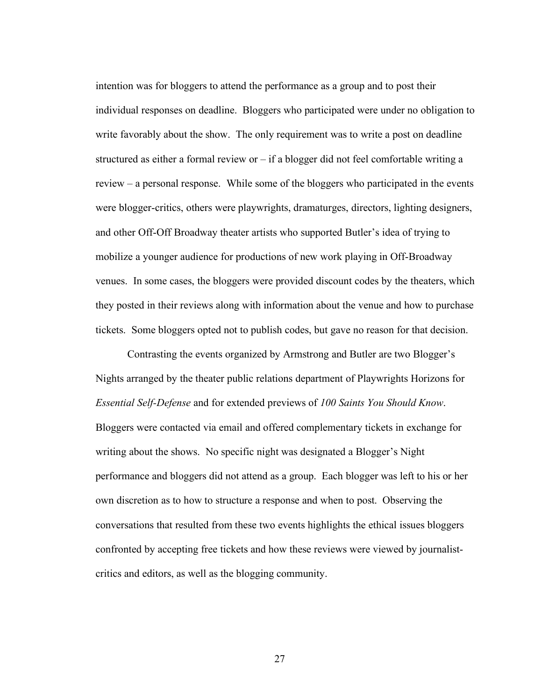intention was for bloggers to attend the performance as a group and to post their individual responses on deadline. Bloggers who participated were under no obligation to write favorably about the show. The only requirement was to write a post on deadline structured as either a formal review or  $-i$  f a blogger did not feel comfortable writing a review – a personal response. While some of the bloggers who participated in the events were blogger-critics, others were playwrights, dramaturges, directors, lighting designers, and other Off-Off Broadway theater artists who supported Butler's idea of trying to mobilize a younger audience for productions of new work playing in Off-Broadway venues. In some cases, the bloggers were provided discount codes by the theaters, which they posted in their reviews along with information about the venue and how to purchase tickets. Some bloggers opted not to publish codes, but gave no reason for that decision.

Contrasting the events organized by Armstrong and Butler are two Blogger's Nights arranged by the theater public relations department of Playwrights Horizons for *Essential Self-Defense* and for extended previews of *100 Saints You Should Know*. Bloggers were contacted via email and offered complementary tickets in exchange for writing about the shows. No specific night was designated a Blogger's Night performance and bloggers did not attend as a group. Each blogger was left to his or her own discretion as to how to structure a response and when to post. Observing the conversations that resulted from these two events highlights the ethical issues bloggers confronted by accepting free tickets and how these reviews were viewed by journalistcritics and editors, as well as the blogging community.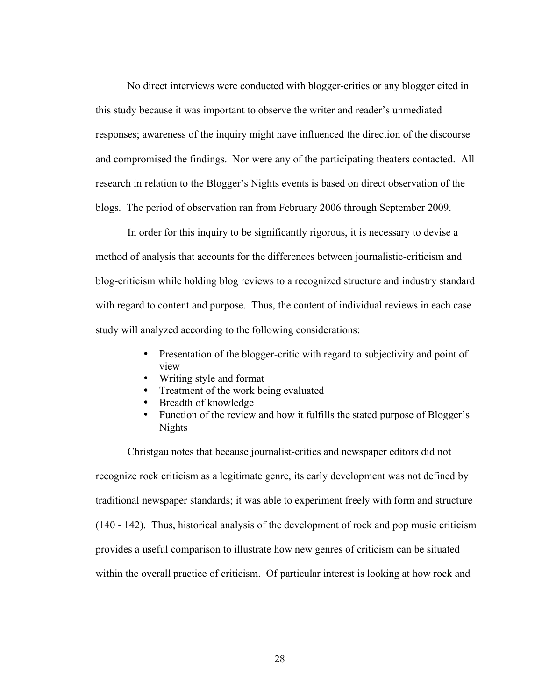No direct interviews were conducted with blogger-critics or any blogger cited in this study because it was important to observe the writer and reader's unmediated responses; awareness of the inquiry might have influenced the direction of the discourse and compromised the findings. Nor were any of the participating theaters contacted. All research in relation to the Blogger's Nights events is based on direct observation of the blogs. The period of observation ran from February 2006 through September 2009.

In order for this inquiry to be significantly rigorous, it is necessary to devise a method of analysis that accounts for the differences between journalistic-criticism and blog-criticism while holding blog reviews to a recognized structure and industry standard with regard to content and purpose. Thus, the content of individual reviews in each case study will analyzed according to the following considerations:

- Presentation of the blogger-critic with regard to subjectivity and point of view
- Writing style and format
- Treatment of the work being evaluated
- Breadth of knowledge
- Function of the review and how it fulfills the stated purpose of Blogger's Nights

Christgau notes that because journalist-critics and newspaper editors did not recognize rock criticism as a legitimate genre, its early development was not defined by traditional newspaper standards; it was able to experiment freely with form and structure (140 - 142). Thus, historical analysis of the development of rock and pop music criticism provides a useful comparison to illustrate how new genres of criticism can be situated within the overall practice of criticism. Of particular interest is looking at how rock and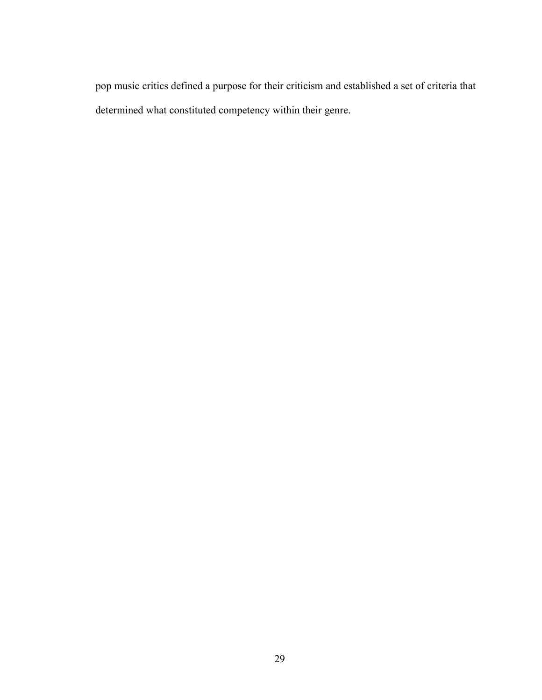pop music critics defined a purpose for their criticism and established a set of criteria that determined what constituted competency within their genre.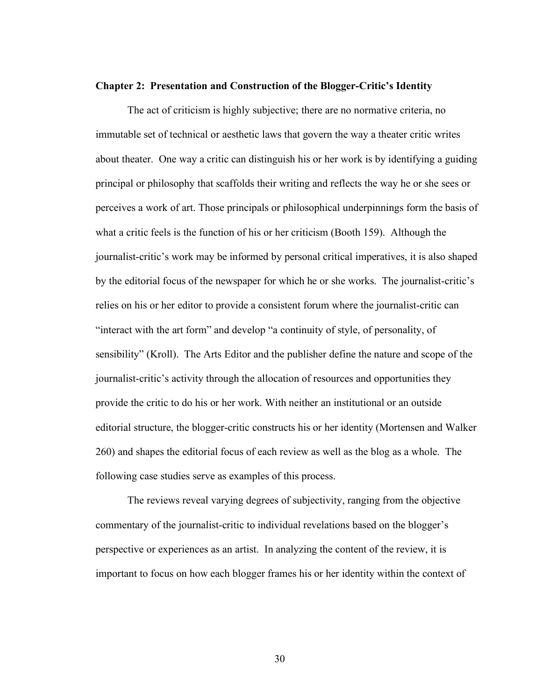#### **Chapter 2: Presentation and Construction of the Blogger-Critic's Identity**

The act of criticism is highly subjective; there are no normative criteria, no immutable set of technical or aesthetic laws that govern the way a theater critic writes about theater. One way a critic can distinguish his or her work is by identifying a guiding principal or philosophy that scaffolds their writing and reflects the way he or she sees or perceives a work of art. Those principals or philosophical underpinnings form the basis of what a critic feels is the function of his or her criticism (Booth 159). Although the journalist-critic's work may be informed by personal critical imperatives, it is also shaped by the editorial focus of the newspaper for which he or she works. The journalist-critic's relies on his or her editor to provide a consistent forum where the journalist-critic can "interact with the art form" and develop "a continuity of style, of personality, of sensibility" (Kroll). The Arts Editor and the publisher define the nature and scope of the journalist-critic's activity through the allocation of resources and opportunities they provide the critic to do his or her work. With neither an institutional or an outside editorial structure, the blogger-critic constructs his or her identity (Mortensen and Walker 260) and shapes the editorial focus of each review as well as the blog as a whole. The following case studies serve as examples of this process.

The reviews reveal varying degrees of subjectivity, ranging from the objective commentary of the journalist-critic to individual revelations based on the blogger's perspective or experiences as an artist. In analyzing the content of the review, it is important to focus on how each blogger frames his or her identity within the context of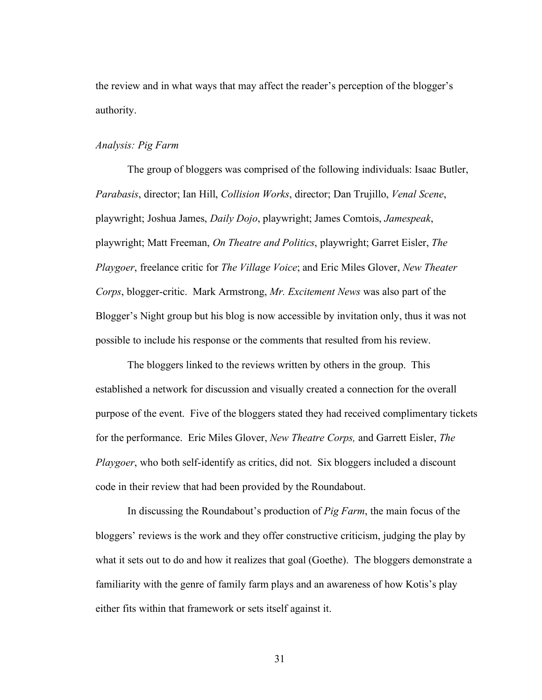the review and in what ways that may affect the reader's perception of the blogger's authority.

# *Analysis: Pig Farm*

The group of bloggers was comprised of the following individuals: Isaac Butler, *Parabasis*, director; Ian Hill, *Collision Works*, director; Dan Trujillo, *Venal Scene*, playwright; Joshua James, *Daily Dojo*, playwright; James Comtois, *Jamespeak*, playwright; Matt Freeman, *On Theatre and Politics*, playwright; Garret Eisler, *The Playgoer*, freelance critic for *The Village Voice*; and Eric Miles Glover, *New Theater Corps*, blogger-critic. Mark Armstrong, *Mr. Excitement News* was also part of the Blogger's Night group but his blog is now accessible by invitation only, thus it was not possible to include his response or the comments that resulted from his review.

The bloggers linked to the reviews written by others in the group. This established a network for discussion and visually created a connection for the overall purpose of the event. Five of the bloggers stated they had received complimentary tickets for the performance. Eric Miles Glover, *New Theatre Corps,* and Garrett Eisler, *The Playgoer*, who both self-identify as critics, did not. Six bloggers included a discount code in their review that had been provided by the Roundabout.

In discussing the Roundabout's production of *Pig Farm*, the main focus of the bloggers' reviews is the work and they offer constructive criticism, judging the play by what it sets out to do and how it realizes that goal (Goethe). The bloggers demonstrate a familiarity with the genre of family farm plays and an awareness of how Kotis's play either fits within that framework or sets itself against it.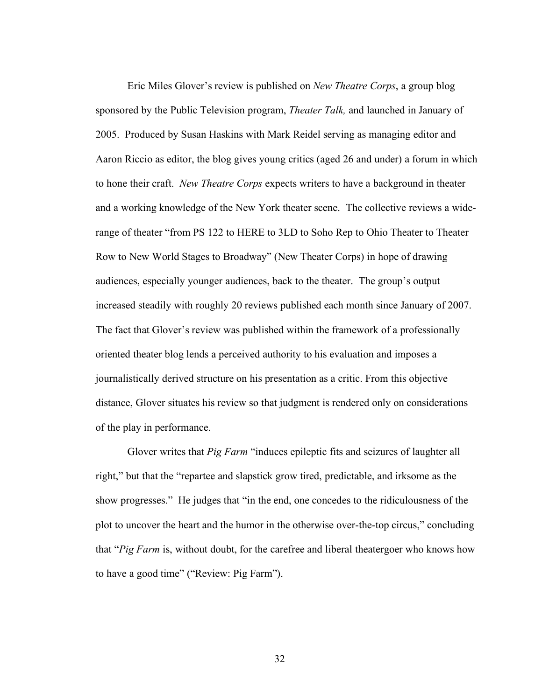Eric Miles Glover's review is published on *New Theatre Corps*, a group blog sponsored by the Public Television program, *Theater Talk,* and launched in January of 2005. Produced by Susan Haskins with Mark Reidel serving as managing editor and Aaron Riccio as editor, the blog gives young critics (aged 26 and under) a forum in which to hone their craft. *New Theatre Corps* expects writers to have a background in theater and a working knowledge of the New York theater scene. The collective reviews a widerange of theater "from PS 122 to HERE to 3LD to Soho Rep to Ohio Theater to Theater Row to New World Stages to Broadway" (New Theater Corps) in hope of drawing audiences, especially younger audiences, back to the theater. The group's output increased steadily with roughly 20 reviews published each month since January of 2007. The fact that Glover's review was published within the framework of a professionally oriented theater blog lends a perceived authority to his evaluation and imposes a journalistically derived structure on his presentation as a critic. From this objective distance, Glover situates his review so that judgment is rendered only on considerations of the play in performance.

Glover writes that *Pig Farm* "induces epileptic fits and seizures of laughter all right," but that the "repartee and slapstick grow tired, predictable, and irksome as the show progresses." He judges that "in the end, one concedes to the ridiculousness of the plot to uncover the heart and the humor in the otherwise over-the-top circus," concluding that "*Pig Farm* is, without doubt, for the carefree and liberal theatergoer who knows how to have a good time" ("Review: Pig Farm").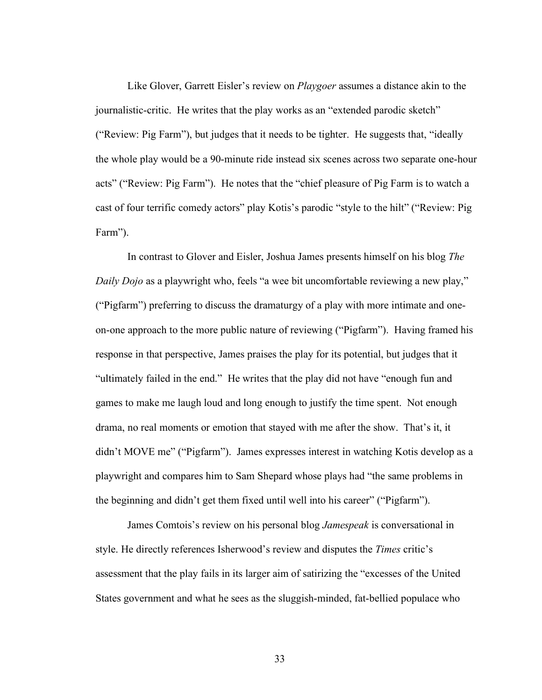Like Glover, Garrett Eisler's review on *Playgoer* assumes a distance akin to the journalistic-critic. He writes that the play works as an "extended parodic sketch" ("Review: Pig Farm"), but judges that it needs to be tighter. He suggests that, "ideally the whole play would be a 90-minute ride instead six scenes across two separate one-hour acts" ("Review: Pig Farm"). He notes that the "chief pleasure of Pig Farm is to watch a cast of four terrific comedy actors" play Kotis's parodic "style to the hilt" ("Review: Pig Farm").

In contrast to Glover and Eisler, Joshua James presents himself on his blog *The Daily Dojo* as a playwright who, feels "a wee bit uncomfortable reviewing a new play," ("Pigfarm") preferring to discuss the dramaturgy of a play with more intimate and oneon-one approach to the more public nature of reviewing ("Pigfarm"). Having framed his response in that perspective, James praises the play for its potential, but judges that it "ultimately failed in the end." He writes that the play did not have "enough fun and games to make me laugh loud and long enough to justify the time spent. Not enough drama, no real moments or emotion that stayed with me after the show. That's it, it didn't MOVE me" ("Pigfarm"). James expresses interest in watching Kotis develop as a playwright and compares him to Sam Shepard whose plays had "the same problems in the beginning and didn't get them fixed until well into his career" ("Pigfarm").

James Comtois's review on his personal blog *Jamespeak* is conversational in style. He directly references Isherwood's review and disputes the *Times* critic's assessment that the play fails in its larger aim of satirizing the "excesses of the United States government and what he sees as the sluggish-minded, fat-bellied populace who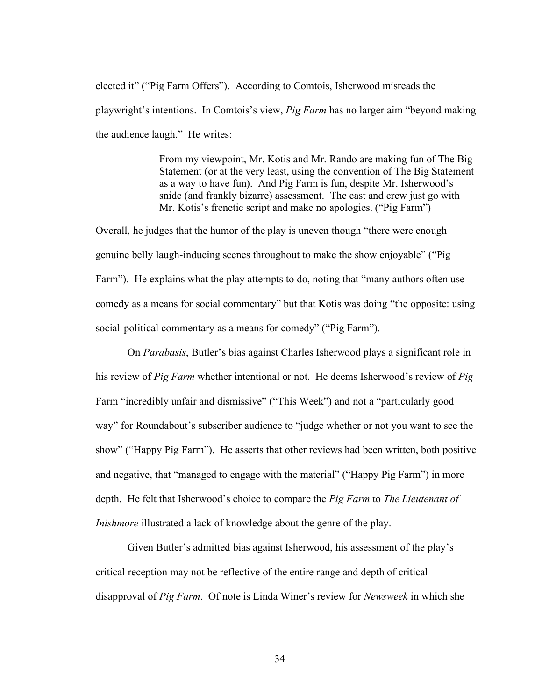elected it" ("Pig Farm Offers"). According to Comtois, Isherwood misreads the playwright's intentions. In Comtois's view, *Pig Farm* has no larger aim "beyond making the audience laugh." He writes:

> From my viewpoint, Mr. Kotis and Mr. Rando are making fun of The Big Statement (or at the very least, using the convention of The Big Statement as a way to have fun). And Pig Farm is fun, despite Mr. Isherwood's snide (and frankly bizarre) assessment. The cast and crew just go with Mr. Kotis's frenetic script and make no apologies. ("Pig Farm")

Overall, he judges that the humor of the play is uneven though "there were enough genuine belly laugh-inducing scenes throughout to make the show enjoyable" ("Pig Farm"). He explains what the play attempts to do, noting that "many authors often use comedy as a means for social commentary" but that Kotis was doing "the opposite: using social-political commentary as a means for comedy" ("Pig Farm").

On *Parabasis*, Butler's bias against Charles Isherwood plays a significant role in his review of *Pig Farm* whether intentional or not. He deems Isherwood's review of *Pig* Farm "incredibly unfair and dismissive" ("This Week") and not a "particularly good way" for Roundabout's subscriber audience to "judge whether or not you want to see the show" ("Happy Pig Farm"). He asserts that other reviews had been written, both positive and negative, that "managed to engage with the material" ("Happy Pig Farm") in more depth. He felt that Isherwood's choice to compare the *Pig Farm* to *The Lieutenant of Inishmore* illustrated a lack of knowledge about the genre of the play.

Given Butler's admitted bias against Isherwood, his assessment of the play's critical reception may not be reflective of the entire range and depth of critical disapproval of *Pig Farm*. Of note is Linda Winer's review for *Newsweek* in which she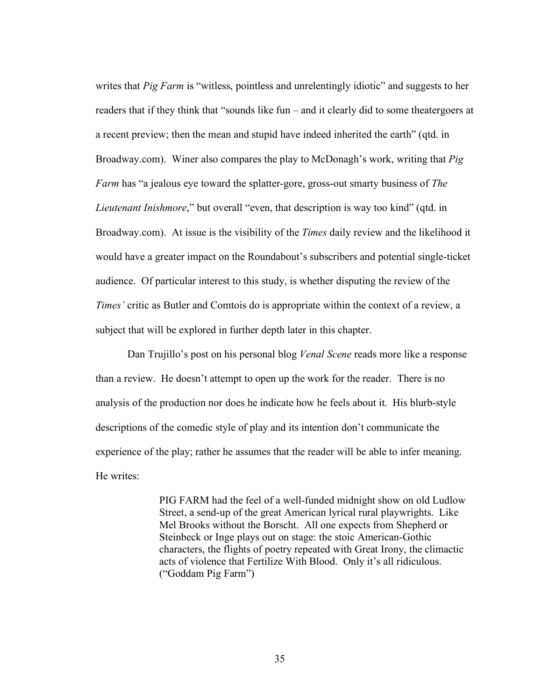writes that *Pig Farm* is "witless, pointless and unrelentingly idiotic" and suggests to her readers that if they think that "sounds like fun – and it clearly did to some theatergoers at a recent preview; then the mean and stupid have indeed inherited the earth" (qtd. in Broadway.com). Winer also compares the play to McDonagh's work, writing that *Pig Farm* has "a jealous eye toward the splatter-gore, gross-out smarty business of *The Lieutenant Inishmore*," but overall "even, that description is way too kind" (qtd. in Broadway.com). At issue is the visibility of the *Times* daily review and the likelihood it would have a greater impact on the Roundabout's subscribers and potential single-ticket audience. Of particular interest to this study, is whether disputing the review of the *Times'* critic as Butler and Comtois do is appropriate within the context of a review, a subject that will be explored in further depth later in this chapter.

Dan Trujillo's post on his personal blog *Venal Scene* reads more like a response than a review. He doesn't attempt to open up the work for the reader. There is no analysis of the production nor does he indicate how he feels about it. His blurb-style descriptions of the comedic style of play and its intention don't communicate the experience of the play; rather he assumes that the reader will be able to infer meaning. He writes:

> PIG FARM had the feel of a well-funded midnight show on old Ludlow Street, a send-up of the great American lyrical rural playwrights. Like Mel Brooks without the Borscht. All one expects from Shepherd or Steinbeck or Inge plays out on stage: the stoic American-Gothic characters, the flights of poetry repeated with Great Irony, the climactic acts of violence that Fertilize With Blood. Only it's all ridiculous. ("Goddam Pig Farm")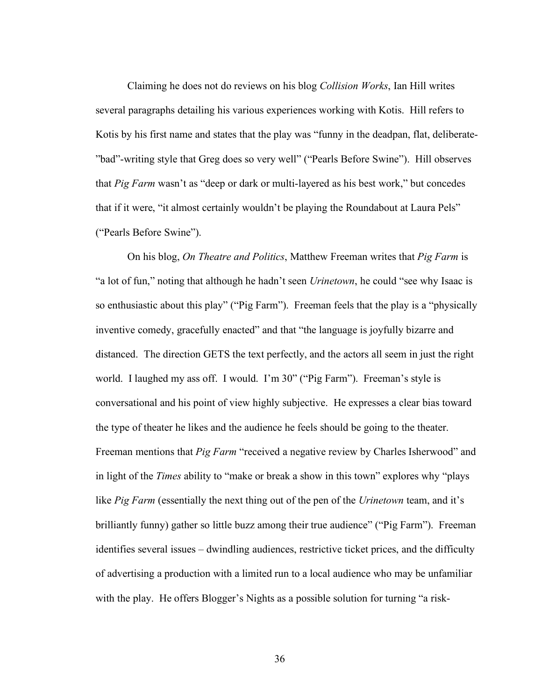Claiming he does not do reviews on his blog *Collision Works*, Ian Hill writes several paragraphs detailing his various experiences working with Kotis. Hill refers to Kotis by his first name and states that the play was "funny in the deadpan, flat, deliberate- "bad"-writing style that Greg does so very well" ("Pearls Before Swine"). Hill observes that *Pig Farm* wasn't as "deep or dark or multi-layered as his best work," but concedes that if it were, "it almost certainly wouldn't be playing the Roundabout at Laura Pels" ("Pearls Before Swine").

On his blog, *On Theatre and Politics*, Matthew Freeman writes that *Pig Farm* is "a lot of fun," noting that although he hadn't seen *Urinetown*, he could "see why Isaac is so enthusiastic about this play" ("Pig Farm"). Freeman feels that the play is a "physically inventive comedy, gracefully enacted" and that "the language is joyfully bizarre and distanced. The direction GETS the text perfectly, and the actors all seem in just the right world. I laughed my ass off. I would. I'm 30" ("Pig Farm"). Freeman's style is conversational and his point of view highly subjective. He expresses a clear bias toward the type of theater he likes and the audience he feels should be going to the theater. Freeman mentions that *Pig Farm* "received a negative review by Charles Isherwood" and in light of the *Times* ability to "make or break a show in this town" explores why "plays like *Pig Farm* (essentially the next thing out of the pen of the *Urinetown* team, and it's brilliantly funny) gather so little buzz among their true audience" ("Pig Farm"). Freeman identifies several issues – dwindling audiences, restrictive ticket prices, and the difficulty of advertising a production with a limited run to a local audience who may be unfamiliar with the play. He offers Blogger's Nights as a possible solution for turning "a risk-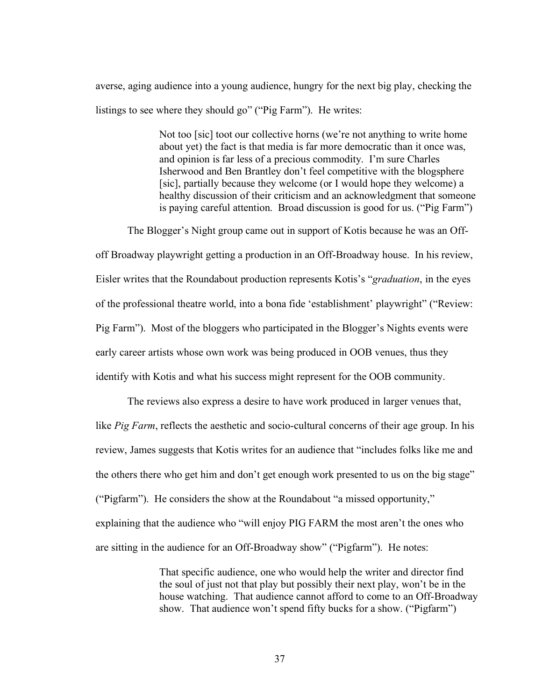averse, aging audience into a young audience, hungry for the next big play, checking the listings to see where they should go" ("Pig Farm"). He writes:

> Not too [sic] toot our collective horns (we're not anything to write home about yet) the fact is that media is far more democratic than it once was, and opinion is far less of a precious commodity. I'm sure Charles Isherwood and Ben Brantley don't feel competitive with the blogsphere [sic], partially because they welcome (or I would hope they welcome) a healthy discussion of their criticism and an acknowledgment that someone is paying careful attention. Broad discussion is good for us. ("Pig Farm")

The Blogger's Night group came out in support of Kotis because he was an Offoff Broadway playwright getting a production in an Off-Broadway house. In his review, Eisler writes that the Roundabout production represents Kotis's "*graduation*, in the eyes of the professional theatre world, into a bona fide 'establishment' playwright" ("Review: Pig Farm"). Most of the bloggers who participated in the Blogger's Nights events were early career artists whose own work was being produced in OOB venues, thus they identify with Kotis and what his success might represent for the OOB community.

The reviews also express a desire to have work produced in larger venues that, like *Pig Farm*, reflects the aesthetic and socio-cultural concerns of their age group. In his review, James suggests that Kotis writes for an audience that "includes folks like me and the others there who get him and don't get enough work presented to us on the big stage" ("Pigfarm"). He considers the show at the Roundabout "a missed opportunity," explaining that the audience who "will enjoy PIG FARM the most aren't the ones who are sitting in the audience for an Off-Broadway show" ("Pigfarm"). He notes:

> That specific audience, one who would help the writer and director find the soul of just not that play but possibly their next play, won't be in the house watching. That audience cannot afford to come to an Off-Broadway show. That audience won't spend fifty bucks for a show. ("Pigfarm")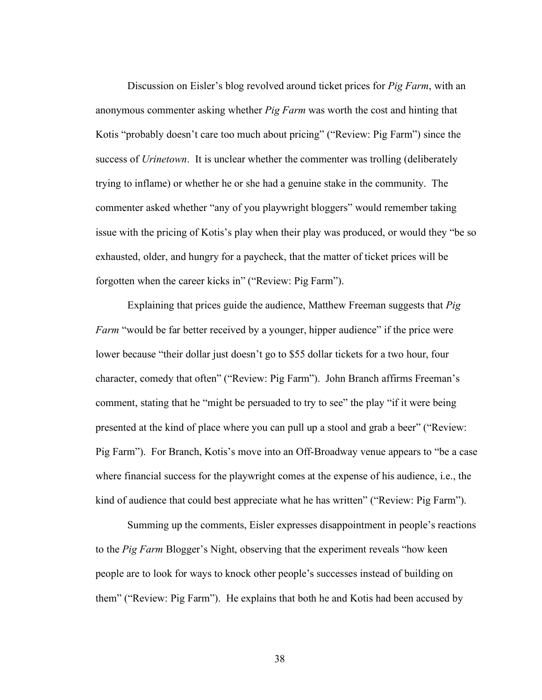Discussion on Eisler's blog revolved around ticket prices for *Pig Farm*, with an anonymous commenter asking whether *Pig Farm* was worth the cost and hinting that Kotis "probably doesn't care too much about pricing" ("Review: Pig Farm") since the success of *Urinetown*. It is unclear whether the commenter was trolling (deliberately trying to inflame) or whether he or she had a genuine stake in the community. The commenter asked whether "any of you playwright bloggers" would remember taking issue with the pricing of Kotis's play when their play was produced, or would they "be so exhausted, older, and hungry for a paycheck, that the matter of ticket prices will be forgotten when the career kicks in" ("Review: Pig Farm").

Explaining that prices guide the audience, Matthew Freeman suggests that *Pig Farm* "would be far better received by a younger, hipper audience" if the price were lower because "their dollar just doesn't go to \$55 dollar tickets for a two hour, four character, comedy that often" ("Review: Pig Farm"). John Branch affirms Freeman's comment, stating that he "might be persuaded to try to see" the play "if it were being presented at the kind of place where you can pull up a stool and grab a beer" ("Review: Pig Farm"). For Branch, Kotis's move into an Off-Broadway venue appears to "be a case where financial success for the playwright comes at the expense of his audience, i.e., the kind of audience that could best appreciate what he has written" ("Review: Pig Farm").

Summing up the comments, Eisler expresses disappointment in people's reactions to the *Pig Farm* Blogger's Night, observing that the experiment reveals "how keen people are to look for ways to knock other people's successes instead of building on them" ("Review: Pig Farm"). He explains that both he and Kotis had been accused by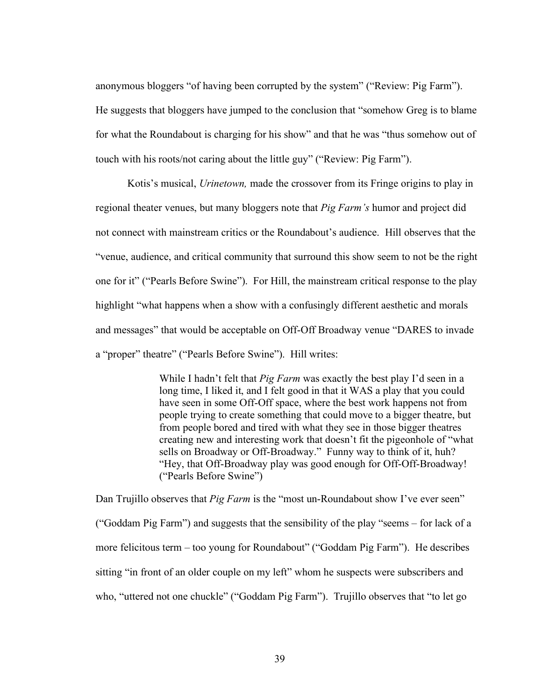anonymous bloggers "of having been corrupted by the system" ("Review: Pig Farm"). He suggests that bloggers have jumped to the conclusion that "somehow Greg is to blame for what the Roundabout is charging for his show" and that he was "thus somehow out of touch with his roots/not caring about the little guy" ("Review: Pig Farm").

Kotis's musical, *Urinetown,* made the crossover from its Fringe origins to play in regional theater venues, but many bloggers note that *Pig Farm's* humor and project did not connect with mainstream critics or the Roundabout's audience. Hill observes that the "venue, audience, and critical community that surround this show seem to not be the right one for it" ("Pearls Before Swine"). For Hill, the mainstream critical response to the play highlight "what happens when a show with a confusingly different aesthetic and morals and messages" that would be acceptable on Off-Off Broadway venue "DARES to invade a "proper" theatre" ("Pearls Before Swine"). Hill writes:

> While I hadn't felt that *Pig Farm* was exactly the best play I'd seen in a long time, I liked it, and I felt good in that it WAS a play that you could have seen in some Off-Off space, where the best work happens not from people trying to create something that could move to a bigger theatre, but from people bored and tired with what they see in those bigger theatres creating new and interesting work that doesn't fit the pigeonhole of "what sells on Broadway or Off-Broadway." Funny way to think of it, huh? "Hey, that Off-Broadway play was good enough for Off-Off-Broadway! ("Pearls Before Swine")

Dan Trujillo observes that *Pig Farm* is the "most un-Roundabout show I've ever seen" ("Goddam Pig Farm") and suggests that the sensibility of the play "seems – for lack of a more felicitous term – too young for Roundabout" ("Goddam Pig Farm"). He describes sitting "in front of an older couple on my left" whom he suspects were subscribers and who, "uttered not one chuckle" ("Goddam Pig Farm"). Trujillo observes that "to let go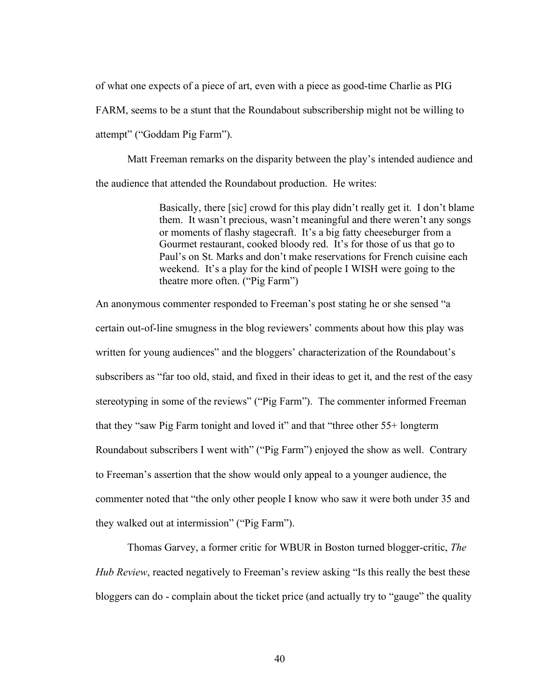of what one expects of a piece of art, even with a piece as good-time Charlie as PIG

FARM, seems to be a stunt that the Roundabout subscribership might not be willing to attempt" ("Goddam Pig Farm").

Matt Freeman remarks on the disparity between the play's intended audience and the audience that attended the Roundabout production. He writes:

> Basically, there [sic] crowd for this play didn't really get it. I don't blame them. It wasn't precious, wasn't meaningful and there weren't any songs or moments of flashy stagecraft. It's a big fatty cheeseburger from a Gourmet restaurant, cooked bloody red. It's for those of us that go to Paul's on St. Marks and don't make reservations for French cuisine each weekend. It's a play for the kind of people I WISH were going to the theatre more often. ("Pig Farm")

An anonymous commenter responded to Freeman's post stating he or she sensed "a certain out-of-line smugness in the blog reviewers' comments about how this play was written for young audiences" and the bloggers' characterization of the Roundabout's subscribers as "far too old, staid, and fixed in their ideas to get it, and the rest of the easy stereotyping in some of the reviews" ("Pig Farm"). The commenter informed Freeman that they "saw Pig Farm tonight and loved it" and that "three other 55+ longterm Roundabout subscribers I went with" ("Pig Farm") enjoyed the show as well. Contrary to Freeman's assertion that the show would only appeal to a younger audience, the commenter noted that "the only other people I know who saw it were both under 35 and they walked out at intermission" ("Pig Farm").

Thomas Garvey, a former critic for WBUR in Boston turned blogger-critic, *The Hub Review*, reacted negatively to Freeman's review asking "Is this really the best these bloggers can do - complain about the ticket price (and actually try to "gauge" the quality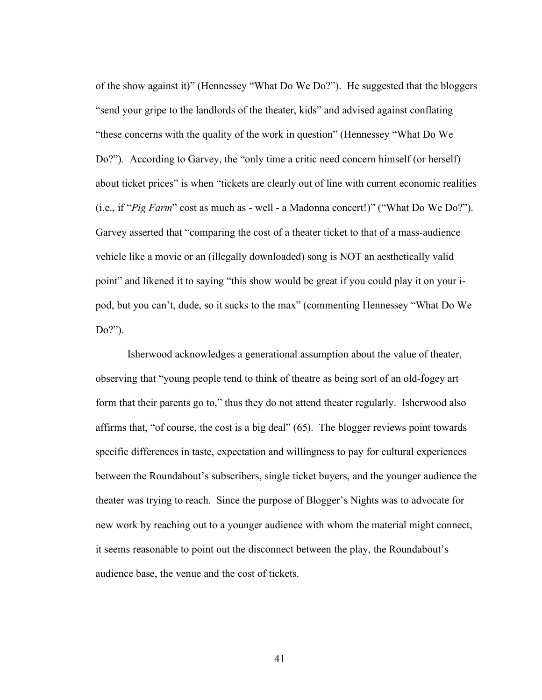of the show against it)" (Hennessey "What Do We Do?"). He suggested that the bloggers "send your gripe to the landlords of the theater, kids" and advised against conflating "these concerns with the quality of the work in question" (Hennessey "What Do We Do?"). According to Garvey, the "only time a critic need concern himself (or herself) about ticket prices" is when "tickets are clearly out of line with current economic realities (i.e., if "*Pig Farm*" cost as much as - well - a Madonna concert!)" ("What Do We Do?"). Garvey asserted that "comparing the cost of a theater ticket to that of a mass-audience vehicle like a movie or an (illegally downloaded) song is NOT an aesthetically valid point" and likened it to saying "this show would be great if you could play it on your ipod, but you can't, dude, so it sucks to the max" (commenting Hennessey "What Do We Do?").

Isherwood acknowledges a generational assumption about the value of theater, observing that "young people tend to think of theatre as being sort of an old-fogey art form that their parents go to," thus they do not attend theater regularly. Isherwood also affirms that, "of course, the cost is a big deal" (65). The blogger reviews point towards specific differences in taste, expectation and willingness to pay for cultural experiences between the Roundabout's subscribers, single ticket buyers, and the younger audience the theater was trying to reach. Since the purpose of Blogger's Nights was to advocate for new work by reaching out to a younger audience with whom the material might connect, it seems reasonable to point out the disconnect between the play, the Roundabout's audience base, the venue and the cost of tickets.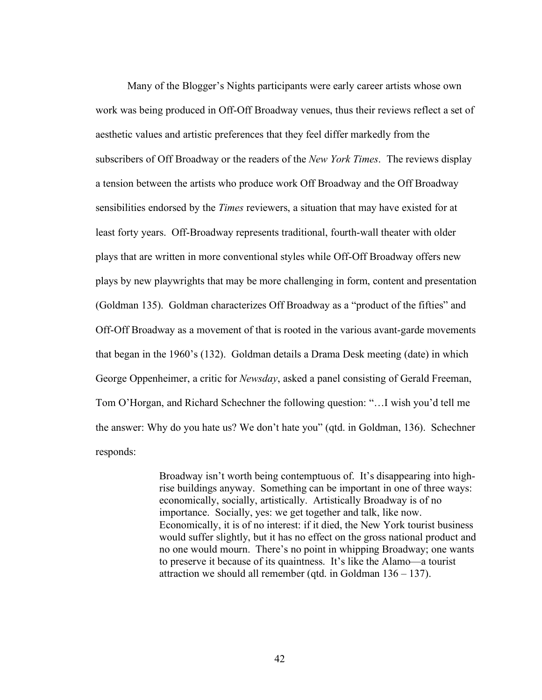Many of the Blogger's Nights participants were early career artists whose own work was being produced in Off-Off Broadway venues, thus their reviews reflect a set of aesthetic values and artistic preferences that they feel differ markedly from the subscribers of Off Broadway or the readers of the *New York Times*. The reviews display a tension between the artists who produce work Off Broadway and the Off Broadway sensibilities endorsed by the *Times* reviewers, a situation that may have existed for at least forty years. Off-Broadway represents traditional, fourth-wall theater with older plays that are written in more conventional styles while Off-Off Broadway offers new plays by new playwrights that may be more challenging in form, content and presentation (Goldman 135). Goldman characterizes Off Broadway as a "product of the fifties" and Off-Off Broadway as a movement of that is rooted in the various avant-garde movements that began in the 1960's (132). Goldman details a Drama Desk meeting (date) in which George Oppenheimer, a critic for *Newsday*, asked a panel consisting of Gerald Freeman, Tom O'Horgan, and Richard Schechner the following question: "…I wish you'd tell me the answer: Why do you hate us? We don't hate you" (qtd. in Goldman, 136). Schechner responds:

> Broadway isn't worth being contemptuous of. It's disappearing into highrise buildings anyway. Something can be important in one of three ways: economically, socially, artistically. Artistically Broadway is of no importance. Socially, yes: we get together and talk, like now. Economically, it is of no interest: if it died, the New York tourist business would suffer slightly, but it has no effect on the gross national product and no one would mourn. There's no point in whipping Broadway; one wants to preserve it because of its quaintness. It's like the Alamo—a tourist attraction we should all remember (qtd. in Goldman 136 – 137).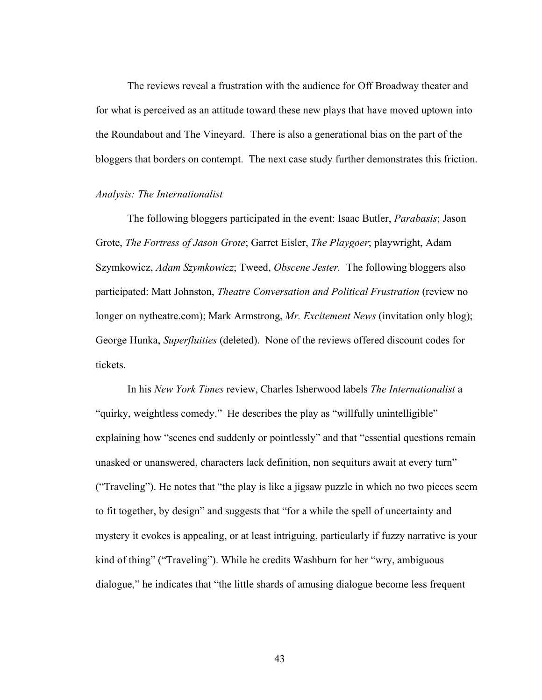The reviews reveal a frustration with the audience for Off Broadway theater and for what is perceived as an attitude toward these new plays that have moved uptown into the Roundabout and The Vineyard. There is also a generational bias on the part of the bloggers that borders on contempt. The next case study further demonstrates this friction.

# *Analysis: The Internationalist*

The following bloggers participated in the event: Isaac Butler, *Parabasis*; Jason Grote, *The Fortress of Jason Grote*; Garret Eisler, *The Playgoer*; playwright, Adam Szymkowicz, *Adam Szymkowicz*; Tweed, *Obscene Jester.* The following bloggers also participated: Matt Johnston, *Theatre Conversation and Political Frustration* (review no longer on nytheatre.com); Mark Armstrong, *Mr. Excitement News* (invitation only blog); George Hunka, *Superfluities* (deleted). None of the reviews offered discount codes for tickets.

In his *New York Times* review, Charles Isherwood labels *The Internationalist* a "quirky, weightless comedy." He describes the play as "willfully unintelligible" explaining how "scenes end suddenly or pointlessly" and that "essential questions remain unasked or unanswered, characters lack definition, non sequiturs await at every turn" ("Traveling"). He notes that "the play is like a jigsaw puzzle in which no two pieces seem to fit together, by design" and suggests that "for a while the spell of uncertainty and mystery it evokes is appealing, or at least intriguing, particularly if fuzzy narrative is your kind of thing" ("Traveling"). While he credits Washburn for her "wry, ambiguous dialogue," he indicates that "the little shards of amusing dialogue become less frequent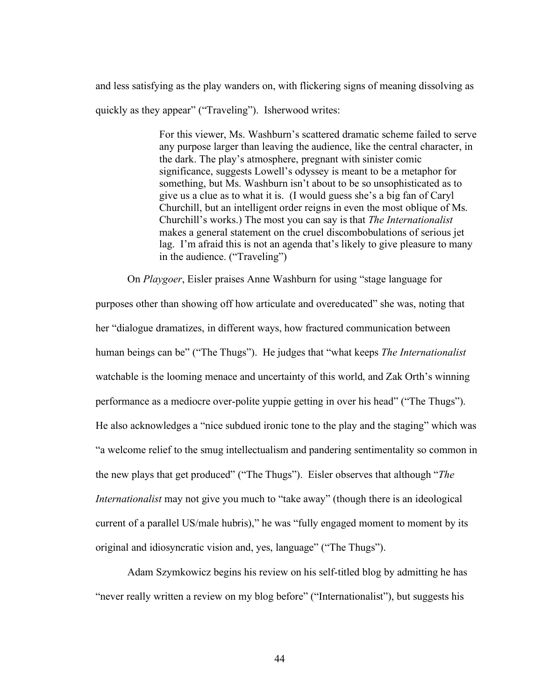and less satisfying as the play wanders on, with flickering signs of meaning dissolving as quickly as they appear" ("Traveling"). Isherwood writes:

> For this viewer, Ms. Washburn's scattered dramatic scheme failed to serve any purpose larger than leaving the audience, like the central character, in the dark. The play's atmosphere, pregnant with sinister comic significance, suggests Lowell's odyssey is meant to be a metaphor for something, but Ms. Washburn isn't about to be so unsophisticated as to give us a clue as to what it is. (I would guess she's a big fan of Caryl Churchill, but an intelligent order reigns in even the most oblique of Ms. Churchill's works.) The most you can say is that *The Internationalist*  makes a general statement on the cruel discombobulations of serious jet lag. I'm afraid this is not an agenda that's likely to give pleasure to many in the audience. ("Traveling")

On *Playgoer*, Eisler praises Anne Washburn for using "stage language for purposes other than showing off how articulate and overeducated" she was, noting that her "dialogue dramatizes, in different ways, how fractured communication between human beings can be" ("The Thugs"). He judges that "what keeps *The Internationalist* watchable is the looming menace and uncertainty of this world, and Zak Orth's winning performance as a mediocre over-polite yuppie getting in over his head" ("The Thugs"). He also acknowledges a "nice subdued ironic tone to the play and the staging" which was "a welcome relief to the smug intellectualism and pandering sentimentality so common in the new plays that get produced" ("The Thugs"). Eisler observes that although "*The Internationalist* may not give you much to "take away" (though there is an ideological current of a parallel US/male hubris)," he was "fully engaged moment to moment by its original and idiosyncratic vision and, yes, language" ("The Thugs").

Adam Szymkowicz begins his review on his self-titled blog by admitting he has "never really written a review on my blog before" ("Internationalist"), but suggests his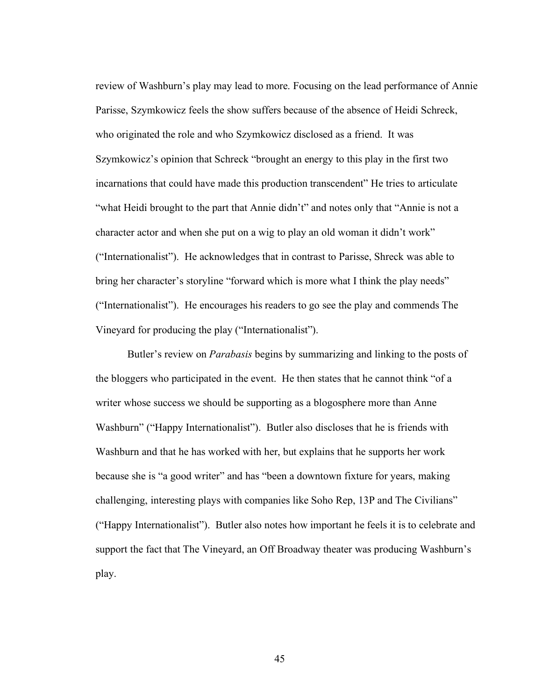review of Washburn's play may lead to more. Focusing on the lead performance of Annie Parisse, Szymkowicz feels the show suffers because of the absence of Heidi Schreck, who originated the role and who Szymkowicz disclosed as a friend. It was Szymkowicz's opinion that Schreck "brought an energy to this play in the first two incarnations that could have made this production transcendent" He tries to articulate "what Heidi brought to the part that Annie didn't" and notes only that "Annie is not a character actor and when she put on a wig to play an old woman it didn't work" ("Internationalist"). He acknowledges that in contrast to Parisse, Shreck was able to bring her character's storyline "forward which is more what I think the play needs" ("Internationalist"). He encourages his readers to go see the play and commends The Vineyard for producing the play ("Internationalist").

Butler's review on *Parabasis* begins by summarizing and linking to the posts of the bloggers who participated in the event. He then states that he cannot think "of a writer whose success we should be supporting as a blogosphere more than Anne Washburn" ("Happy Internationalist"). Butler also discloses that he is friends with Washburn and that he has worked with her, but explains that he supports her work because she is "a good writer" and has "been a downtown fixture for years, making challenging, interesting plays with companies like Soho Rep, 13P and The Civilians" ("Happy Internationalist"). Butler also notes how important he feels it is to celebrate and support the fact that The Vineyard, an Off Broadway theater was producing Washburn's play.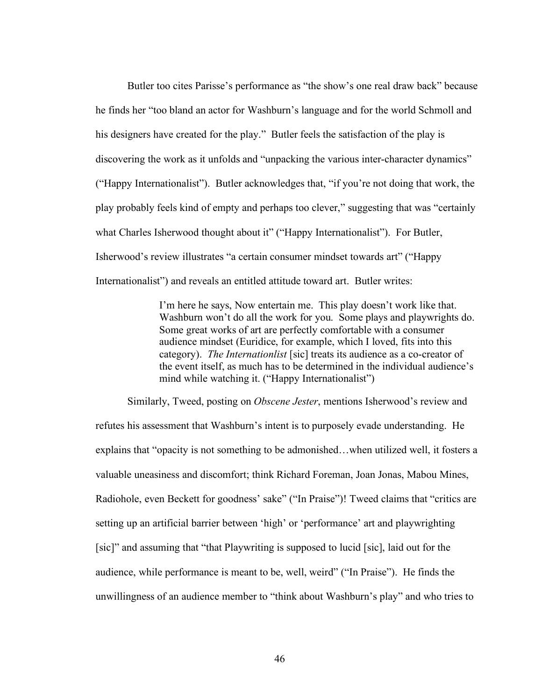Butler too cites Parisse's performance as "the show's one real draw back" because he finds her "too bland an actor for Washburn's language and for the world Schmoll and his designers have created for the play." Butler feels the satisfaction of the play is discovering the work as it unfolds and "unpacking the various inter-character dynamics" ("Happy Internationalist"). Butler acknowledges that, "if you're not doing that work, the play probably feels kind of empty and perhaps too clever," suggesting that was "certainly what Charles Isherwood thought about it" ("Happy Internationalist"). For Butler, Isherwood's review illustrates "a certain consumer mindset towards art" ("Happy Internationalist") and reveals an entitled attitude toward art. Butler writes:

> I'm here he says, Now entertain me. This play doesn't work like that. Washburn won't do all the work for you. Some plays and playwrights do. Some great works of art are perfectly comfortable with a consumer audience mindset (Euridice, for example, which I loved, fits into this category). *The Internationlist* [sic] treats its audience as a co-creator of the event itself, as much has to be determined in the individual audience's mind while watching it. ("Happy Internationalist")

Similarly, Tweed, posting on *Obscene Jester*, mentions Isherwood's review and refutes his assessment that Washburn's intent is to purposely evade understanding. He explains that "opacity is not something to be admonished…when utilized well, it fosters a valuable uneasiness and discomfort; think Richard Foreman, Joan Jonas, Mabou Mines, Radiohole, even Beckett for goodness' sake" ("In Praise")! Tweed claims that "critics are setting up an artificial barrier between 'high' or 'performance' art and playwrighting [sic]" and assuming that "that Playwriting is supposed to lucid [sic], laid out for the audience, while performance is meant to be, well, weird" ("In Praise"). He finds the unwillingness of an audience member to "think about Washburn's play" and who tries to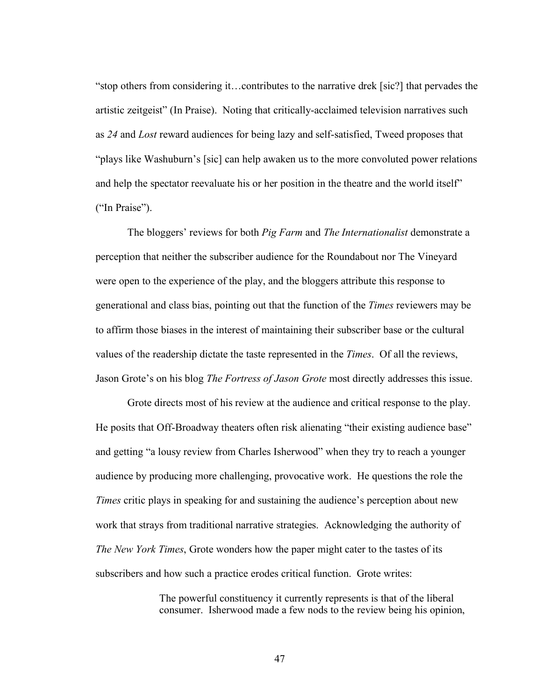"stop others from considering it…contributes to the narrative drek [sic?] that pervades the artistic zeitgeist" (In Praise). Noting that critically-acclaimed television narratives such as *24* and *Lost* reward audiences for being lazy and self-satisfied, Tweed proposes that "plays like Washuburn's [sic] can help awaken us to the more convoluted power relations and help the spectator reevaluate his or her position in the theatre and the world itself" ("In Praise").

The bloggers' reviews for both *Pig Farm* and *The Internationalist* demonstrate a perception that neither the subscriber audience for the Roundabout nor The Vineyard were open to the experience of the play, and the bloggers attribute this response to generational and class bias, pointing out that the function of the *Times* reviewers may be to affirm those biases in the interest of maintaining their subscriber base or the cultural values of the readership dictate the taste represented in the *Times*. Of all the reviews, Jason Grote's on his blog *The Fortress of Jason Grote* most directly addresses this issue.

Grote directs most of his review at the audience and critical response to the play. He posits that Off-Broadway theaters often risk alienating "their existing audience base" and getting "a lousy review from Charles Isherwood" when they try to reach a younger audience by producing more challenging, provocative work. He questions the role the *Times* critic plays in speaking for and sustaining the audience's perception about new work that strays from traditional narrative strategies. Acknowledging the authority of *The New York Times*, Grote wonders how the paper might cater to the tastes of its subscribers and how such a practice erodes critical function. Grote writes:

> The powerful constituency it currently represents is that of the liberal consumer. Isherwood made a few nods to the review being his opinion,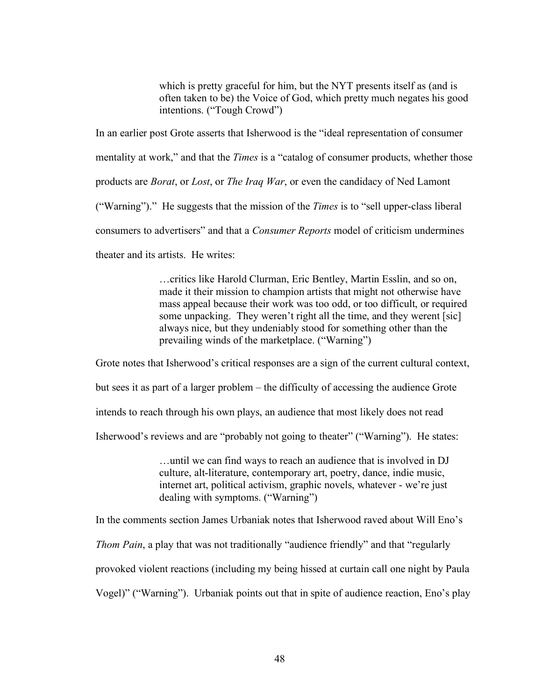which is pretty graceful for him, but the NYT presents itself as (and is often taken to be) the Voice of God, which pretty much negates his good intentions. ("Tough Crowd")

In an earlier post Grote asserts that Isherwood is the "ideal representation of consumer mentality at work," and that the *Times* is a "catalog of consumer products, whether those products are *Borat*, or *Lost*, or *The Iraq War*, or even the candidacy of Ned Lamont ("Warning")." He suggests that the mission of the *Times* is to "sell upper-class liberal consumers to advertisers" and that a *Consumer Reports* model of criticism undermines theater and its artists. He writes:

> …critics like Harold Clurman, Eric Bentley, Martin Esslin, and so on, made it their mission to champion artists that might not otherwise have mass appeal because their work was too odd, or too difficult, or required some unpacking. They weren't right all the time, and they werent [sic] always nice, but they undeniably stood for something other than the prevailing winds of the marketplace. ("Warning")

Grote notes that Isherwood's critical responses are a sign of the current cultural context, but sees it as part of a larger problem – the difficulty of accessing the audience Grote intends to reach through his own plays, an audience that most likely does not read Isherwood's reviews and are "probably not going to theater" ("Warning"). He states:

> …until we can find ways to reach an audience that is involved in DJ culture, alt-literature, contemporary art, poetry, dance, indie music, internet art, political activism, graphic novels, whatever - we're just dealing with symptoms. ("Warning")

In the comments section James Urbaniak notes that Isherwood raved about Will Eno's

*Thom Pain*, a play that was not traditionally "audience friendly" and that "regularly

provoked violent reactions (including my being hissed at curtain call one night by Paula

Vogel)" ("Warning"). Urbaniak points out that in spite of audience reaction, Eno's play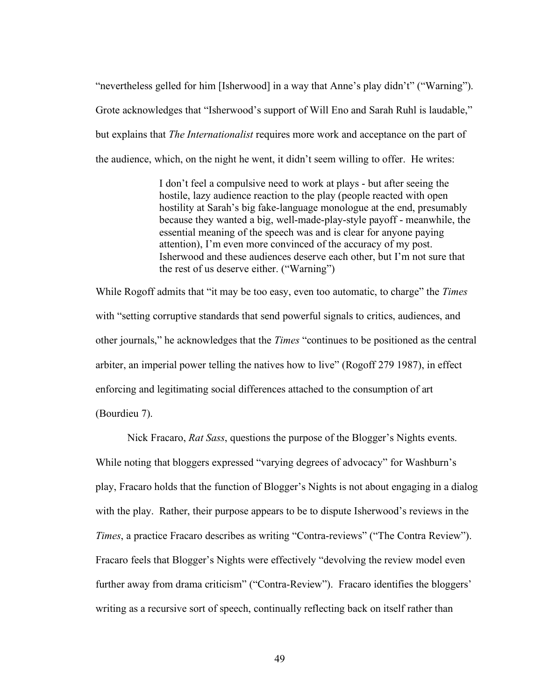"nevertheless gelled for him [Isherwood] in a way that Anne's play didn't" ("Warning"). Grote acknowledges that "Isherwood's support of Will Eno and Sarah Ruhl is laudable," but explains that *The Internationalist* requires more work and acceptance on the part of the audience, which, on the night he went, it didn't seem willing to offer. He writes:

> I don't feel a compulsive need to work at plays - but after seeing the hostile, lazy audience reaction to the play (people reacted with open hostility at Sarah's big fake-language monologue at the end, presumably because they wanted a big, well-made-play-style payoff - meanwhile, the essential meaning of the speech was and is clear for anyone paying attention), I'm even more convinced of the accuracy of my post. Isherwood and these audiences deserve each other, but I'm not sure that the rest of us deserve either. ("Warning")

While Rogoff admits that "it may be too easy, even too automatic, to charge" the *Times* with "setting corruptive standards that send powerful signals to critics, audiences, and other journals," he acknowledges that the *Times* "continues to be positioned as the central arbiter, an imperial power telling the natives how to live" (Rogoff 279 1987), in effect enforcing and legitimating social differences attached to the consumption of art (Bourdieu 7).

Nick Fracaro, *Rat Sass*, questions the purpose of the Blogger's Nights events. While noting that bloggers expressed "varying degrees of advocacy" for Washburn's play, Fracaro holds that the function of Blogger's Nights is not about engaging in a dialog with the play. Rather, their purpose appears to be to dispute Isherwood's reviews in the *Times*, a practice Fracaro describes as writing "Contra-reviews" ("The Contra Review"). Fracaro feels that Blogger's Nights were effectively "devolving the review model even further away from drama criticism" ("Contra-Review"). Fracaro identifies the bloggers' writing as a recursive sort of speech, continually reflecting back on itself rather than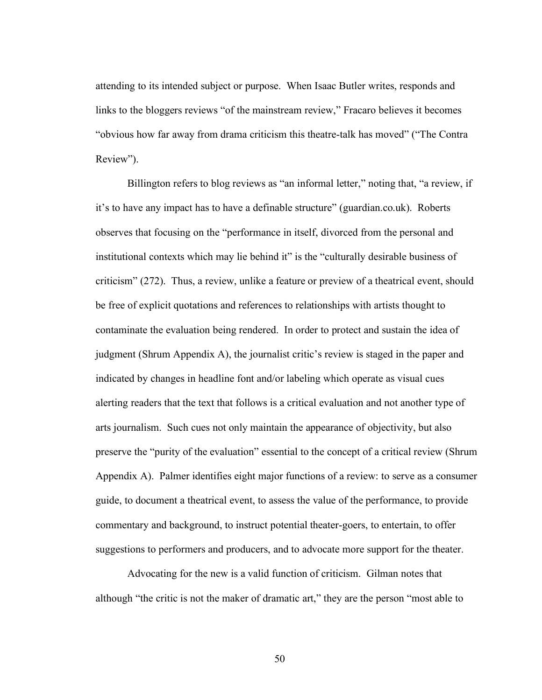attending to its intended subject or purpose. When Isaac Butler writes, responds and links to the bloggers reviews "of the mainstream review," Fracaro believes it becomes "obvious how far away from drama criticism this theatre-talk has moved" ("The Contra Review").

Billington refers to blog reviews as "an informal letter," noting that, "a review, if it's to have any impact has to have a definable structure" (guardian.co.uk). Roberts observes that focusing on the "performance in itself, divorced from the personal and institutional contexts which may lie behind it" is the "culturally desirable business of criticism" (272). Thus, a review, unlike a feature or preview of a theatrical event, should be free of explicit quotations and references to relationships with artists thought to contaminate the evaluation being rendered. In order to protect and sustain the idea of judgment (Shrum Appendix A), the journalist critic's review is staged in the paper and indicated by changes in headline font and/or labeling which operate as visual cues alerting readers that the text that follows is a critical evaluation and not another type of arts journalism. Such cues not only maintain the appearance of objectivity, but also preserve the "purity of the evaluation" essential to the concept of a critical review (Shrum Appendix A). Palmer identifies eight major functions of a review: to serve as a consumer guide, to document a theatrical event, to assess the value of the performance, to provide commentary and background, to instruct potential theater-goers, to entertain, to offer suggestions to performers and producers, and to advocate more support for the theater.

Advocating for the new is a valid function of criticism. Gilman notes that although "the critic is not the maker of dramatic art," they are the person "most able to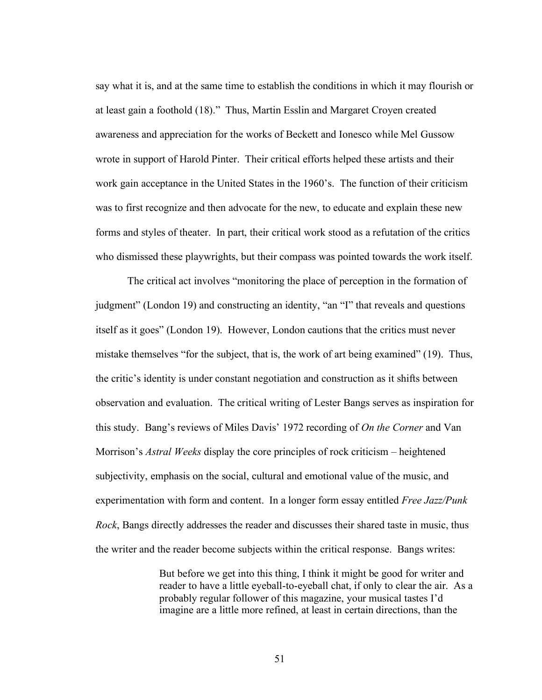say what it is, and at the same time to establish the conditions in which it may flourish or at least gain a foothold (18)." Thus, Martin Esslin and Margaret Croyen created awareness and appreciation for the works of Beckett and Ionesco while Mel Gussow wrote in support of Harold Pinter. Their critical efforts helped these artists and their work gain acceptance in the United States in the 1960's. The function of their criticism was to first recognize and then advocate for the new, to educate and explain these new forms and styles of theater. In part, their critical work stood as a refutation of the critics who dismissed these playwrights, but their compass was pointed towards the work itself.

The critical act involves "monitoring the place of perception in the formation of judgment" (London 19) and constructing an identity, "an "I" that reveals and questions itself as it goes" (London 19). However, London cautions that the critics must never mistake themselves "for the subject, that is, the work of art being examined" (19). Thus, the critic's identity is under constant negotiation and construction as it shifts between observation and evaluation. The critical writing of Lester Bangs serves as inspiration for this study. Bang's reviews of Miles Davis' 1972 recording of *On the Corner* and Van Morrison's *Astral Weeks* display the core principles of rock criticism – heightened subjectivity, emphasis on the social, cultural and emotional value of the music, and experimentation with form and content. In a longer form essay entitled *Free Jazz/Punk Rock*, Bangs directly addresses the reader and discusses their shared taste in music, thus the writer and the reader become subjects within the critical response. Bangs writes:

> But before we get into this thing, I think it might be good for writer and reader to have a little eyeball-to-eyeball chat, if only to clear the air. As a probably regular follower of this magazine, your musical tastes I'd imagine are a little more refined, at least in certain directions, than the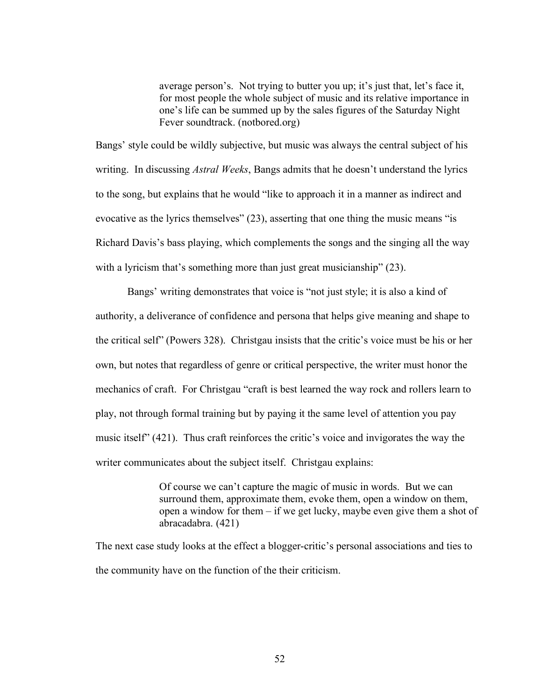average person's. Not trying to butter you up; it's just that, let's face it, for most people the whole subject of music and its relative importance in one's life can be summed up by the sales figures of the Saturday Night Fever soundtrack. (notbored.org)

Bangs' style could be wildly subjective, but music was always the central subject of his writing. In discussing *Astral Weeks*, Bangs admits that he doesn't understand the lyrics to the song, but explains that he would "like to approach it in a manner as indirect and evocative as the lyrics themselves" (23), asserting that one thing the music means "is Richard Davis's bass playing, which complements the songs and the singing all the way with a lyricism that's something more than just great musicianship" (23).

Bangs' writing demonstrates that voice is "not just style; it is also a kind of authority, a deliverance of confidence and persona that helps give meaning and shape to the critical self" (Powers 328). Christgau insists that the critic's voice must be his or her own, but notes that regardless of genre or critical perspective, the writer must honor the mechanics of craft. For Christgau "craft is best learned the way rock and rollers learn to play, not through formal training but by paying it the same level of attention you pay music itself" (421). Thus craft reinforces the critic's voice and invigorates the way the writer communicates about the subject itself. Christgau explains:

> Of course we can't capture the magic of music in words. But we can surround them, approximate them, evoke them, open a window on them, open a window for them – if we get lucky, maybe even give them a shot of abracadabra. (421)

The next case study looks at the effect a blogger-critic's personal associations and ties to the community have on the function of the their criticism.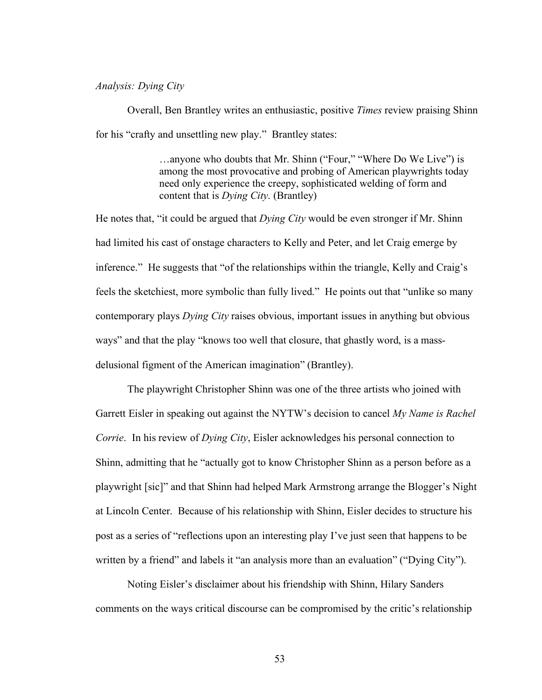#### *Analysis: Dying City*

Overall, Ben Brantley writes an enthusiastic, positive *Times* review praising Shinn for his "crafty and unsettling new play." Brantley states:

> …anyone who doubts that Mr. Shinn ("Four," "Where Do We Live") is among the most provocative and probing of American playwrights today need only experience the creepy, sophisticated welding of form and content that is *Dying City*. (Brantley)

He notes that, "it could be argued that *Dying City* would be even stronger if Mr. Shinn had limited his cast of onstage characters to Kelly and Peter, and let Craig emerge by inference." He suggests that "of the relationships within the triangle, Kelly and Craig's feels the sketchiest, more symbolic than fully lived." He points out that "unlike so many contemporary plays *Dying City* raises obvious, important issues in anything but obvious ways" and that the play "knows too well that closure, that ghastly word, is a massdelusional figment of the American imagination" (Brantley).

The playwright Christopher Shinn was one of the three artists who joined with Garrett Eisler in speaking out against the NYTW's decision to cancel *My Name is Rachel Corrie*. In his review of *Dying City*, Eisler acknowledges his personal connection to Shinn, admitting that he "actually got to know Christopher Shinn as a person before as a playwright [sic]" and that Shinn had helped Mark Armstrong arrange the Blogger's Night at Lincoln Center. Because of his relationship with Shinn, Eisler decides to structure his post as a series of "reflections upon an interesting play I've just seen that happens to be written by a friend" and labels it "an analysis more than an evaluation" ("Dying City").

Noting Eisler's disclaimer about his friendship with Shinn, Hilary Sanders comments on the ways critical discourse can be compromised by the critic's relationship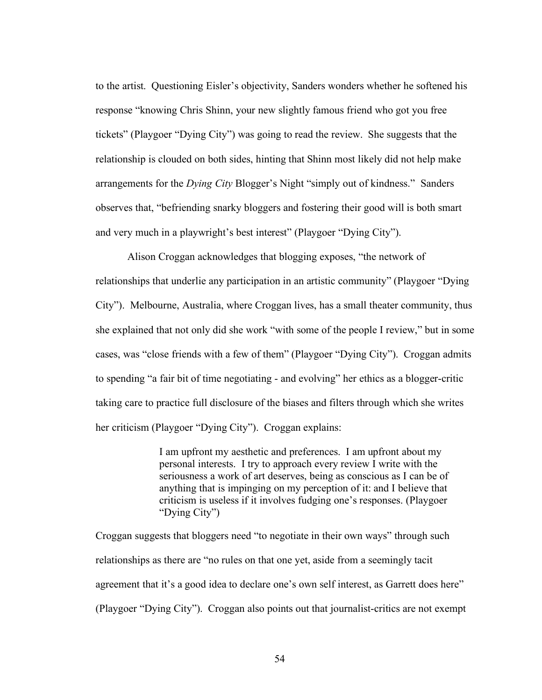to the artist. Questioning Eisler's objectivity, Sanders wonders whether he softened his response "knowing Chris Shinn, your new slightly famous friend who got you free tickets" (Playgoer "Dying City") was going to read the review. She suggests that the relationship is clouded on both sides, hinting that Shinn most likely did not help make arrangements for the *Dying City* Blogger's Night "simply out of kindness." Sanders observes that, "befriending snarky bloggers and fostering their good will is both smart and very much in a playwright's best interest" (Playgoer "Dying City").

Alison Croggan acknowledges that blogging exposes, "the network of relationships that underlie any participation in an artistic community" (Playgoer "Dying City"). Melbourne, Australia, where Croggan lives, has a small theater community, thus she explained that not only did she work "with some of the people I review," but in some cases, was "close friends with a few of them" (Playgoer "Dying City"). Croggan admits to spending "a fair bit of time negotiating - and evolving" her ethics as a blogger-critic taking care to practice full disclosure of the biases and filters through which she writes her criticism (Playgoer "Dying City"). Croggan explains:

> I am upfront my aesthetic and preferences. I am upfront about my personal interests. I try to approach every review I write with the seriousness a work of art deserves, being as conscious as I can be of anything that is impinging on my perception of it: and I believe that criticism is useless if it involves fudging one's responses. (Playgoer "Dying City")

Croggan suggests that bloggers need "to negotiate in their own ways" through such relationships as there are "no rules on that one yet, aside from a seemingly tacit agreement that it's a good idea to declare one's own self interest, as Garrett does here" (Playgoer "Dying City"). Croggan also points out that journalist-critics are not exempt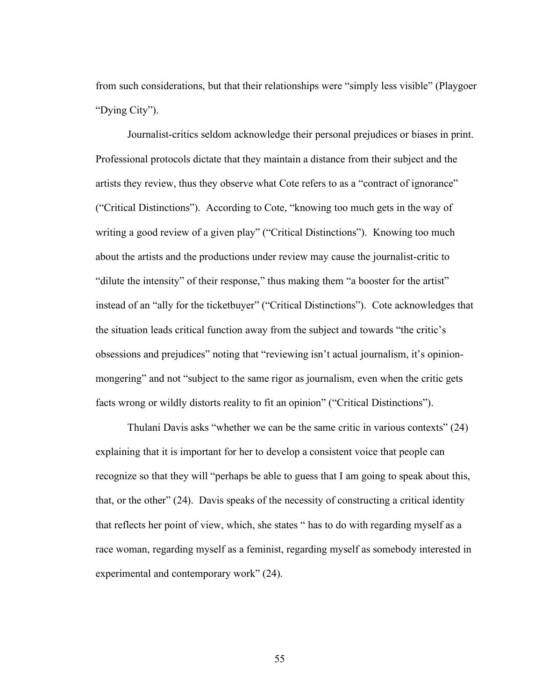from such considerations, but that their relationships were "simply less visible" (Playgoer "Dying City").

Journalist-critics seldom acknowledge their personal prejudices or biases in print. Professional protocols dictate that they maintain a distance from their subject and the artists they review, thus they observe what Cote refers to as a "contract of ignorance" ("Critical Distinctions"). According to Cote, "knowing too much gets in the way of writing a good review of a given play" ("Critical Distinctions"). Knowing too much about the artists and the productions under review may cause the journalist-critic to "dilute the intensity" of their response," thus making them "a booster for the artist" instead of an "ally for the ticketbuyer" ("Critical Distinctions"). Cote acknowledges that the situation leads critical function away from the subject and towards "the critic's obsessions and prejudices" noting that "reviewing isn't actual journalism, it's opinionmongering" and not "subject to the same rigor as journalism, even when the critic gets facts wrong or wildly distorts reality to fit an opinion" ("Critical Distinctions").

Thulani Davis asks "whether we can be the same critic in various contexts" (24) explaining that it is important for her to develop a consistent voice that people can recognize so that they will "perhaps be able to guess that I am going to speak about this, that, or the other" (24). Davis speaks of the necessity of constructing a critical identity that reflects her point of view, which, she states " has to do with regarding myself as a race woman, regarding myself as a feminist, regarding myself as somebody interested in experimental and contemporary work" (24).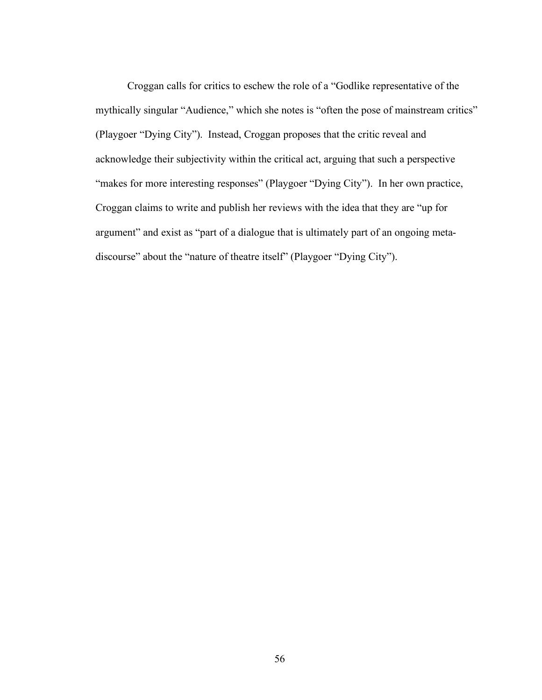Croggan calls for critics to eschew the role of a "Godlike representative of the mythically singular "Audience," which she notes is "often the pose of mainstream critics" (Playgoer "Dying City"). Instead, Croggan proposes that the critic reveal and acknowledge their subjectivity within the critical act, arguing that such a perspective "makes for more interesting responses" (Playgoer "Dying City"). In her own practice, Croggan claims to write and publish her reviews with the idea that they are "up for argument" and exist as "part of a dialogue that is ultimately part of an ongoing metadiscourse" about the "nature of theatre itself" (Playgoer "Dying City").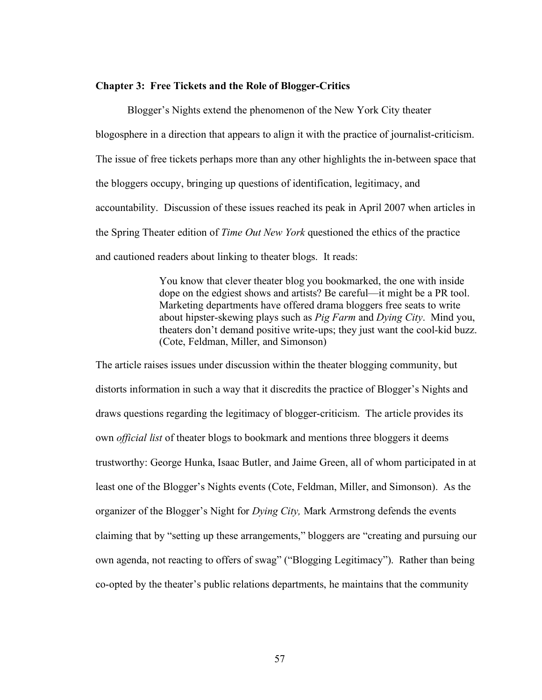## **Chapter 3: Free Tickets and the Role of Blogger-Critics**

Blogger's Nights extend the phenomenon of the New York City theater blogosphere in a direction that appears to align it with the practice of journalist-criticism. The issue of free tickets perhaps more than any other highlights the in-between space that the bloggers occupy, bringing up questions of identification, legitimacy, and accountability. Discussion of these issues reached its peak in April 2007 when articles in the Spring Theater edition of *Time Out New York* questioned the ethics of the practice and cautioned readers about linking to theater blogs. It reads:

> You know that clever theater blog you bookmarked, the one with inside dope on the edgiest shows and artists? Be careful—it might be a PR tool. Marketing departments have offered drama bloggers free seats to write about hipster-skewing plays such as *Pig Farm* and *Dying City*. Mind you, theaters don't demand positive write-ups; they just want the cool-kid buzz. (Cote, Feldman, Miller, and Simonson)

The article raises issues under discussion within the theater blogging community, but distorts information in such a way that it discredits the practice of Blogger's Nights and draws questions regarding the legitimacy of blogger-criticism. The article provides its own *official list* of theater blogs to bookmark and mentions three bloggers it deems trustworthy: George Hunka, Isaac Butler, and Jaime Green, all of whom participated in at least one of the Blogger's Nights events (Cote, Feldman, Miller, and Simonson). As the organizer of the Blogger's Night for *Dying City,* Mark Armstrong defends the events claiming that by "setting up these arrangements," bloggers are "creating and pursuing our own agenda, not reacting to offers of swag" ("Blogging Legitimacy"). Rather than being co-opted by the theater's public relations departments, he maintains that the community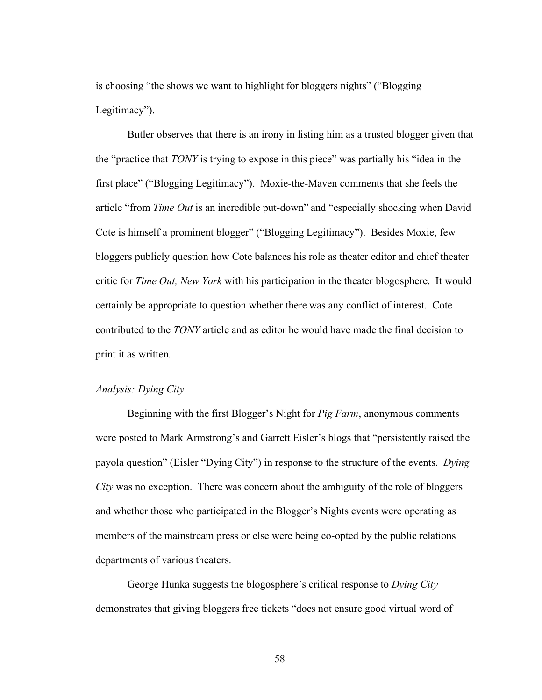is choosing "the shows we want to highlight for bloggers nights" ("Blogging Legitimacy").

Butler observes that there is an irony in listing him as a trusted blogger given that the "practice that *TONY* is trying to expose in this piece" was partially his "idea in the first place" ("Blogging Legitimacy"). Moxie-the-Maven comments that she feels the article "from *Time Out* is an incredible put-down" and "especially shocking when David Cote is himself a prominent blogger" ("Blogging Legitimacy"). Besides Moxie, few bloggers publicly question how Cote balances his role as theater editor and chief theater critic for *Time Out, New York* with his participation in the theater blogosphere. It would certainly be appropriate to question whether there was any conflict of interest. Cote contributed to the *TONY* article and as editor he would have made the final decision to print it as written.

# *Analysis: Dying City*

Beginning with the first Blogger's Night for *Pig Farm*, anonymous comments were posted to Mark Armstrong's and Garrett Eisler's blogs that "persistently raised the payola question" (Eisler "Dying City") in response to the structure of the events. *Dying City* was no exception. There was concern about the ambiguity of the role of bloggers and whether those who participated in the Blogger's Nights events were operating as members of the mainstream press or else were being co-opted by the public relations departments of various theaters.

George Hunka suggests the blogosphere's critical response to *Dying City* demonstrates that giving bloggers free tickets "does not ensure good virtual word of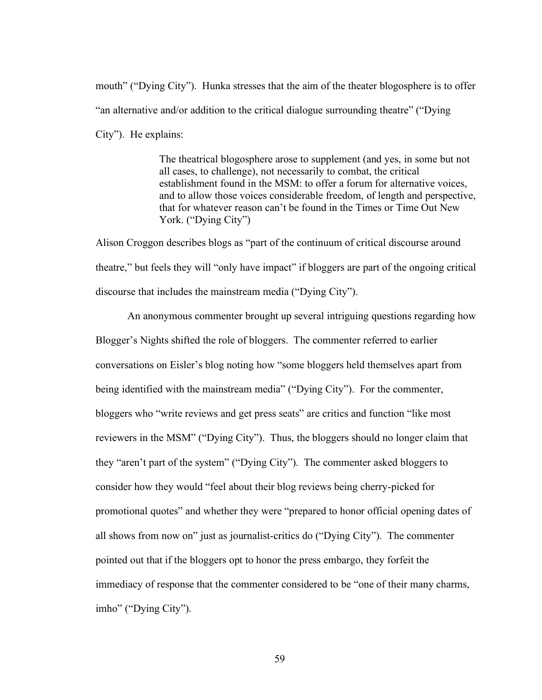mouth" ("Dying City"). Hunka stresses that the aim of the theater blogosphere is to offer "an alternative and/or addition to the critical dialogue surrounding theatre" ("Dying City"). He explains:

> The theatrical blogosphere arose to supplement (and yes, in some but not all cases, to challenge), not necessarily to combat, the critical establishment found in the MSM: to offer a forum for alternative voices, and to allow those voices considerable freedom, of length and perspective, that for whatever reason can't be found in the Times or Time Out New York. ("Dying City")

Alison Croggon describes blogs as "part of the continuum of critical discourse around theatre," but feels they will "only have impact" if bloggers are part of the ongoing critical discourse that includes the mainstream media ("Dying City").

An anonymous commenter brought up several intriguing questions regarding how Blogger's Nights shifted the role of bloggers. The commenter referred to earlier conversations on Eisler's blog noting how "some bloggers held themselves apart from being identified with the mainstream media" ("Dying City"). For the commenter, bloggers who "write reviews and get press seats" are critics and function "like most reviewers in the MSM" ("Dying City"). Thus, the bloggers should no longer claim that they "aren't part of the system" ("Dying City"). The commenter asked bloggers to consider how they would "feel about their blog reviews being cherry-picked for promotional quotes" and whether they were "prepared to honor official opening dates of all shows from now on" just as journalist-critics do ("Dying City"). The commenter pointed out that if the bloggers opt to honor the press embargo, they forfeit the immediacy of response that the commenter considered to be "one of their many charms, imho" ("Dying City").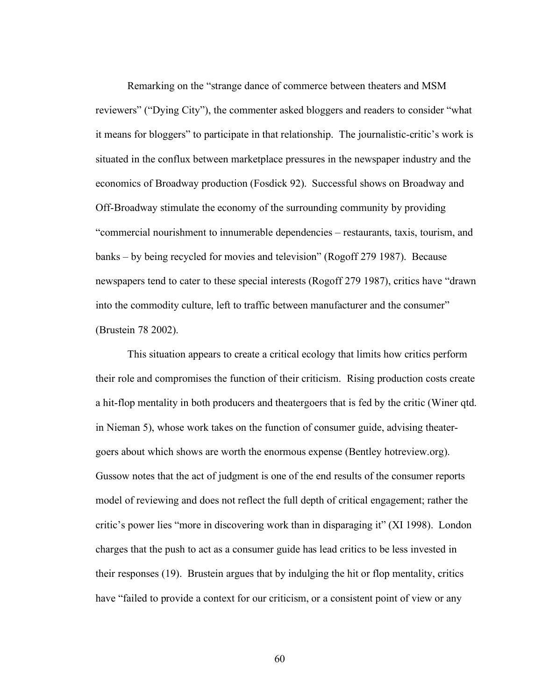Remarking on the "strange dance of commerce between theaters and MSM reviewers" ("Dying City"), the commenter asked bloggers and readers to consider "what it means for bloggers" to participate in that relationship. The journalistic-critic's work is situated in the conflux between marketplace pressures in the newspaper industry and the economics of Broadway production (Fosdick 92). Successful shows on Broadway and Off-Broadway stimulate the economy of the surrounding community by providing "commercial nourishment to innumerable dependencies – restaurants, taxis, tourism, and banks – by being recycled for movies and television" (Rogoff 279 1987). Because newspapers tend to cater to these special interests (Rogoff 279 1987), critics have "drawn into the commodity culture, left to traffic between manufacturer and the consumer" (Brustein 78 2002).

This situation appears to create a critical ecology that limits how critics perform their role and compromises the function of their criticism. Rising production costs create a hit-flop mentality in both producers and theatergoers that is fed by the critic (Winer qtd. in Nieman 5), whose work takes on the function of consumer guide, advising theatergoers about which shows are worth the enormous expense (Bentley hotreview.org). Gussow notes that the act of judgment is one of the end results of the consumer reports model of reviewing and does not reflect the full depth of critical engagement; rather the critic's power lies "more in discovering work than in disparaging it" (XI 1998). London charges that the push to act as a consumer guide has lead critics to be less invested in their responses (19). Brustein argues that by indulging the hit or flop mentality, critics have "failed to provide a context for our criticism, or a consistent point of view or any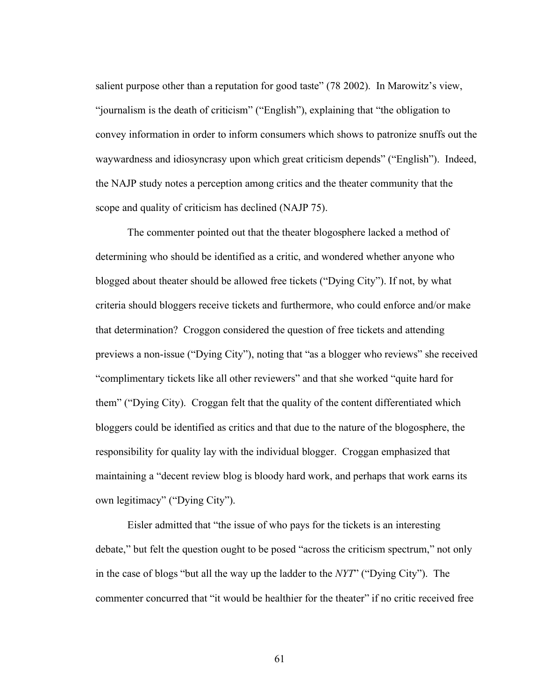salient purpose other than a reputation for good taste" (78 2002). In Marowitz's view, "journalism is the death of criticism" ("English"), explaining that "the obligation to convey information in order to inform consumers which shows to patronize snuffs out the waywardness and idiosyncrasy upon which great criticism depends" ("English"). Indeed, the NAJP study notes a perception among critics and the theater community that the scope and quality of criticism has declined (NAJP 75).

The commenter pointed out that the theater blogosphere lacked a method of determining who should be identified as a critic, and wondered whether anyone who blogged about theater should be allowed free tickets ("Dying City"). If not, by what criteria should bloggers receive tickets and furthermore, who could enforce and/or make that determination? Croggon considered the question of free tickets and attending previews a non-issue ("Dying City"), noting that "as a blogger who reviews" she received "complimentary tickets like all other reviewers" and that she worked "quite hard for them" ("Dying City). Croggan felt that the quality of the content differentiated which bloggers could be identified as critics and that due to the nature of the blogosphere, the responsibility for quality lay with the individual blogger. Croggan emphasized that maintaining a "decent review blog is bloody hard work, and perhaps that work earns its own legitimacy" ("Dying City").

Eisler admitted that "the issue of who pays for the tickets is an interesting debate," but felt the question ought to be posed "across the criticism spectrum," not only in the case of blogs "but all the way up the ladder to the *NYT*" ("Dying City"). The commenter concurred that "it would be healthier for the theater" if no critic received free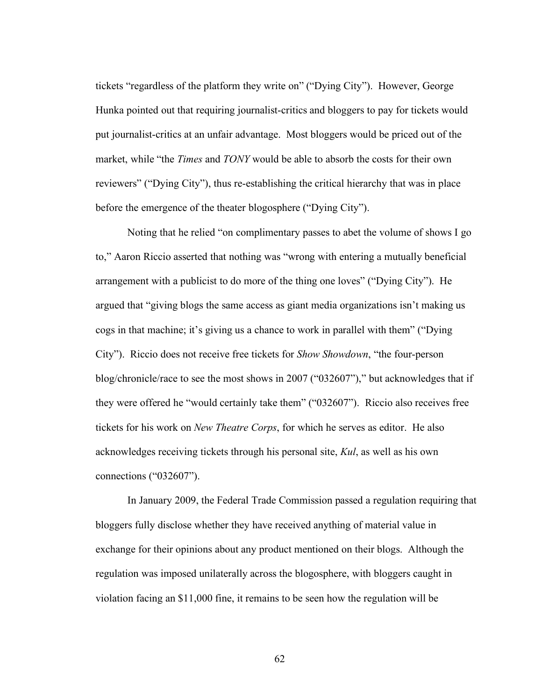tickets "regardless of the platform they write on" ("Dying City"). However, George Hunka pointed out that requiring journalist-critics and bloggers to pay for tickets would put journalist-critics at an unfair advantage. Most bloggers would be priced out of the market, while "the *Times* and *TONY* would be able to absorb the costs for their own reviewers" ("Dying City"), thus re-establishing the critical hierarchy that was in place before the emergence of the theater blogosphere ("Dying City").

Noting that he relied "on complimentary passes to abet the volume of shows I go to," Aaron Riccio asserted that nothing was "wrong with entering a mutually beneficial arrangement with a publicist to do more of the thing one loves" ("Dying City"). He argued that "giving blogs the same access as giant media organizations isn't making us cogs in that machine; it's giving us a chance to work in parallel with them" ("Dying City"). Riccio does not receive free tickets for *Show Showdown*, "the four-person blog/chronicle/race to see the most shows in 2007 ("032607")," but acknowledges that if they were offered he "would certainly take them" ("032607"). Riccio also receives free tickets for his work on *New Theatre Corps*, for which he serves as editor. He also acknowledges receiving tickets through his personal site, *Kul*, as well as his own connections ("032607").

In January 2009, the Federal Trade Commission passed a regulation requiring that bloggers fully disclose whether they have received anything of material value in exchange for their opinions about any product mentioned on their blogs. Although the regulation was imposed unilaterally across the blogosphere, with bloggers caught in violation facing an \$11,000 fine, it remains to be seen how the regulation will be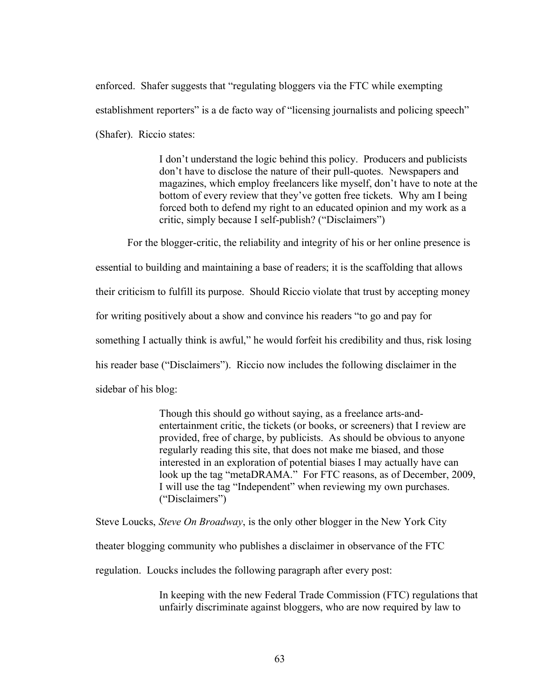enforced. Shafer suggests that "regulating bloggers via the FTC while exempting establishment reporters" is a de facto way of "licensing journalists and policing speech" (Shafer). Riccio states:

> I don't understand the logic behind this policy. Producers and publicists don't have to disclose the nature of their pull-quotes. Newspapers and magazines, which employ freelancers like myself, don't have to note at the bottom of every review that they've gotten free tickets. Why am I being forced both to defend my right to an educated opinion and my work as a critic, simply because I self-publish? ("Disclaimers")

For the blogger-critic, the reliability and integrity of his or her online presence is essential to building and maintaining a base of readers; it is the scaffolding that allows their criticism to fulfill its purpose. Should Riccio violate that trust by accepting money for writing positively about a show and convince his readers "to go and pay for something I actually think is awful," he would forfeit his credibility and thus, risk losing his reader base ("Disclaimers"). Riccio now includes the following disclaimer in the sidebar of his blog:

> Though this should go without saying, as a freelance arts-andentertainment critic, the tickets (or books, or screeners) that I review are provided, free of charge, by publicists. As should be obvious to anyone regularly reading this site, that does not make me biased, and those interested in an exploration of potential biases I may actually have can look up the tag "metaDRAMA." For FTC reasons, as of December, 2009, I will use the tag "Independent" when reviewing my own purchases. ("Disclaimers")

Steve Loucks, *Steve On Broadway*, is the only other blogger in the New York City theater blogging community who publishes a disclaimer in observance of the FTC regulation. Loucks includes the following paragraph after every post:

> In keeping with the new Federal Trade Commission (FTC) regulations that unfairly discriminate against bloggers, who are now required by law to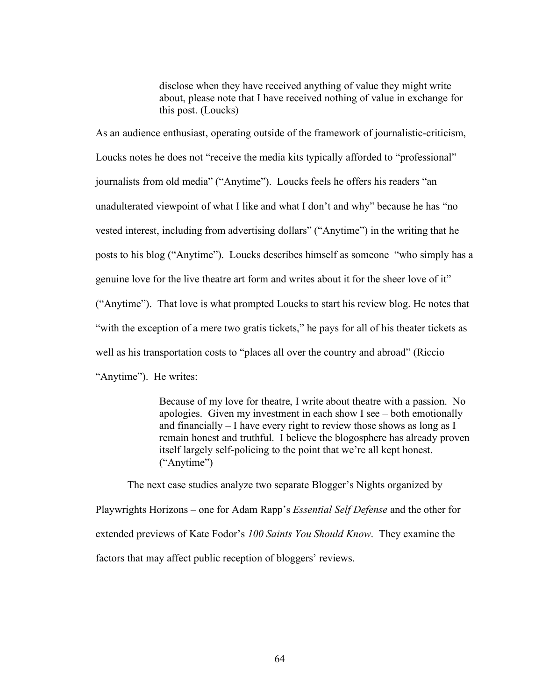disclose when they have received anything of value they might write about, please note that I have received nothing of value in exchange for this post. (Loucks)

As an audience enthusiast, operating outside of the framework of journalistic-criticism, Loucks notes he does not "receive the media kits typically afforded to "professional" journalists from old media" ("Anytime"). Loucks feels he offers his readers "an unadulterated viewpoint of what I like and what I don't and why" because he has "no vested interest, including from advertising dollars" ("Anytime") in the writing that he posts to his blog ("Anytime"). Loucks describes himself as someone "who simply has a genuine love for the live theatre art form and writes about it for the sheer love of it" ("Anytime"). That love is what prompted Loucks to start his review blog. He notes that "with the exception of a mere two gratis tickets," he pays for all of his theater tickets as well as his transportation costs to "places all over the country and abroad" (Riccio "Anytime"). He writes:

> Because of my love for theatre, I write about theatre with a passion. No apologies. Given my investment in each show I see – both emotionally and financially – I have every right to review those shows as long as I remain honest and truthful. I believe the blogosphere has already proven itself largely self-policing to the point that we're all kept honest. ("Anytime")

The next case studies analyze two separate Blogger's Nights organized by Playwrights Horizons – one for Adam Rapp's *Essential Self Defense* and the other for extended previews of Kate Fodor's *100 Saints You Should Know*. They examine the factors that may affect public reception of bloggers' reviews.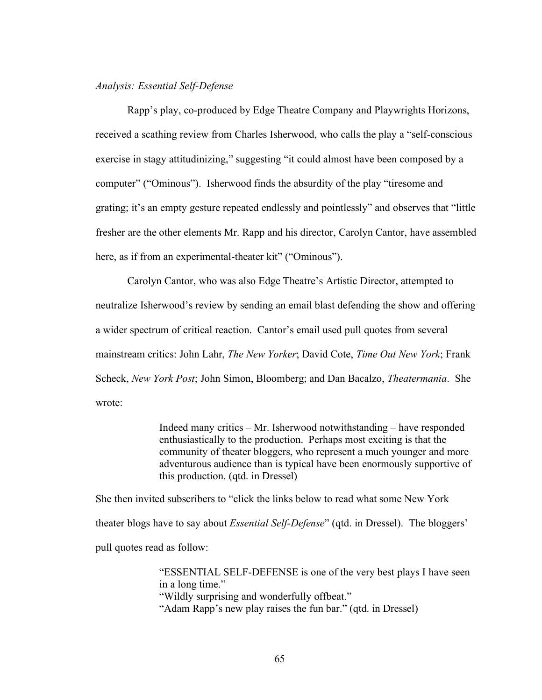### *Analysis: Essential Self-Defense*

Rapp's play, co-produced by Edge Theatre Company and Playwrights Horizons, received a scathing review from Charles Isherwood, who calls the play a "self-conscious exercise in stagy attitudinizing," suggesting "it could almost have been composed by a computer" ("Ominous"). Isherwood finds the absurdity of the play "tiresome and grating; it's an empty gesture repeated endlessly and pointlessly" and observes that "little fresher are the other elements Mr. Rapp and his director, Carolyn Cantor, have assembled here, as if from an experimental-theater kit" ("Ominous").

Carolyn Cantor, who was also Edge Theatre's Artistic Director, attempted to neutralize Isherwood's review by sending an email blast defending the show and offering a wider spectrum of critical reaction. Cantor's email used pull quotes from several mainstream critics: John Lahr, *The New Yorker*; David Cote, *Time Out New York*; Frank Scheck, *New York Post*; John Simon, Bloomberg; and Dan Bacalzo, *Theatermania*. She wrote:

> Indeed many critics – Mr. Isherwood notwithstanding – have responded enthusiastically to the production. Perhaps most exciting is that the community of theater bloggers, who represent a much younger and more adventurous audience than is typical have been enormously supportive of this production. (qtd. in Dressel)

She then invited subscribers to "click the links below to read what some New York theater blogs have to say about *Essential Self-Defense*" (qtd. in Dressel). The bloggers' pull quotes read as follow:

> "ESSENTIAL SELF-DEFENSE is one of the very best plays I have seen in a long time." "Wildly surprising and wonderfully offbeat." "Adam Rapp's new play raises the fun bar." (qtd. in Dressel)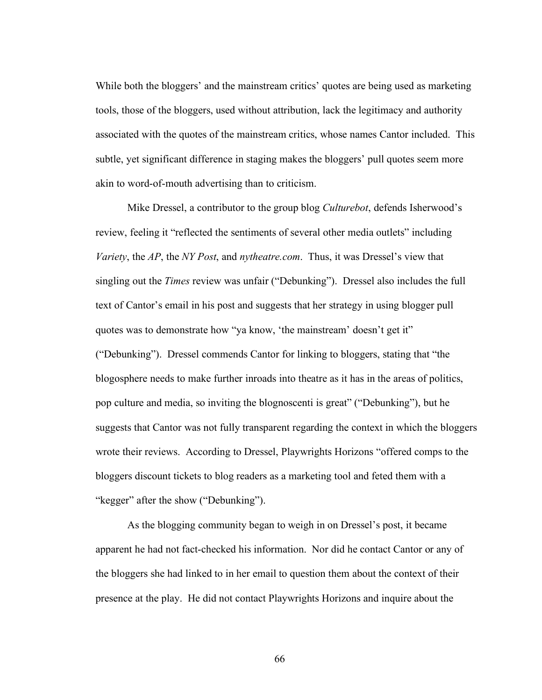While both the bloggers' and the mainstream critics' quotes are being used as marketing tools, those of the bloggers, used without attribution, lack the legitimacy and authority associated with the quotes of the mainstream critics, whose names Cantor included. This subtle, yet significant difference in staging makes the bloggers' pull quotes seem more akin to word-of-mouth advertising than to criticism.

Mike Dressel, a contributor to the group blog *Culturebot*, defends Isherwood's review, feeling it "reflected the sentiments of several other media outlets" including *Variety*, the *AP*, the *NY Post*, and *nytheatre.com*. Thus, it was Dressel's view that singling out the *Times* review was unfair ("Debunking"). Dressel also includes the full text of Cantor's email in his post and suggests that her strategy in using blogger pull quotes was to demonstrate how "ya know, 'the mainstream' doesn't get it" ("Debunking"). Dressel commends Cantor for linking to bloggers, stating that "the blogosphere needs to make further inroads into theatre as it has in the areas of politics, pop culture and media, so inviting the blognoscenti is great" ("Debunking"), but he suggests that Cantor was not fully transparent regarding the context in which the bloggers wrote their reviews. According to Dressel, Playwrights Horizons "offered comps to the bloggers discount tickets to blog readers as a marketing tool and feted them with a "kegger" after the show ("Debunking").

As the blogging community began to weigh in on Dressel's post, it became apparent he had not fact-checked his information. Nor did he contact Cantor or any of the bloggers she had linked to in her email to question them about the context of their presence at the play. He did not contact Playwrights Horizons and inquire about the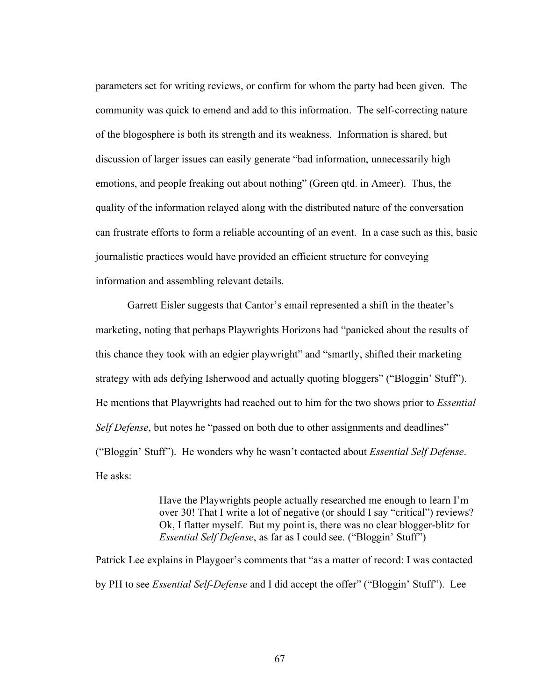parameters set for writing reviews, or confirm for whom the party had been given. The community was quick to emend and add to this information. The self-correcting nature of the blogosphere is both its strength and its weakness. Information is shared, but discussion of larger issues can easily generate "bad information, unnecessarily high emotions, and people freaking out about nothing" (Green qtd. in Ameer). Thus, the quality of the information relayed along with the distributed nature of the conversation can frustrate efforts to form a reliable accounting of an event. In a case such as this, basic journalistic practices would have provided an efficient structure for conveying information and assembling relevant details.

Garrett Eisler suggests that Cantor's email represented a shift in the theater's marketing, noting that perhaps Playwrights Horizons had "panicked about the results of this chance they took with an edgier playwright" and "smartly, shifted their marketing strategy with ads defying Isherwood and actually quoting bloggers" ("Bloggin' Stuff"). He mentions that Playwrights had reached out to him for the two shows prior to *Essential Self Defense*, but notes he "passed on both due to other assignments and deadlines" ("Bloggin' Stuff"). He wonders why he wasn't contacted about *Essential Self Defense*. He asks:

> Have the Playwrights people actually researched me enough to learn I'm over 30! That I write a lot of negative (or should I say "critical") reviews? Ok, I flatter myself. But my point is, there was no clear blogger-blitz for *Essential Self Defense*, as far as I could see. ("Bloggin' Stuff")

Patrick Lee explains in Playgoer's comments that "as a matter of record: I was contacted by PH to see *Essential Self-Defense* and I did accept the offer" ("Bloggin' Stuff"). Lee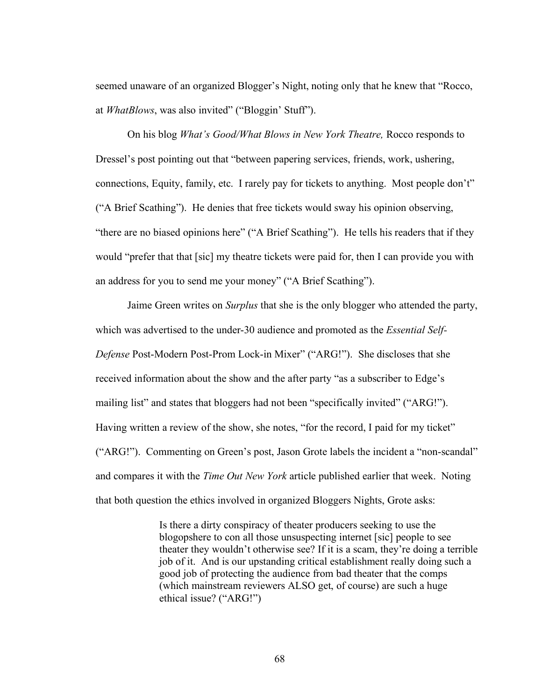seemed unaware of an organized Blogger's Night, noting only that he knew that "Rocco, at *WhatBlows*, was also invited" ("Bloggin' Stuff").

On his blog *What's Good/What Blows in New York Theatre,* Rocco responds to Dressel's post pointing out that "between papering services, friends, work, ushering, connections, Equity, family, etc. I rarely pay for tickets to anything. Most people don't" ("A Brief Scathing"). He denies that free tickets would sway his opinion observing, "there are no biased opinions here" ("A Brief Scathing"). He tells his readers that if they would "prefer that that [sic] my theatre tickets were paid for, then I can provide you with an address for you to send me your money" ("A Brief Scathing").

Jaime Green writes on *Surplus* that she is the only blogger who attended the party, which was advertised to the under-30 audience and promoted as the *Essential Self-Defense* Post-Modern Post-Prom Lock-in Mixer" ("ARG!"). She discloses that she received information about the show and the after party "as a subscriber to Edge's mailing list" and states that bloggers had not been "specifically invited" ("ARG!"). Having written a review of the show, she notes, "for the record, I paid for my ticket" ("ARG!"). Commenting on Green's post, Jason Grote labels the incident a "non-scandal" and compares it with the *Time Out New York* article published earlier that week. Noting that both question the ethics involved in organized Bloggers Nights, Grote asks:

> Is there a dirty conspiracy of theater producers seeking to use the blogopshere to con all those unsuspecting internet [sic] people to see theater they wouldn't otherwise see? If it is a scam, they're doing a terrible job of it. And is our upstanding critical establishment really doing such a good job of protecting the audience from bad theater that the comps (which mainstream reviewers ALSO get, of course) are such a huge ethical issue? ("ARG!")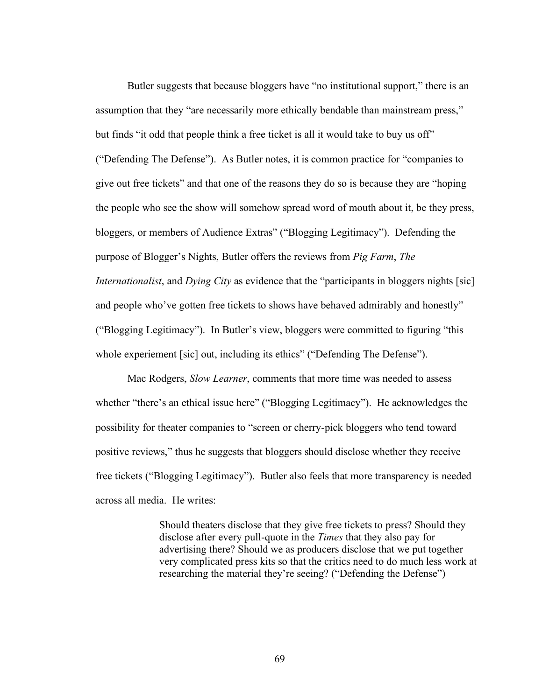Butler suggests that because bloggers have "no institutional support," there is an assumption that they "are necessarily more ethically bendable than mainstream press," but finds "it odd that people think a free ticket is all it would take to buy us off" ("Defending The Defense"). As Butler notes, it is common practice for "companies to give out free tickets" and that one of the reasons they do so is because they are "hoping the people who see the show will somehow spread word of mouth about it, be they press, bloggers, or members of Audience Extras" ("Blogging Legitimacy"). Defending the purpose of Blogger's Nights, Butler offers the reviews from *Pig Farm*, *The Internationalist*, and *Dying City* as evidence that the "participants in bloggers nights [sic] and people who've gotten free tickets to shows have behaved admirably and honestly" ("Blogging Legitimacy"). In Butler's view, bloggers were committed to figuring "this whole experiement [sic] out, including its ethics" ("Defending The Defense").

Mac Rodgers, *Slow Learner*, comments that more time was needed to assess whether "there's an ethical issue here" ("Blogging Legitimacy"). He acknowledges the possibility for theater companies to "screen or cherry-pick bloggers who tend toward positive reviews," thus he suggests that bloggers should disclose whether they receive free tickets ("Blogging Legitimacy"). Butler also feels that more transparency is needed across all media. He writes:

> Should theaters disclose that they give free tickets to press? Should they disclose after every pull-quote in the *Times* that they also pay for advertising there? Should we as producers disclose that we put together very complicated press kits so that the critics need to do much less work at researching the material they're seeing? ("Defending the Defense")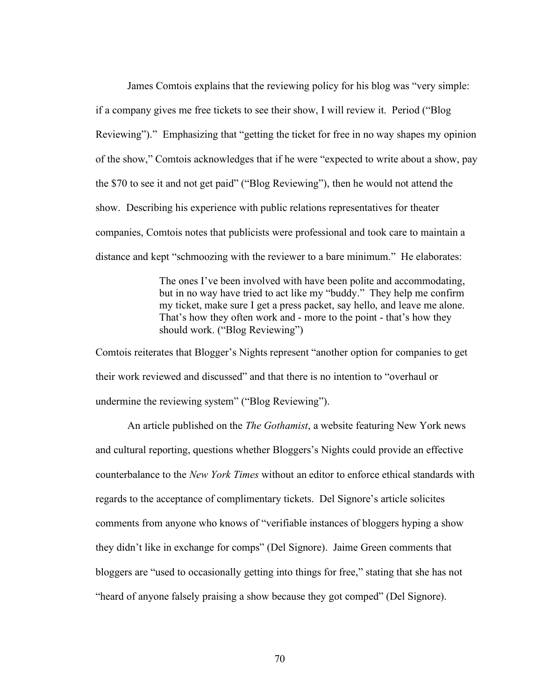James Comtois explains that the reviewing policy for his blog was "very simple: if a company gives me free tickets to see their show, I will review it. Period ("Blog Reviewing")." Emphasizing that "getting the ticket for free in no way shapes my opinion of the show," Comtois acknowledges that if he were "expected to write about a show, pay the \$70 to see it and not get paid" ("Blog Reviewing"), then he would not attend the show. Describing his experience with public relations representatives for theater companies, Comtois notes that publicists were professional and took care to maintain a distance and kept "schmoozing with the reviewer to a bare minimum." He elaborates:

> The ones I've been involved with have been polite and accommodating, but in no way have tried to act like my "buddy." They help me confirm my ticket, make sure I get a press packet, say hello, and leave me alone. That's how they often work and - more to the point - that's how they should work. ("Blog Reviewing")

Comtois reiterates that Blogger's Nights represent "another option for companies to get their work reviewed and discussed" and that there is no intention to "overhaul or undermine the reviewing system" ("Blog Reviewing").

An article published on the *The Gothamist*, a website featuring New York news and cultural reporting, questions whether Bloggers's Nights could provide an effective counterbalance to the *New York Times* without an editor to enforce ethical standards with regards to the acceptance of complimentary tickets. Del Signore's article solicites comments from anyone who knows of "verifiable instances of bloggers hyping a show they didn't like in exchange for comps" (Del Signore). Jaime Green comments that bloggers are "used to occasionally getting into things for free," stating that she has not "heard of anyone falsely praising a show because they got comped" (Del Signore).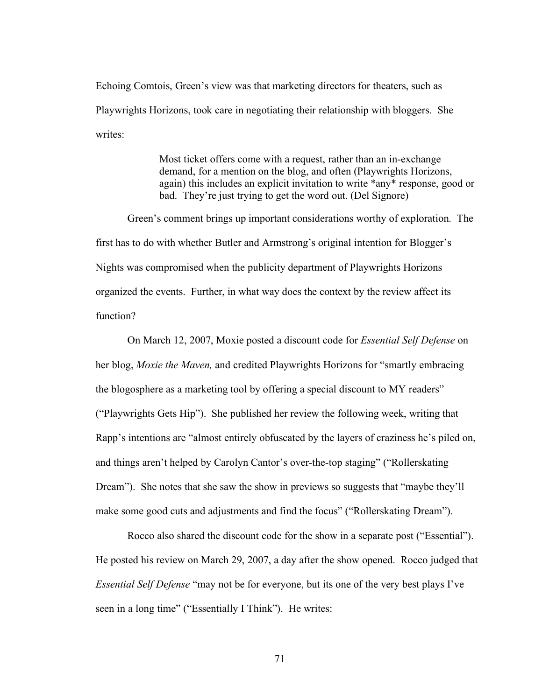Echoing Comtois, Green's view was that marketing directors for theaters, such as Playwrights Horizons, took care in negotiating their relationship with bloggers. She writes:

> Most ticket offers come with a request, rather than an in-exchange demand, for a mention on the blog, and often (Playwrights Horizons, again) this includes an explicit invitation to write \*any\* response, good or bad. They're just trying to get the word out. (Del Signore)

Green's comment brings up important considerations worthy of exploration. The first has to do with whether Butler and Armstrong's original intention for Blogger's Nights was compromised when the publicity department of Playwrights Horizons organized the events. Further, in what way does the context by the review affect its function?

On March 12, 2007, Moxie posted a discount code for *Essential Self Defense* on her blog, *Moxie the Maven,* and credited Playwrights Horizons for "smartly embracing the blogosphere as a marketing tool by offering a special discount to MY readers" ("Playwrights Gets Hip"). She published her review the following week, writing that Rapp's intentions are "almost entirely obfuscated by the layers of craziness he's piled on, and things aren't helped by Carolyn Cantor's over-the-top staging" ("Rollerskating Dream"). She notes that she saw the show in previews so suggests that "maybe they'll make some good cuts and adjustments and find the focus" ("Rollerskating Dream").

Rocco also shared the discount code for the show in a separate post ("Essential"). He posted his review on March 29, 2007, a day after the show opened. Rocco judged that *Essential Self Defense* "may not be for everyone, but its one of the very best plays I've seen in a long time" ("Essentially I Think"). He writes: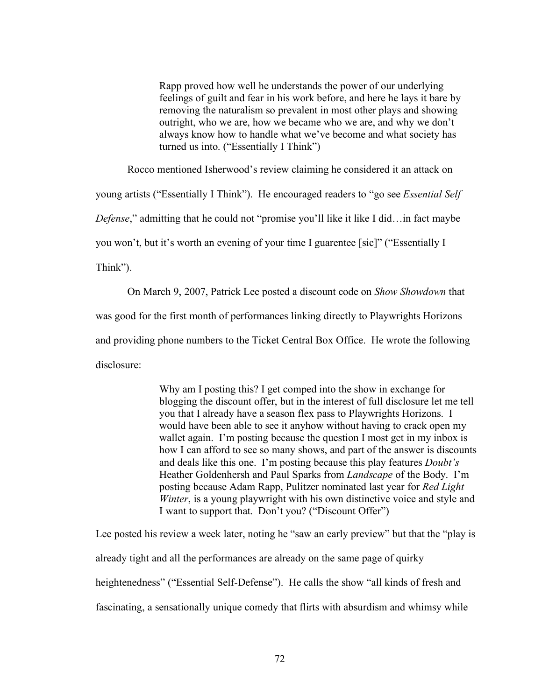Rapp proved how well he understands the power of our underlying feelings of guilt and fear in his work before, and here he lays it bare by removing the naturalism so prevalent in most other plays and showing outright, who we are, how we became who we are, and why we don't always know how to handle what we've become and what society has turned us into. ("Essentially I Think")

Rocco mentioned Isherwood's review claiming he considered it an attack on

young artists ("Essentially I Think"). He encouraged readers to "go see *Essential Self* 

*Defense*," admitting that he could not "promise you'll like it like I did…in fact maybe

you won't, but it's worth an evening of your time I guarentee [sic]" ("Essentially I

Think").

On March 9, 2007, Patrick Lee posted a discount code on *Show Showdown* that was good for the first month of performances linking directly to Playwrights Horizons and providing phone numbers to the Ticket Central Box Office. He wrote the following disclosure:

> Why am I posting this? I get comped into the show in exchange for blogging the discount offer, but in the interest of full disclosure let me tell you that I already have a season flex pass to Playwrights Horizons. I would have been able to see it anyhow without having to crack open my wallet again. I'm posting because the question I most get in my inbox is how I can afford to see so many shows, and part of the answer is discounts and deals like this one. I'm posting because this play features *Doubt's*  Heather Goldenhersh and Paul Sparks from *Landscape* of the Body. I'm posting because Adam Rapp, Pulitzer nominated last year for *Red Light Winter*, is a young playwright with his own distinctive voice and style and I want to support that. Don't you? ("Discount Offer")

Lee posted his review a week later, noting he "saw an early preview" but that the "play is already tight and all the performances are already on the same page of quirky heightenedness" ("Essential Self-Defense"). He calls the show "all kinds of fresh and fascinating, a sensationally unique comedy that flirts with absurdism and whimsy while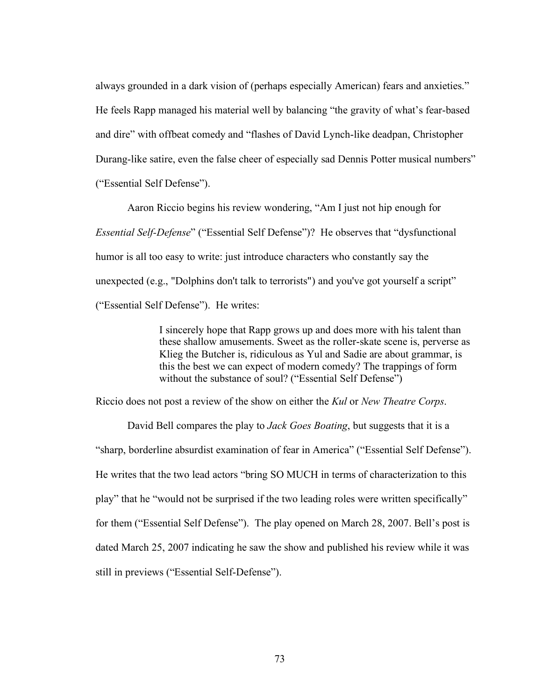always grounded in a dark vision of (perhaps especially American) fears and anxieties." He feels Rapp managed his material well by balancing "the gravity of what's fear-based and dire" with offbeat comedy and "flashes of David Lynch-like deadpan, Christopher Durang-like satire, even the false cheer of especially sad Dennis Potter musical numbers" ("Essential Self Defense").

Aaron Riccio begins his review wondering, "Am I just not hip enough for *Essential Self-Defense*" ("Essential Self Defense")? He observes that "dysfunctional humor is all too easy to write: just introduce characters who constantly say the unexpected (e.g., "Dolphins don't talk to terrorists") and you've got yourself a script" ("Essential Self Defense"). He writes:

> I sincerely hope that Rapp grows up and does more with his talent than these shallow amusements. Sweet as the roller-skate scene is, perverse as Klieg the Butcher is, ridiculous as Yul and Sadie are about grammar, is this the best we can expect of modern comedy? The trappings of form without the substance of soul? ("Essential Self Defense")

Riccio does not post a review of the show on either the *Kul* or *New Theatre Corps*.

David Bell compares the play to *Jack Goes Boating*, but suggests that it is a "sharp, borderline absurdist examination of fear in America" ("Essential Self Defense"). He writes that the two lead actors "bring SO MUCH in terms of characterization to this play" that he "would not be surprised if the two leading roles were written specifically" for them ("Essential Self Defense"). The play opened on March 28, 2007. Bell's post is dated March 25, 2007 indicating he saw the show and published his review while it was still in previews ("Essential Self-Defense").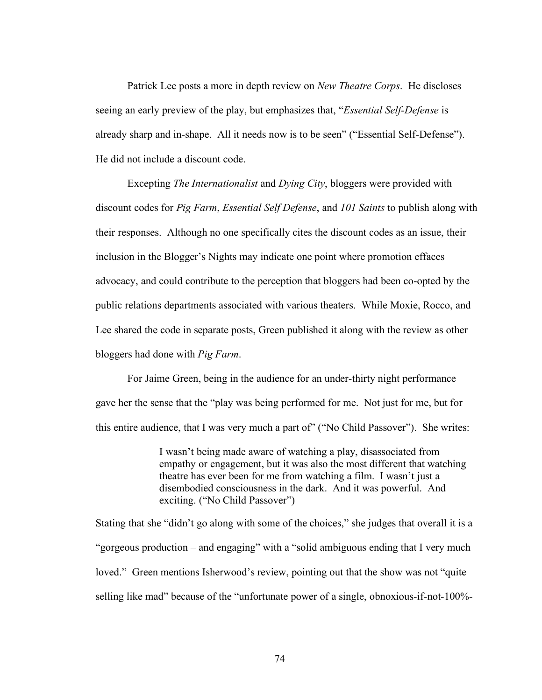Patrick Lee posts a more in depth review on *New Theatre Corps*. He discloses seeing an early preview of the play, but emphasizes that, "*Essential Self-Defense* is already sharp and in-shape. All it needs now is to be seen" ("Essential Self-Defense"). He did not include a discount code.

Excepting *The Internationalist* and *Dying City*, bloggers were provided with discount codes for *Pig Farm*, *Essential Self Defense*, and *101 Saints* to publish along with their responses. Although no one specifically cites the discount codes as an issue, their inclusion in the Blogger's Nights may indicate one point where promotion effaces advocacy, and could contribute to the perception that bloggers had been co-opted by the public relations departments associated with various theaters. While Moxie, Rocco, and Lee shared the code in separate posts, Green published it along with the review as other bloggers had done with *Pig Farm*.

For Jaime Green, being in the audience for an under-thirty night performance gave her the sense that the "play was being performed for me. Not just for me, but for this entire audience, that I was very much a part of" ("No Child Passover"). She writes:

> I wasn't being made aware of watching a play, disassociated from empathy or engagement, but it was also the most different that watching theatre has ever been for me from watching a film. I wasn't just a disembodied consciousness in the dark. And it was powerful. And exciting. ("No Child Passover")

Stating that she "didn't go along with some of the choices," she judges that overall it is a "gorgeous production – and engaging" with a "solid ambiguous ending that I very much loved." Green mentions Isherwood's review, pointing out that the show was not "quite selling like mad" because of the "unfortunate power of a single, obnoxious-if-not-100%-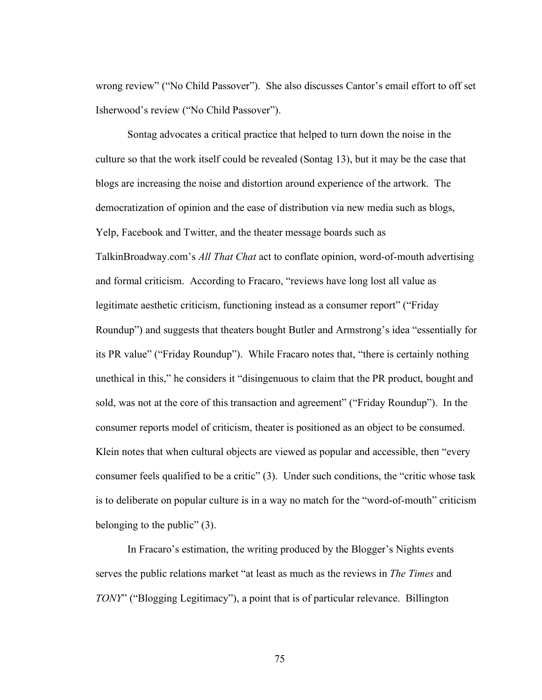wrong review" ("No Child Passover"). She also discusses Cantor's email effort to off set Isherwood's review ("No Child Passover").

Sontag advocates a critical practice that helped to turn down the noise in the culture so that the work itself could be revealed (Sontag 13), but it may be the case that blogs are increasing the noise and distortion around experience of the artwork. The democratization of opinion and the ease of distribution via new media such as blogs, Yelp, Facebook and Twitter, and the theater message boards such as TalkinBroadway.com's *All That Chat* act to conflate opinion, word-of-mouth advertising and formal criticism. According to Fracaro, "reviews have long lost all value as legitimate aesthetic criticism, functioning instead as a consumer report" ("Friday Roundup") and suggests that theaters bought Butler and Armstrong's idea "essentially for its PR value" ("Friday Roundup"). While Fracaro notes that, "there is certainly nothing unethical in this," he considers it "disingenuous to claim that the PR product, bought and sold, was not at the core of this transaction and agreement" ("Friday Roundup"). In the consumer reports model of criticism, theater is positioned as an object to be consumed. Klein notes that when cultural objects are viewed as popular and accessible, then "every consumer feels qualified to be a critic" (3). Under such conditions, the "critic whose task is to deliberate on popular culture is in a way no match for the "word-of-mouth" criticism belonging to the public" (3).

In Fracaro's estimation, the writing produced by the Blogger's Nights events serves the public relations market "at least as much as the reviews in *The Times* and *TONY*" ("Blogging Legitimacy"), a point that is of particular relevance. Billington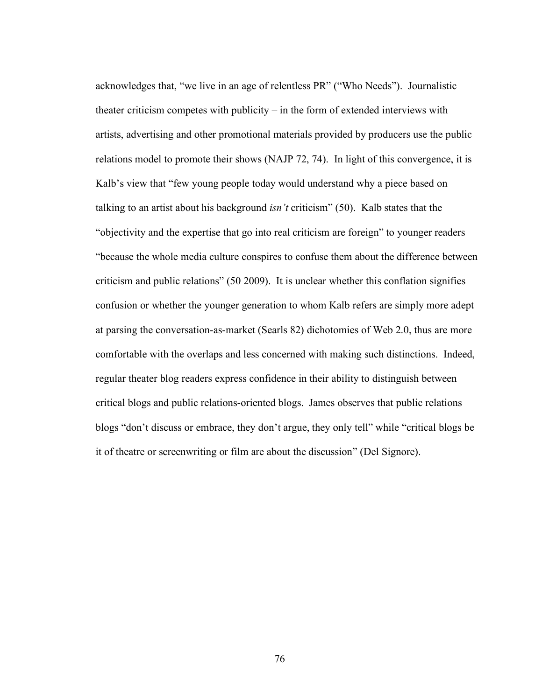acknowledges that, "we live in an age of relentless PR" ("Who Needs"). Journalistic theater criticism competes with publicity – in the form of extended interviews with artists, advertising and other promotional materials provided by producers use the public relations model to promote their shows (NAJP 72, 74). In light of this convergence, it is Kalb's view that "few young people today would understand why a piece based on talking to an artist about his background *isn't* criticism" (50). Kalb states that the "objectivity and the expertise that go into real criticism are foreign" to younger readers "because the whole media culture conspires to confuse them about the difference between criticism and public relations" (50 2009). It is unclear whether this conflation signifies confusion or whether the younger generation to whom Kalb refers are simply more adept at parsing the conversation-as-market (Searls 82) dichotomies of Web 2.0, thus are more comfortable with the overlaps and less concerned with making such distinctions. Indeed, regular theater blog readers express confidence in their ability to distinguish between critical blogs and public relations-oriented blogs. James observes that public relations blogs "don't discuss or embrace, they don't argue, they only tell" while "critical blogs be it of theatre or screenwriting or film are about the discussion" (Del Signore).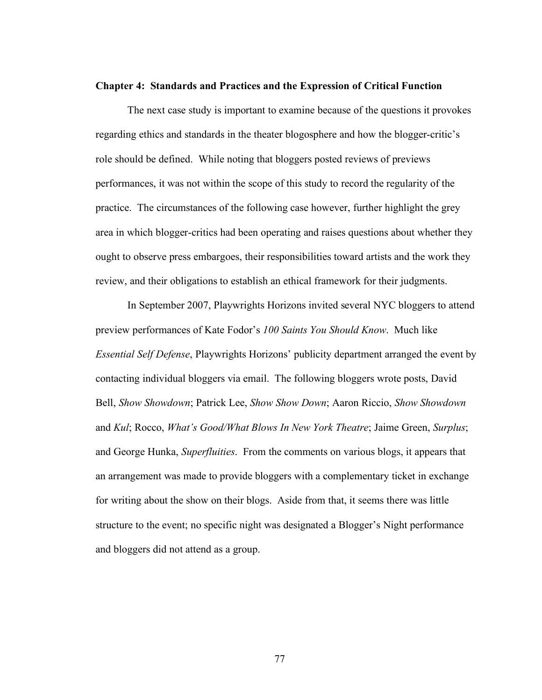## **Chapter 4: Standards and Practices and the Expression of Critical Function**

The next case study is important to examine because of the questions it provokes regarding ethics and standards in the theater blogosphere and how the blogger-critic's role should be defined. While noting that bloggers posted reviews of previews performances, it was not within the scope of this study to record the regularity of the practice. The circumstances of the following case however, further highlight the grey area in which blogger-critics had been operating and raises questions about whether they ought to observe press embargoes, their responsibilities toward artists and the work they review, and their obligations to establish an ethical framework for their judgments.

In September 2007, Playwrights Horizons invited several NYC bloggers to attend preview performances of Kate Fodor's *100 Saints You Should Know*. Much like *Essential Self Defense*, Playwrights Horizons' publicity department arranged the event by contacting individual bloggers via email. The following bloggers wrote posts, David Bell, *Show Showdown*; Patrick Lee, *Show Show Down*; Aaron Riccio, *Show Showdown* and *Kul*; Rocco, *What's Good/What Blows In New York Theatre*; Jaime Green, *Surplus*; and George Hunka, *Superfluities*. From the comments on various blogs, it appears that an arrangement was made to provide bloggers with a complementary ticket in exchange for writing about the show on their blogs. Aside from that, it seems there was little structure to the event; no specific night was designated a Blogger's Night performance and bloggers did not attend as a group.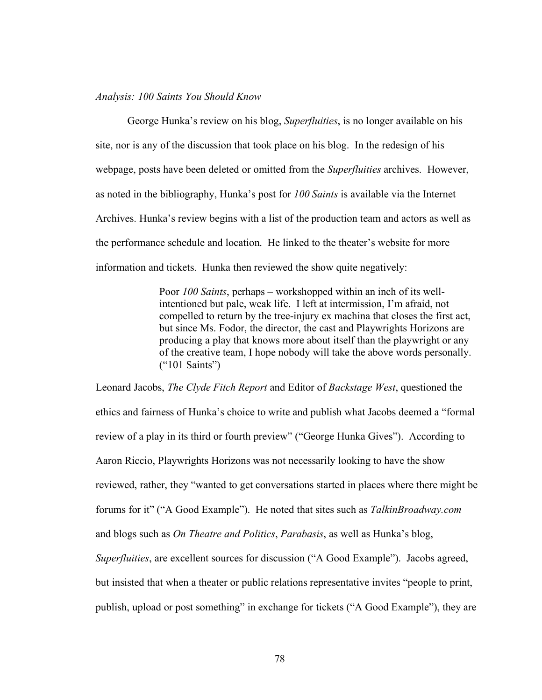## *Analysis: 100 Saints You Should Know*

George Hunka's review on his blog, *Superfluities*, is no longer available on his site, nor is any of the discussion that took place on his blog. In the redesign of his webpage, posts have been deleted or omitted from the *Superfluities* archives. However, as noted in the bibliography, Hunka's post for *100 Saints* is available via the Internet Archives. Hunka's review begins with a list of the production team and actors as well as the performance schedule and location. He linked to the theater's website for more information and tickets. Hunka then reviewed the show quite negatively:

> Poor *100 Saints*, perhaps – workshopped within an inch of its wellintentioned but pale, weak life. I left at intermission, I'm afraid, not compelled to return by the tree-injury ex machina that closes the first act, but since Ms. Fodor, the director, the cast and Playwrights Horizons are producing a play that knows more about itself than the playwright or any of the creative team, I hope nobody will take the above words personally. ("101 Saints")

Leonard Jacobs, *The Clyde Fitch Report* and Editor of *Backstage West*, questioned the ethics and fairness of Hunka's choice to write and publish what Jacobs deemed a "formal review of a play in its third or fourth preview" ("George Hunka Gives"). According to Aaron Riccio, Playwrights Horizons was not necessarily looking to have the show reviewed, rather, they "wanted to get conversations started in places where there might be forums for it" ("A Good Example"). He noted that sites such as *TalkinBroadway.com* and blogs such as *On Theatre and Politics*, *Parabasis*, as well as Hunka's blog, *Superfluities*, are excellent sources for discussion ("A Good Example"). Jacobs agreed, but insisted that when a theater or public relations representative invites "people to print, publish, upload or post something" in exchange for tickets ("A Good Example"), they are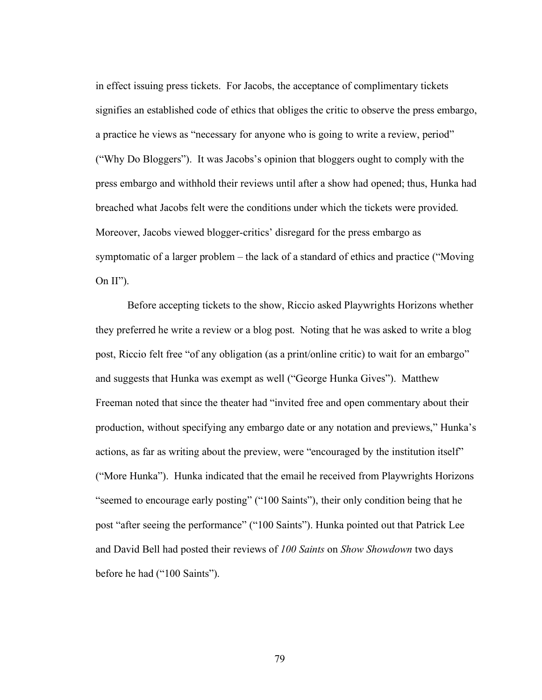in effect issuing press tickets. For Jacobs, the acceptance of complimentary tickets signifies an established code of ethics that obliges the critic to observe the press embargo, a practice he views as "necessary for anyone who is going to write a review, period" ("Why Do Bloggers"). It was Jacobs's opinion that bloggers ought to comply with the press embargo and withhold their reviews until after a show had opened; thus, Hunka had breached what Jacobs felt were the conditions under which the tickets were provided. Moreover, Jacobs viewed blogger-critics' disregard for the press embargo as symptomatic of a larger problem – the lack of a standard of ethics and practice ("Moving On  $II$ ").

Before accepting tickets to the show, Riccio asked Playwrights Horizons whether they preferred he write a review or a blog post. Noting that he was asked to write a blog post, Riccio felt free "of any obligation (as a print/online critic) to wait for an embargo" and suggests that Hunka was exempt as well ("George Hunka Gives"). Matthew Freeman noted that since the theater had "invited free and open commentary about their production, without specifying any embargo date or any notation and previews," Hunka's actions, as far as writing about the preview, were "encouraged by the institution itself" ("More Hunka"). Hunka indicated that the email he received from Playwrights Horizons "seemed to encourage early posting" ("100 Saints"), their only condition being that he post "after seeing the performance" ("100 Saints"). Hunka pointed out that Patrick Lee and David Bell had posted their reviews of *100 Saints* on *Show Showdown* two days before he had ("100 Saints").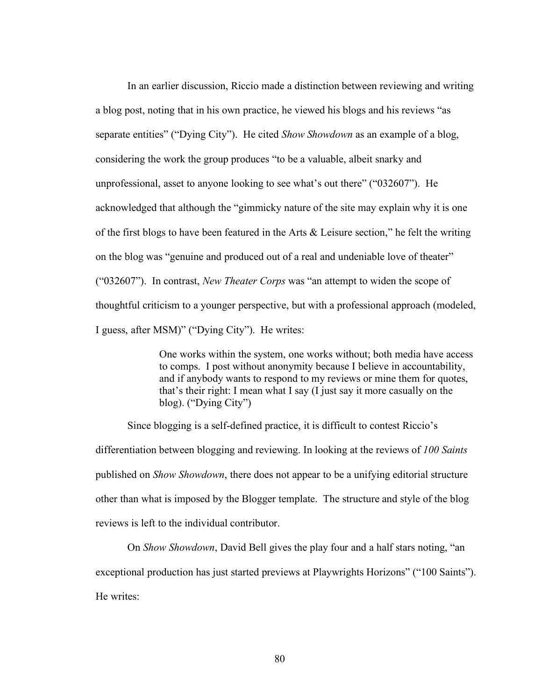In an earlier discussion, Riccio made a distinction between reviewing and writing a blog post, noting that in his own practice, he viewed his blogs and his reviews "as separate entities" ("Dying City"). He cited *Show Showdown* as an example of a blog, considering the work the group produces "to be a valuable, albeit snarky and unprofessional, asset to anyone looking to see what's out there" ("032607"). He acknowledged that although the "gimmicky nature of the site may explain why it is one of the first blogs to have been featured in the Arts  $\&$  Leisure section," he felt the writing on the blog was "genuine and produced out of a real and undeniable love of theater" ("032607"). In contrast, *New Theater Corps* was "an attempt to widen the scope of thoughtful criticism to a younger perspective, but with a professional approach (modeled, I guess, after MSM)" ("Dying City"). He writes:

> One works within the system, one works without; both media have access to comps. I post without anonymity because I believe in accountability, and if anybody wants to respond to my reviews or mine them for quotes, that's their right: I mean what I say (I just say it more casually on the blog). ("Dying City")

Since blogging is a self-defined practice, it is difficult to contest Riccio's differentiation between blogging and reviewing. In looking at the reviews of *100 Saints* published on *Show Showdown*, there does not appear to be a unifying editorial structure other than what is imposed by the Blogger template. The structure and style of the blog reviews is left to the individual contributor.

On *Show Showdown*, David Bell gives the play four and a half stars noting, "an exceptional production has just started previews at Playwrights Horizons" ("100 Saints"). He writes: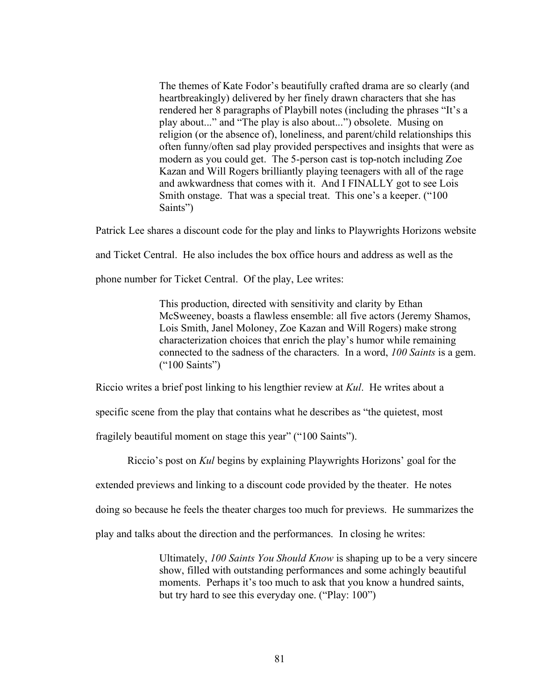The themes of Kate Fodor's beautifully crafted drama are so clearly (and heartbreakingly) delivered by her finely drawn characters that she has rendered her 8 paragraphs of Playbill notes (including the phrases "It's a play about..." and "The play is also about...") obsolete. Musing on religion (or the absence of), loneliness, and parent/child relationships this often funny/often sad play provided perspectives and insights that were as modern as you could get. The 5-person cast is top-notch including Zoe Kazan and Will Rogers brilliantly playing teenagers with all of the rage and awkwardness that comes with it. And I FINALLY got to see Lois Smith onstage. That was a special treat. This one's a keeper. ("100 Saints")

Patrick Lee shares a discount code for the play and links to Playwrights Horizons website

and Ticket Central. He also includes the box office hours and address as well as the

phone number for Ticket Central. Of the play, Lee writes:

This production, directed with sensitivity and clarity by Ethan McSweeney, boasts a flawless ensemble: all five actors (Jeremy Shamos, Lois Smith, Janel Moloney, Zoe Kazan and Will Rogers) make strong characterization choices that enrich the play's humor while remaining connected to the sadness of the characters. In a word, *100 Saints* is a gem. ("100 Saints")

Riccio writes a brief post linking to his lengthier review at *Kul*. He writes about a

specific scene from the play that contains what he describes as "the quietest, most

fragilely beautiful moment on stage this year" ("100 Saints").

Riccio's post on *Kul* begins by explaining Playwrights Horizons' goal for the

extended previews and linking to a discount code provided by the theater. He notes

doing so because he feels the theater charges too much for previews. He summarizes the

play and talks about the direction and the performances. In closing he writes:

Ultimately, *100 Saints You Should Know* is shaping up to be a very sincere show, filled with outstanding performances and some achingly beautiful moments. Perhaps it's too much to ask that you know a hundred saints, but try hard to see this everyday one. ("Play: 100")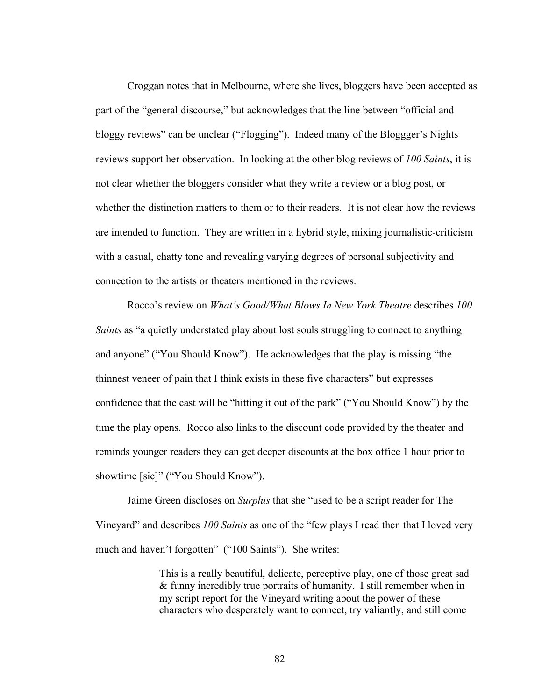Croggan notes that in Melbourne, where she lives, bloggers have been accepted as part of the "general discourse," but acknowledges that the line between "official and bloggy reviews" can be unclear ("Flogging"). Indeed many of the Bloggger's Nights reviews support her observation. In looking at the other blog reviews of *100 Saints*, it is not clear whether the bloggers consider what they write a review or a blog post, or whether the distinction matters to them or to their readers. It is not clear how the reviews are intended to function. They are written in a hybrid style, mixing journalistic-criticism with a casual, chatty tone and revealing varying degrees of personal subjectivity and connection to the artists or theaters mentioned in the reviews.

Rocco's review on *What's Good/What Blows In New York Theatre* describes *100 Saints* as "a quietly understated play about lost souls struggling to connect to anything and anyone" ("You Should Know"). He acknowledges that the play is missing "the thinnest veneer of pain that I think exists in these five characters" but expresses confidence that the cast will be "hitting it out of the park" ("You Should Know") by the time the play opens. Rocco also links to the discount code provided by the theater and reminds younger readers they can get deeper discounts at the box office 1 hour prior to showtime [sic]" ("You Should Know").

Jaime Green discloses on *Surplus* that she "used to be a script reader for The Vineyard" and describes *100 Saints* as one of the "few plays I read then that I loved very much and haven't forgotten" ("100 Saints"). She writes:

> This is a really beautiful, delicate, perceptive play, one of those great sad & funny incredibly true portraits of humanity. I still remember when in my script report for the Vineyard writing about the power of these characters who desperately want to connect, try valiantly, and still come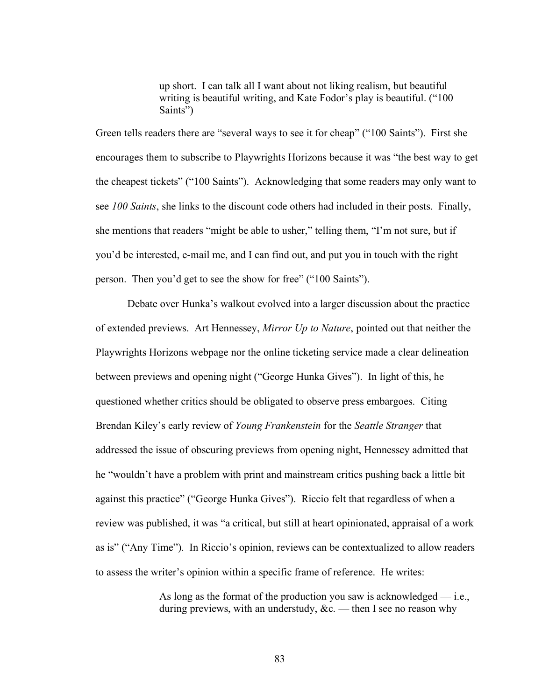up short. I can talk all I want about not liking realism, but beautiful writing is beautiful writing, and Kate Fodor's play is beautiful. ("100 Saints")

Green tells readers there are "several ways to see it for cheap" ("100 Saints"). First she encourages them to subscribe to Playwrights Horizons because it was "the best way to get the cheapest tickets" ("100 Saints"). Acknowledging that some readers may only want to see *100 Saints*, she links to the discount code others had included in their posts. Finally, she mentions that readers "might be able to usher," telling them, "I'm not sure, but if you'd be interested, e-mail me, and I can find out, and put you in touch with the right person. Then you'd get to see the show for free" ("100 Saints").

Debate over Hunka's walkout evolved into a larger discussion about the practice of extended previews. Art Hennessey, *Mirror Up to Nature*, pointed out that neither the Playwrights Horizons webpage nor the online ticketing service made a clear delineation between previews and opening night ("George Hunka Gives"). In light of this, he questioned whether critics should be obligated to observe press embargoes. Citing Brendan Kiley's early review of *Young Frankenstein* for the *Seattle Stranger* that addressed the issue of obscuring previews from opening night, Hennessey admitted that he "wouldn't have a problem with print and mainstream critics pushing back a little bit against this practice" ("George Hunka Gives"). Riccio felt that regardless of when a review was published, it was "a critical, but still at heart opinionated, appraisal of a work as is" ("Any Time"). In Riccio's opinion, reviews can be contextualized to allow readers to assess the writer's opinion within a specific frame of reference. He writes:

> As long as the format of the production you saw is acknowledged  $-$  i.e., during previews, with an understudy,  $\&c$ . — then I see no reason why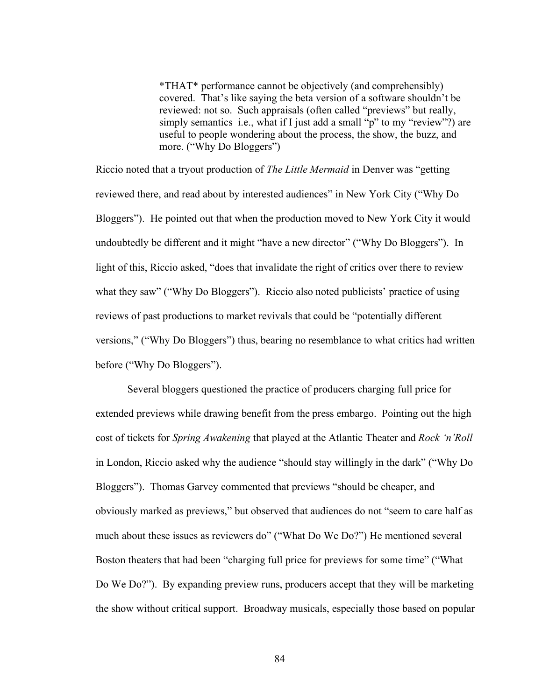\*THAT\* performance cannot be objectively (and comprehensibly) covered. That's like saying the beta version of a software shouldn't be reviewed: not so. Such appraisals (often called "previews" but really, simply semantics–i.e., what if I just add a small "p" to my "review"?) are useful to people wondering about the process, the show, the buzz, and more. ("Why Do Bloggers")

Riccio noted that a tryout production of *The Little Mermaid* in Denver was "getting reviewed there, and read about by interested audiences" in New York City ("Why Do Bloggers"). He pointed out that when the production moved to New York City it would undoubtedly be different and it might "have a new director" ("Why Do Bloggers"). In light of this, Riccio asked, "does that invalidate the right of critics over there to review what they saw" ("Why Do Bloggers"). Riccio also noted publicists' practice of using reviews of past productions to market revivals that could be "potentially different versions," ("Why Do Bloggers") thus, bearing no resemblance to what critics had written before ("Why Do Bloggers").

Several bloggers questioned the practice of producers charging full price for extended previews while drawing benefit from the press embargo. Pointing out the high cost of tickets for *Spring Awakening* that played at the Atlantic Theater and *Rock 'n'Roll* in London, Riccio asked why the audience "should stay willingly in the dark" ("Why Do Bloggers"). Thomas Garvey commented that previews "should be cheaper, and obviously marked as previews," but observed that audiences do not "seem to care half as much about these issues as reviewers do" ("What Do We Do?") He mentioned several Boston theaters that had been "charging full price for previews for some time" ("What Do We Do?"). By expanding preview runs, producers accept that they will be marketing the show without critical support. Broadway musicals, especially those based on popular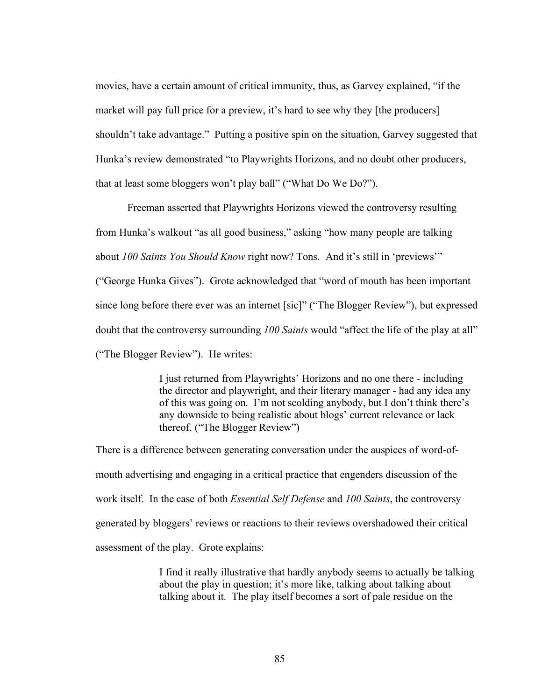movies, have a certain amount of critical immunity, thus, as Garvey explained, "if the market will pay full price for a preview, it's hard to see why they [the producers] shouldn't take advantage." Putting a positive spin on the situation, Garvey suggested that Hunka's review demonstrated "to Playwrights Horizons, and no doubt other producers, that at least some bloggers won't play ball" ("What Do We Do?").

Freeman asserted that Playwrights Horizons viewed the controversy resulting from Hunka's walkout "as all good business," asking "how many people are talking about *100 Saints You Should Know* right now? Tons. And it's still in 'previews'" ("George Hunka Gives"). Grote acknowledged that "word of mouth has been important since long before there ever was an internet [sic]" ("The Blogger Review"), but expressed doubt that the controversy surrounding *100 Saints* would "affect the life of the play at all" ("The Blogger Review"). He writes:

> I just returned from Playwrights' Horizons and no one there - including the director and playwright, and their literary manager - had any idea any of this was going on. I'm not scolding anybody, but I don't think there's any downside to being realistic about blogs' current relevance or lack thereof. ("The Blogger Review")

There is a difference between generating conversation under the auspices of word-ofmouth advertising and engaging in a critical practice that engenders discussion of the work itself. In the case of both *Essential Self Defense* and *100 Saints*, the controversy generated by bloggers' reviews or reactions to their reviews overshadowed their critical assessment of the play. Grote explains:

> I find it really illustrative that hardly anybody seems to actually be talking about the play in question; it's more like, talking about talking about talking about it. The play itself becomes a sort of pale residue on the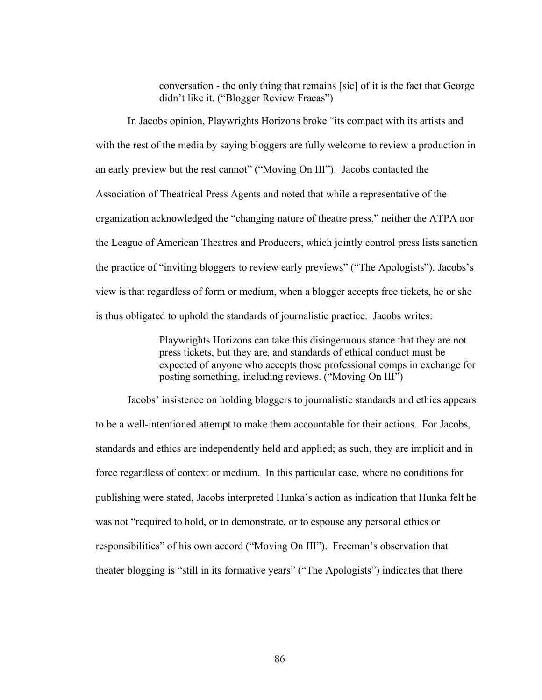conversation - the only thing that remains [sic] of it is the fact that George didn't like it. ("Blogger Review Fracas")

In Jacobs opinion, Playwrights Horizons broke "its compact with its artists and with the rest of the media by saying bloggers are fully welcome to review a production in an early preview but the rest cannot" ("Moving On III"). Jacobs contacted the Association of Theatrical Press Agents and noted that while a representative of the organization acknowledged the "changing nature of theatre press," neither the ATPA nor the League of American Theatres and Producers, which jointly control press lists sanction the practice of "inviting bloggers to review early previews" ("The Apologists"). Jacobs's view is that regardless of form or medium, when a blogger accepts free tickets, he or she is thus obligated to uphold the standards of journalistic practice. Jacobs writes:

> Playwrights Horizons can take this disingenuous stance that they are not press tickets, but they are, and standards of ethical conduct must be expected of anyone who accepts those professional comps in exchange for posting something, including reviews. ("Moving On III")

Jacobs' insistence on holding bloggers to journalistic standards and ethics appears to be a well-intentioned attempt to make them accountable for their actions. For Jacobs, standards and ethics are independently held and applied; as such, they are implicit and in force regardless of context or medium. In this particular case, where no conditions for publishing were stated, Jacobs interpreted Hunka's action as indication that Hunka felt he was not "required to hold, or to demonstrate, or to espouse any personal ethics or responsibilities" of his own accord ("Moving On III"). Freeman's observation that theater blogging is "still in its formative years" ("The Apologists") indicates that there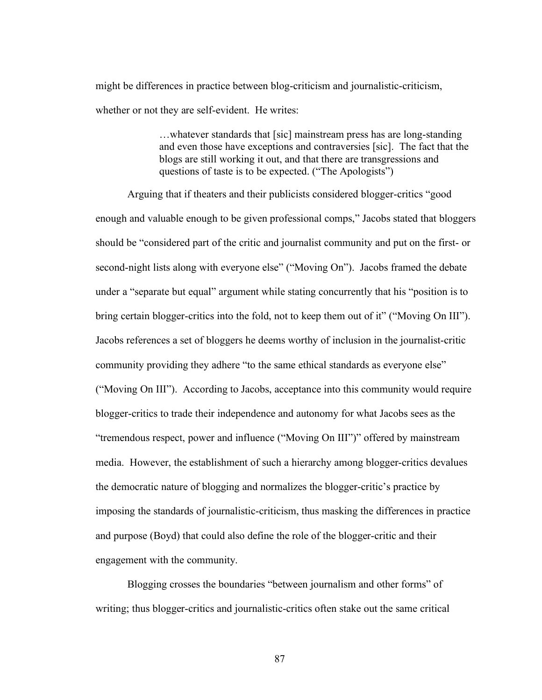might be differences in practice between blog-criticism and journalistic-criticism, whether or not they are self-evident. He writes:

> …whatever standards that [sic] mainstream press has are long-standing and even those have exceptions and contraversies [sic]. The fact that the blogs are still working it out, and that there are transgressions and questions of taste is to be expected. ("The Apologists")

Arguing that if theaters and their publicists considered blogger-critics "good enough and valuable enough to be given professional comps," Jacobs stated that bloggers should be "considered part of the critic and journalist community and put on the first- or second-night lists along with everyone else" ("Moving On"). Jacobs framed the debate under a "separate but equal" argument while stating concurrently that his "position is to bring certain blogger-critics into the fold, not to keep them out of it" ("Moving On III"). Jacobs references a set of bloggers he deems worthy of inclusion in the journalist-critic community providing they adhere "to the same ethical standards as everyone else" ("Moving On III"). According to Jacobs, acceptance into this community would require blogger-critics to trade their independence and autonomy for what Jacobs sees as the "tremendous respect, power and influence ("Moving On III")" offered by mainstream media. However, the establishment of such a hierarchy among blogger-critics devalues the democratic nature of blogging and normalizes the blogger-critic's practice by imposing the standards of journalistic-criticism, thus masking the differences in practice and purpose (Boyd) that could also define the role of the blogger-critic and their engagement with the community.

Blogging crosses the boundaries "between journalism and other forms" of writing; thus blogger-critics and journalistic-critics often stake out the same critical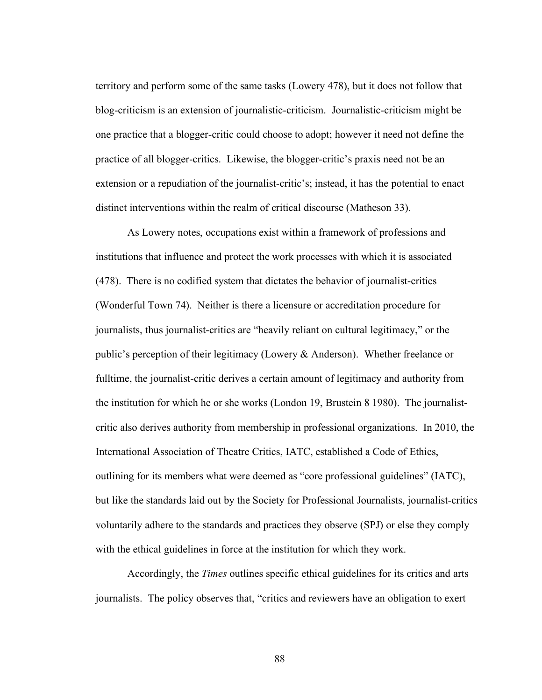territory and perform some of the same tasks (Lowery 478), but it does not follow that blog-criticism is an extension of journalistic-criticism. Journalistic-criticism might be one practice that a blogger-critic could choose to adopt; however it need not define the practice of all blogger-critics. Likewise, the blogger-critic's praxis need not be an extension or a repudiation of the journalist-critic's; instead, it has the potential to enact distinct interventions within the realm of critical discourse (Matheson 33).

As Lowery notes, occupations exist within a framework of professions and institutions that influence and protect the work processes with which it is associated (478). There is no codified system that dictates the behavior of journalist-critics (Wonderful Town 74). Neither is there a licensure or accreditation procedure for journalists, thus journalist-critics are "heavily reliant on cultural legitimacy," or the public's perception of their legitimacy (Lowery & Anderson). Whether freelance or fulltime, the journalist-critic derives a certain amount of legitimacy and authority from the institution for which he or she works (London 19, Brustein 8 1980). The journalistcritic also derives authority from membership in professional organizations. In 2010, the International Association of Theatre Critics, IATC, established a Code of Ethics, outlining for its members what were deemed as "core professional guidelines" (IATC), but like the standards laid out by the Society for Professional Journalists, journalist-critics voluntarily adhere to the standards and practices they observe (SPJ) or else they comply with the ethical guidelines in force at the institution for which they work.

Accordingly, the *Times* outlines specific ethical guidelines for its critics and arts journalists. The policy observes that, "critics and reviewers have an obligation to exert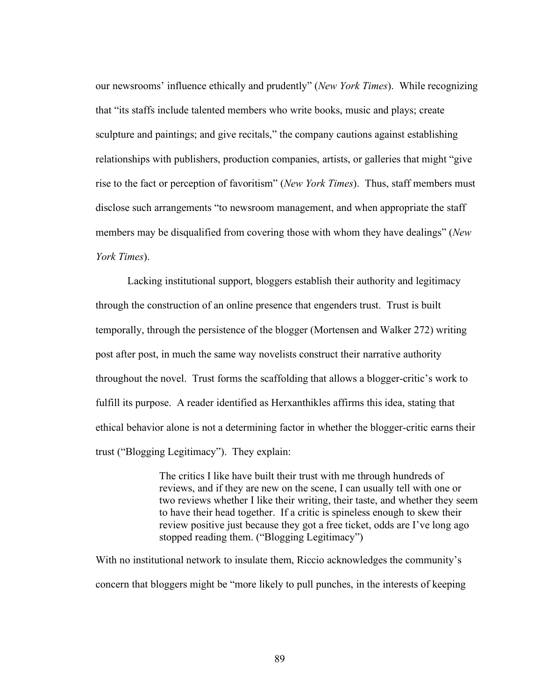our newsrooms' influence ethically and prudently" (*New York Times*). While recognizing that "its staffs include talented members who write books, music and plays; create sculpture and paintings; and give recitals," the company cautions against establishing relationships with publishers, production companies, artists, or galleries that might "give rise to the fact or perception of favoritism" (*New York Times*). Thus, staff members must disclose such arrangements "to newsroom management, and when appropriate the staff members may be disqualified from covering those with whom they have dealings" (*New York Times*).

Lacking institutional support, bloggers establish their authority and legitimacy through the construction of an online presence that engenders trust. Trust is built temporally, through the persistence of the blogger (Mortensen and Walker 272) writing post after post, in much the same way novelists construct their narrative authority throughout the novel. Trust forms the scaffolding that allows a blogger-critic's work to fulfill its purpose. A reader identified as Herxanthikles affirms this idea, stating that ethical behavior alone is not a determining factor in whether the blogger-critic earns their trust ("Blogging Legitimacy"). They explain:

> The critics I like have built their trust with me through hundreds of reviews, and if they are new on the scene, I can usually tell with one or two reviews whether I like their writing, their taste, and whether they seem to have their head together. If a critic is spineless enough to skew their review positive just because they got a free ticket, odds are I've long ago stopped reading them. ("Blogging Legitimacy")

With no institutional network to insulate them, Riccio acknowledges the community's concern that bloggers might be "more likely to pull punches, in the interests of keeping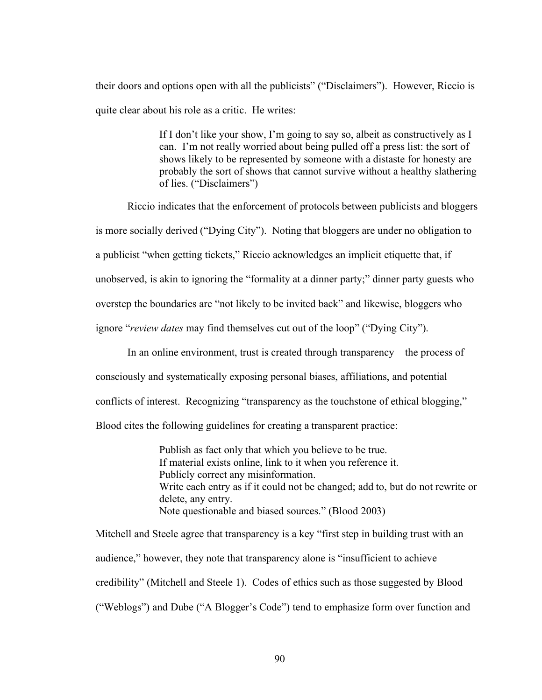their doors and options open with all the publicists" ("Disclaimers"). However, Riccio is quite clear about his role as a critic. He writes:

> If I don't like your show, I'm going to say so, albeit as constructively as I can. I'm not really worried about being pulled off a press list: the sort of shows likely to be represented by someone with a distaste for honesty are probably the sort of shows that cannot survive without a healthy slathering of lies. ("Disclaimers")

Riccio indicates that the enforcement of protocols between publicists and bloggers is more socially derived ("Dying City"). Noting that bloggers are under no obligation to a publicist "when getting tickets," Riccio acknowledges an implicit etiquette that, if unobserved, is akin to ignoring the "formality at a dinner party;" dinner party guests who overstep the boundaries are "not likely to be invited back" and likewise, bloggers who ignore "*review dates* may find themselves cut out of the loop" ("Dying City").

In an online environment, trust is created through transparency – the process of consciously and systematically exposing personal biases, affiliations, and potential conflicts of interest. Recognizing "transparency as the touchstone of ethical blogging," Blood cites the following guidelines for creating a transparent practice:

> Publish as fact only that which you believe to be true. If material exists online, link to it when you reference it. Publicly correct any misinformation. Write each entry as if it could not be changed; add to, but do not rewrite or delete, any entry. Note questionable and biased sources." (Blood 2003)

Mitchell and Steele agree that transparency is a key "first step in building trust with an audience," however, they note that transparency alone is "insufficient to achieve credibility" (Mitchell and Steele 1). Codes of ethics such as those suggested by Blood ("Weblogs") and Dube ("A Blogger's Code") tend to emphasize form over function and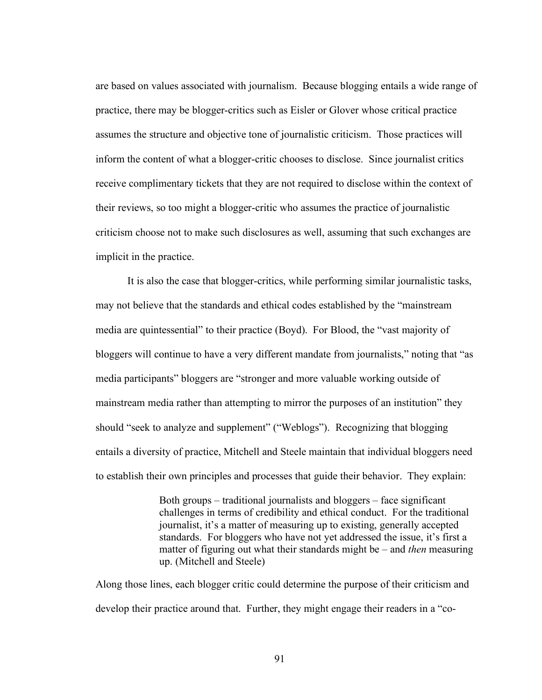are based on values associated with journalism. Because blogging entails a wide range of practice, there may be blogger-critics such as Eisler or Glover whose critical practice assumes the structure and objective tone of journalistic criticism. Those practices will inform the content of what a blogger-critic chooses to disclose. Since journalist critics receive complimentary tickets that they are not required to disclose within the context of their reviews, so too might a blogger-critic who assumes the practice of journalistic criticism choose not to make such disclosures as well, assuming that such exchanges are implicit in the practice.

It is also the case that blogger-critics, while performing similar journalistic tasks, may not believe that the standards and ethical codes established by the "mainstream media are quintessential" to their practice (Boyd). For Blood, the "vast majority of bloggers will continue to have a very different mandate from journalists," noting that "as media participants" bloggers are "stronger and more valuable working outside of mainstream media rather than attempting to mirror the purposes of an institution" they should "seek to analyze and supplement" ("Weblogs"). Recognizing that blogging entails a diversity of practice, Mitchell and Steele maintain that individual bloggers need to establish their own principles and processes that guide their behavior. They explain:

> Both groups – traditional journalists and bloggers – face significant challenges in terms of credibility and ethical conduct. For the traditional journalist, it's a matter of measuring up to existing, generally accepted standards. For bloggers who have not yet addressed the issue, it's first a matter of figuring out what their standards might be – and *then* measuring up. (Mitchell and Steele)

Along those lines, each blogger critic could determine the purpose of their criticism and develop their practice around that. Further, they might engage their readers in a "co-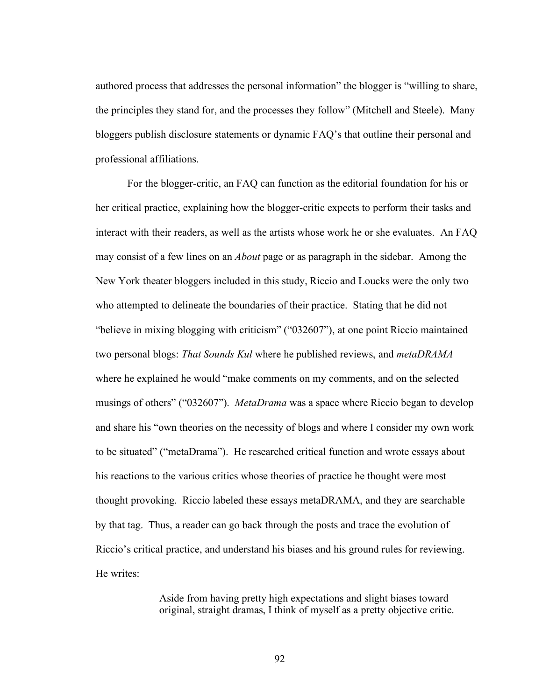authored process that addresses the personal information" the blogger is "willing to share, the principles they stand for, and the processes they follow" (Mitchell and Steele). Many bloggers publish disclosure statements or dynamic FAQ's that outline their personal and professional affiliations.

For the blogger-critic, an FAQ can function as the editorial foundation for his or her critical practice, explaining how the blogger-critic expects to perform their tasks and interact with their readers, as well as the artists whose work he or she evaluates. An FAQ may consist of a few lines on an *About* page or as paragraph in the sidebar. Among the New York theater bloggers included in this study, Riccio and Loucks were the only two who attempted to delineate the boundaries of their practice. Stating that he did not "believe in mixing blogging with criticism" ("032607"), at one point Riccio maintained two personal blogs: *That Sounds Kul* where he published reviews, and *metaDRAMA* where he explained he would "make comments on my comments, and on the selected musings of others" ("032607"). *MetaDrama* was a space where Riccio began to develop and share his "own theories on the necessity of blogs and where I consider my own work to be situated" ("metaDrama"). He researched critical function and wrote essays about his reactions to the various critics whose theories of practice he thought were most thought provoking. Riccio labeled these essays metaDRAMA, and they are searchable by that tag. Thus, a reader can go back through the posts and trace the evolution of Riccio's critical practice, and understand his biases and his ground rules for reviewing. He writes:

> Aside from having pretty high expectations and slight biases toward original, straight dramas, I think of myself as a pretty objective critic.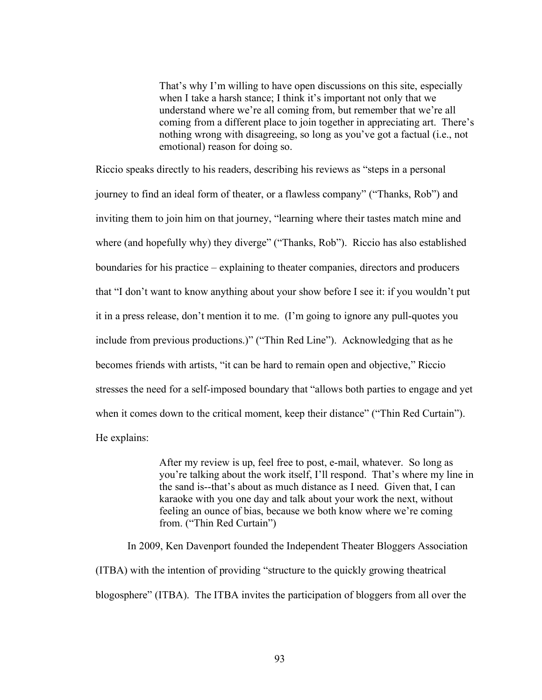That's why I'm willing to have open discussions on this site, especially when I take a harsh stance; I think it's important not only that we understand where we're all coming from, but remember that we're all coming from a different place to join together in appreciating art. There's nothing wrong with disagreeing, so long as you've got a factual (i.e., not emotional) reason for doing so.

Riccio speaks directly to his readers, describing his reviews as "steps in a personal journey to find an ideal form of theater, or a flawless company" ("Thanks, Rob") and inviting them to join him on that journey, "learning where their tastes match mine and where (and hopefully why) they diverge" ("Thanks, Rob"). Riccio has also established boundaries for his practice – explaining to theater companies, directors and producers that "I don't want to know anything about your show before I see it: if you wouldn't put it in a press release, don't mention it to me. (I'm going to ignore any pull-quotes you include from previous productions.)" ("Thin Red Line"). Acknowledging that as he becomes friends with artists, "it can be hard to remain open and objective," Riccio stresses the need for a self-imposed boundary that "allows both parties to engage and yet when it comes down to the critical moment, keep their distance" ("Thin Red Curtain"). He explains:

> After my review is up, feel free to post, e-mail, whatever. So long as you're talking about the work itself, I'll respond. That's where my line in the sand is--that's about as much distance as I need. Given that, I can karaoke with you one day and talk about your work the next, without feeling an ounce of bias, because we both know where we're coming from. ("Thin Red Curtain")

In 2009, Ken Davenport founded the Independent Theater Bloggers Association (ITBA) with the intention of providing "structure to the quickly growing theatrical blogosphere" (ITBA). The ITBA invites the participation of bloggers from all over the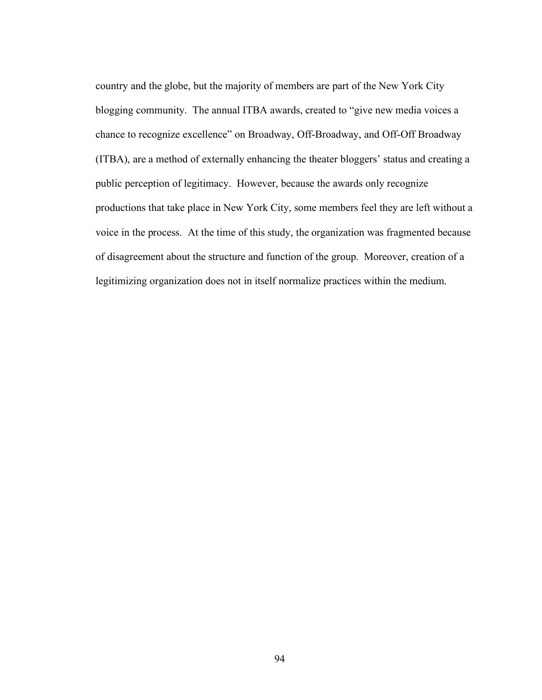country and the globe, but the majority of members are part of the New York City blogging community. The annual ITBA awards, created to "give new media voices a chance to recognize excellence" on Broadway, Off-Broadway, and Off-Off Broadway (ITBA), are a method of externally enhancing the theater bloggers' status and creating a public perception of legitimacy. However, because the awards only recognize productions that take place in New York City, some members feel they are left without a voice in the process. At the time of this study, the organization was fragmented because of disagreement about the structure and function of the group. Moreover, creation of a legitimizing organization does not in itself normalize practices within the medium.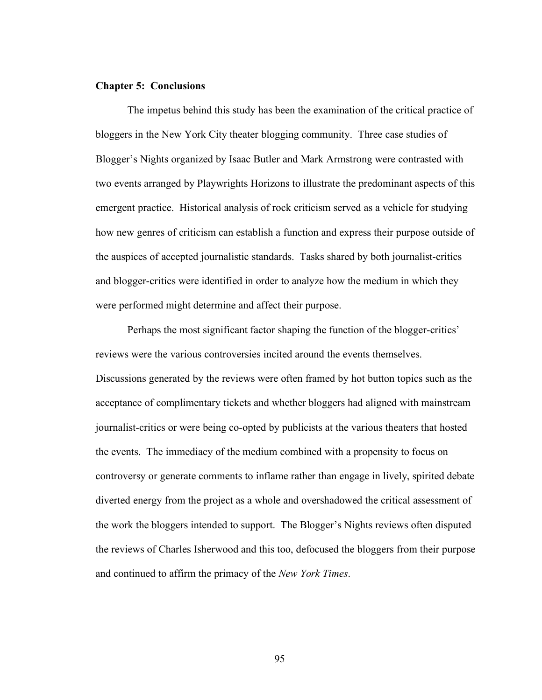## **Chapter 5: Conclusions**

The impetus behind this study has been the examination of the critical practice of bloggers in the New York City theater blogging community. Three case studies of Blogger's Nights organized by Isaac Butler and Mark Armstrong were contrasted with two events arranged by Playwrights Horizons to illustrate the predominant aspects of this emergent practice. Historical analysis of rock criticism served as a vehicle for studying how new genres of criticism can establish a function and express their purpose outside of the auspices of accepted journalistic standards. Tasks shared by both journalist-critics and blogger-critics were identified in order to analyze how the medium in which they were performed might determine and affect their purpose.

Perhaps the most significant factor shaping the function of the blogger-critics' reviews were the various controversies incited around the events themselves. Discussions generated by the reviews were often framed by hot button topics such as the acceptance of complimentary tickets and whether bloggers had aligned with mainstream journalist-critics or were being co-opted by publicists at the various theaters that hosted the events. The immediacy of the medium combined with a propensity to focus on controversy or generate comments to inflame rather than engage in lively, spirited debate diverted energy from the project as a whole and overshadowed the critical assessment of the work the bloggers intended to support. The Blogger's Nights reviews often disputed the reviews of Charles Isherwood and this too, defocused the bloggers from their purpose and continued to affirm the primacy of the *New York Times*.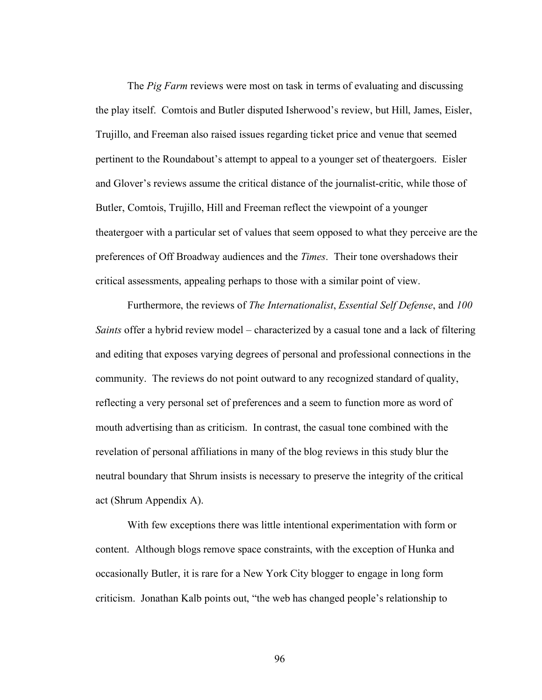The *Pig Farm* reviews were most on task in terms of evaluating and discussing the play itself. Comtois and Butler disputed Isherwood's review, but Hill, James, Eisler, Trujillo, and Freeman also raised issues regarding ticket price and venue that seemed pertinent to the Roundabout's attempt to appeal to a younger set of theatergoers. Eisler and Glover's reviews assume the critical distance of the journalist-critic, while those of Butler, Comtois, Trujillo, Hill and Freeman reflect the viewpoint of a younger theatergoer with a particular set of values that seem opposed to what they perceive are the preferences of Off Broadway audiences and the *Times*. Their tone overshadows their critical assessments, appealing perhaps to those with a similar point of view.

Furthermore, the reviews of *The Internationalist*, *Essential Self Defense*, and *100 Saints* offer a hybrid review model – characterized by a casual tone and a lack of filtering and editing that exposes varying degrees of personal and professional connections in the community. The reviews do not point outward to any recognized standard of quality, reflecting a very personal set of preferences and a seem to function more as word of mouth advertising than as criticism. In contrast, the casual tone combined with the revelation of personal affiliations in many of the blog reviews in this study blur the neutral boundary that Shrum insists is necessary to preserve the integrity of the critical act (Shrum Appendix A).

With few exceptions there was little intentional experimentation with form or content. Although blogs remove space constraints, with the exception of Hunka and occasionally Butler, it is rare for a New York City blogger to engage in long form criticism. Jonathan Kalb points out, "the web has changed people's relationship to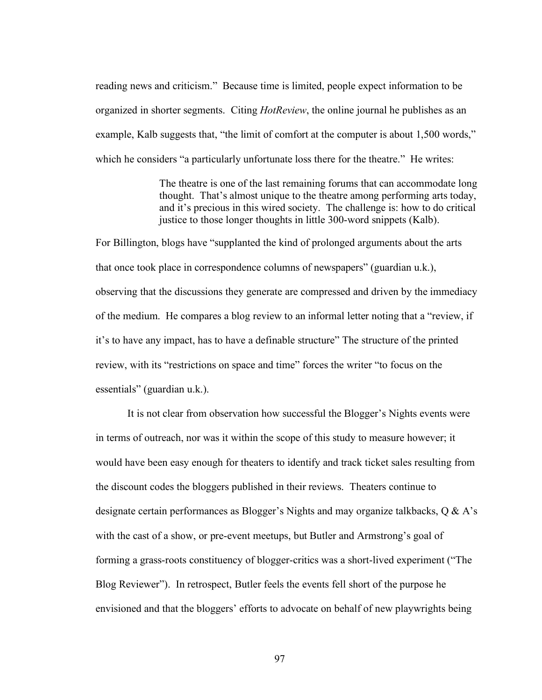reading news and criticism." Because time is limited, people expect information to be organized in shorter segments. Citing *HotReview*, the online journal he publishes as an example, Kalb suggests that, "the limit of comfort at the computer is about 1,500 words," which he considers "a particularly unfortunate loss there for the theatre." He writes:

> The theatre is one of the last remaining forums that can accommodate long thought. That's almost unique to the theatre among performing arts today, and it's precious in this wired society. The challenge is: how to do critical justice to those longer thoughts in little 300-word snippets (Kalb).

For Billington, blogs have "supplanted the kind of prolonged arguments about the arts that once took place in correspondence columns of newspapers" (guardian u.k.), observing that the discussions they generate are compressed and driven by the immediacy of the medium. He compares a blog review to an informal letter noting that a "review, if it's to have any impact, has to have a definable structure" The structure of the printed review, with its "restrictions on space and time" forces the writer "to focus on the essentials" (guardian u.k.).

It is not clear from observation how successful the Blogger's Nights events were in terms of outreach, nor was it within the scope of this study to measure however; it would have been easy enough for theaters to identify and track ticket sales resulting from the discount codes the bloggers published in their reviews. Theaters continue to designate certain performances as Blogger's Nights and may organize talkbacks, Q & A's with the cast of a show, or pre-event meetups, but Butler and Armstrong's goal of forming a grass-roots constituency of blogger-critics was a short-lived experiment ("The Blog Reviewer"). In retrospect, Butler feels the events fell short of the purpose he envisioned and that the bloggers' efforts to advocate on behalf of new playwrights being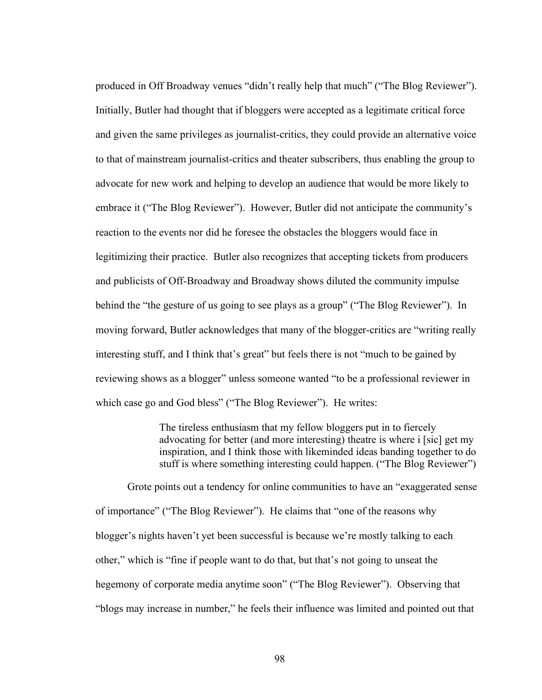produced in Off Broadway venues "didn't really help that much" ("The Blog Reviewer"). Initially, Butler had thought that if bloggers were accepted as a legitimate critical force and given the same privileges as journalist-critics, they could provide an alternative voice to that of mainstream journalist-critics and theater subscribers, thus enabling the group to advocate for new work and helping to develop an audience that would be more likely to embrace it ("The Blog Reviewer"). However, Butler did not anticipate the community's reaction to the events nor did he foresee the obstacles the bloggers would face in legitimizing their practice. Butler also recognizes that accepting tickets from producers and publicists of Off-Broadway and Broadway shows diluted the community impulse behind the "the gesture of us going to see plays as a group" ("The Blog Reviewer"). In moving forward, Butler acknowledges that many of the blogger-critics are "writing really interesting stuff, and I think that's great" but feels there is not "much to be gained by reviewing shows as a blogger" unless someone wanted "to be a professional reviewer in which case go and God bless" ("The Blog Reviewer"). He writes:

> The tireless enthusiasm that my fellow bloggers put in to fiercely advocating for better (and more interesting) theatre is where i [sic] get my inspiration, and I think those with likeminded ideas banding together to do stuff is where something interesting could happen. ("The Blog Reviewer")

Grote points out a tendency for online communities to have an "exaggerated sense of importance" ("The Blog Reviewer"). He claims that "one of the reasons why blogger's nights haven't yet been successful is because we're mostly talking to each other," which is "fine if people want to do that, but that's not going to unseat the hegemony of corporate media anytime soon" ("The Blog Reviewer"). Observing that "blogs may increase in number," he feels their influence was limited and pointed out that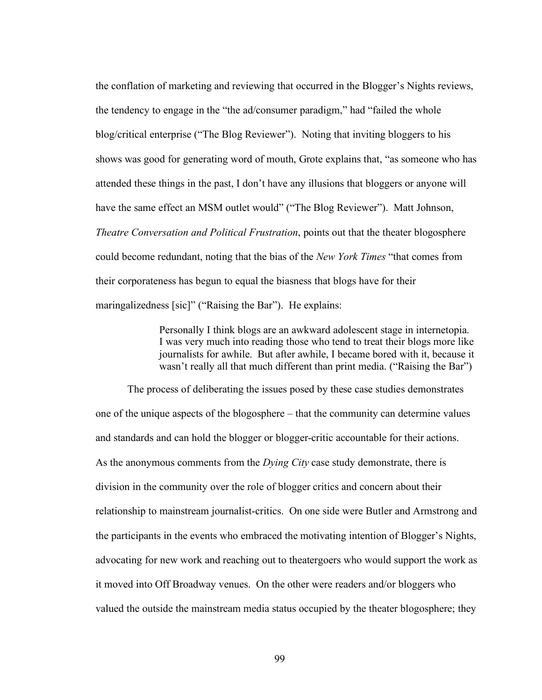the conflation of marketing and reviewing that occurred in the Blogger's Nights reviews, the tendency to engage in the "the ad/consumer paradigm," had "failed the whole blog/critical enterprise ("The Blog Reviewer"). Noting that inviting bloggers to his shows was good for generating word of mouth, Grote explains that, "as someone who has attended these things in the past, I don't have any illusions that bloggers or anyone will have the same effect an MSM outlet would" ("The Blog Reviewer"). Matt Johnson, *Theatre Conversation and Political Frustration*, points out that the theater blogosphere could become redundant, noting that the bias of the *New York Times* "that comes from their corporateness has begun to equal the biasness that blogs have for their maringalizedness [sic]" ("Raising the Bar"). He explains:

> Personally I think blogs are an awkward adolescent stage in internetopia. I was very much into reading those who tend to treat their blogs more like journalists for awhile. But after awhile, I became bored with it, because it wasn't really all that much different than print media. ("Raising the Bar")

The process of deliberating the issues posed by these case studies demonstrates one of the unique aspects of the blogosphere – that the community can determine values and standards and can hold the blogger or blogger-critic accountable for their actions. As the anonymous comments from the *Dying City* case study demonstrate, there is division in the community over the role of blogger critics and concern about their relationship to mainstream journalist-critics. On one side were Butler and Armstrong and the participants in the events who embraced the motivating intention of Blogger's Nights, advocating for new work and reaching out to theatergoers who would support the work as it moved into Off Broadway venues. On the other were readers and/or bloggers who valued the outside the mainstream media status occupied by the theater blogosphere; they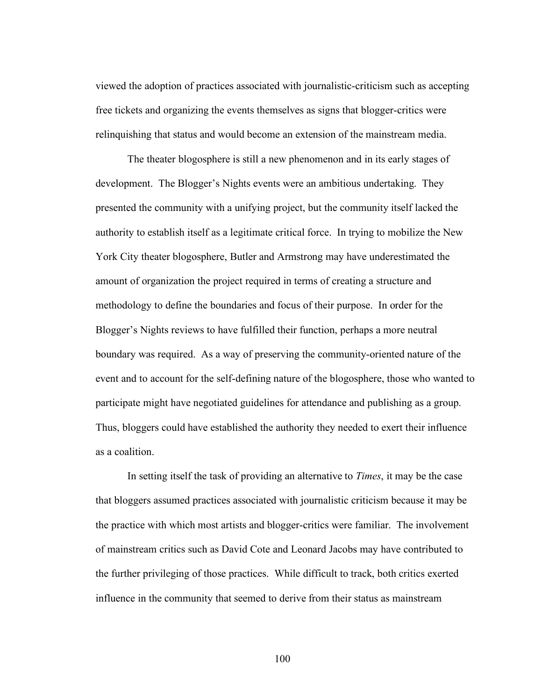viewed the adoption of practices associated with journalistic-criticism such as accepting free tickets and organizing the events themselves as signs that blogger-critics were relinquishing that status and would become an extension of the mainstream media.

The theater blogosphere is still a new phenomenon and in its early stages of development. The Blogger's Nights events were an ambitious undertaking. They presented the community with a unifying project, but the community itself lacked the authority to establish itself as a legitimate critical force. In trying to mobilize the New York City theater blogosphere, Butler and Armstrong may have underestimated the amount of organization the project required in terms of creating a structure and methodology to define the boundaries and focus of their purpose. In order for the Blogger's Nights reviews to have fulfilled their function, perhaps a more neutral boundary was required. As a way of preserving the community-oriented nature of the event and to account for the self-defining nature of the blogosphere, those who wanted to participate might have negotiated guidelines for attendance and publishing as a group. Thus, bloggers could have established the authority they needed to exert their influence as a coalition.

In setting itself the task of providing an alternative to *Times*, it may be the case that bloggers assumed practices associated with journalistic criticism because it may be the practice with which most artists and blogger-critics were familiar. The involvement of mainstream critics such as David Cote and Leonard Jacobs may have contributed to the further privileging of those practices. While difficult to track, both critics exerted influence in the community that seemed to derive from their status as mainstream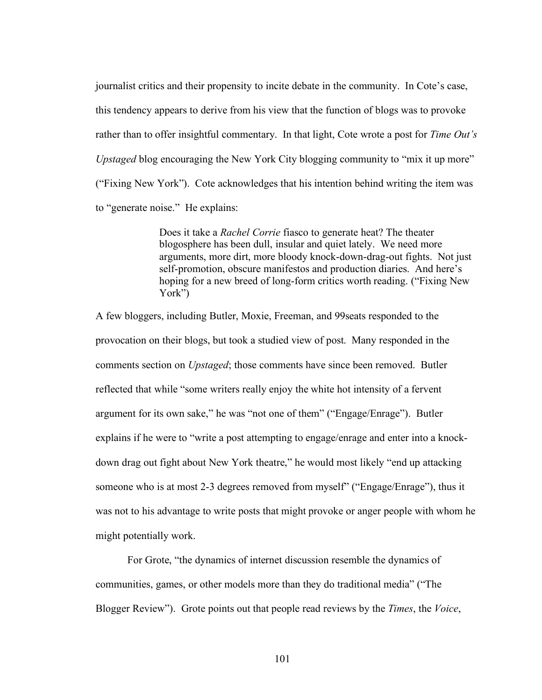journalist critics and their propensity to incite debate in the community. In Cote's case, this tendency appears to derive from his view that the function of blogs was to provoke rather than to offer insightful commentary. In that light, Cote wrote a post for *Time Out's Upstaged* blog encouraging the New York City blogging community to "mix it up more" ("Fixing New York"). Cote acknowledges that his intention behind writing the item was to "generate noise." He explains:

> Does it take a *Rachel Corrie* fiasco to generate heat? The theater blogosphere has been dull, insular and quiet lately. We need more arguments, more dirt, more bloody knock-down-drag-out fights. Not just self-promotion, obscure manifestos and production diaries. And here's hoping for a new breed of long-form critics worth reading. ("Fixing New York")

A few bloggers, including Butler, Moxie, Freeman, and 99seats responded to the provocation on their blogs, but took a studied view of post. Many responded in the comments section on *Upstaged*; those comments have since been removed. Butler reflected that while "some writers really enjoy the white hot intensity of a fervent argument for its own sake," he was "not one of them" ("Engage/Enrage"). Butler explains if he were to "write a post attempting to engage/enrage and enter into a knockdown drag out fight about New York theatre," he would most likely "end up attacking someone who is at most 2-3 degrees removed from myself" ("Engage/Enrage"), thus it was not to his advantage to write posts that might provoke or anger people with whom he might potentially work.

For Grote, "the dynamics of internet discussion resemble the dynamics of communities, games, or other models more than they do traditional media" ("The Blogger Review"). Grote points out that people read reviews by the *Times*, the *Voice*,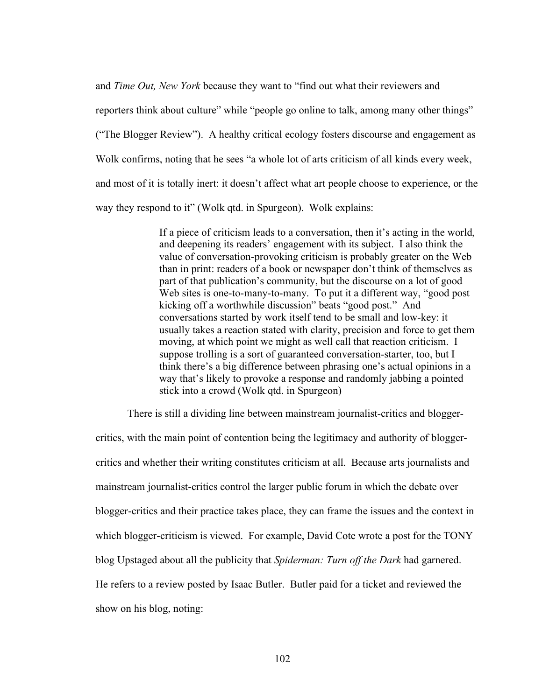and *Time Out, New York* because they want to "find out what their reviewers and reporters think about culture" while "people go online to talk, among many other things" ("The Blogger Review"). A healthy critical ecology fosters discourse and engagement as Wolk confirms, noting that he sees "a whole lot of arts criticism of all kinds every week, and most of it is totally inert: it doesn't affect what art people choose to experience, or the way they respond to it" (Wolk qtd. in Spurgeon). Wolk explains:

> If a piece of criticism leads to a conversation, then it's acting in the world, and deepening its readers' engagement with its subject. I also think the value of conversation-provoking criticism is probably greater on the Web than in print: readers of a book or newspaper don't think of themselves as part of that publication's community, but the discourse on a lot of good Web sites is one-to-many-to-many. To put it a different way, "good post" kicking off a worthwhile discussion" beats "good post." And conversations started by work itself tend to be small and low-key: it usually takes a reaction stated with clarity, precision and force to get them moving, at which point we might as well call that reaction criticism. I suppose trolling is a sort of guaranteed conversation-starter, too, but I think there's a big difference between phrasing one's actual opinions in a way that's likely to provoke a response and randomly jabbing a pointed stick into a crowd (Wolk qtd. in Spurgeon)

There is still a dividing line between mainstream journalist-critics and blogger-

critics, with the main point of contention being the legitimacy and authority of bloggercritics and whether their writing constitutes criticism at all. Because arts journalists and mainstream journalist-critics control the larger public forum in which the debate over blogger-critics and their practice takes place, they can frame the issues and the context in which blogger-criticism is viewed. For example, David Cote wrote a post for the TONY blog Upstaged about all the publicity that *Spiderman: Turn off the Dark* had garnered. He refers to a review posted by Isaac Butler. Butler paid for a ticket and reviewed the show on his blog, noting: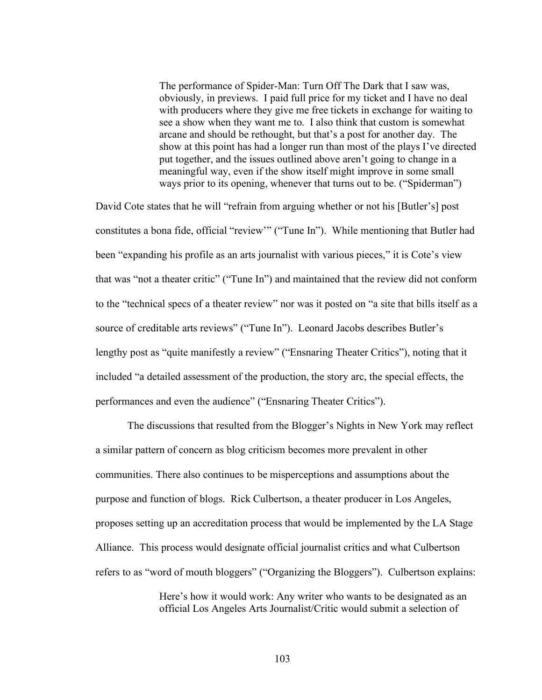The performance of Spider-Man: Turn Off The Dark that I saw was, obviously, in previews. I paid full price for my ticket and I have no deal with producers where they give me free tickets in exchange for waiting to see a show when they want me to. I also think that custom is somewhat arcane and should be rethought, but that's a post for another day. The show at this point has had a longer run than most of the plays I've directed put together, and the issues outlined above aren't going to change in a meaningful way, even if the show itself might improve in some small ways prior to its opening, whenever that turns out to be. ("Spiderman")

David Cote states that he will "refrain from arguing whether or not his [Butler's] post constitutes a bona fide, official "review'" ("Tune In"). While mentioning that Butler had been "expanding his profile as an arts journalist with various pieces," it is Cote's view that was "not a theater critic" ("Tune In") and maintained that the review did not conform to the "technical specs of a theater review" nor was it posted on "a site that bills itself as a source of creditable arts reviews" ("Tune In"). Leonard Jacobs describes Butler's lengthy post as "quite manifestly a review" ("Ensnaring Theater Critics"), noting that it included "a detailed assessment of the production, the story arc, the special effects, the performances and even the audience" ("Ensnaring Theater Critics").

The discussions that resulted from the Blogger's Nights in New York may reflect a similar pattern of concern as blog criticism becomes more prevalent in other communities. There also continues to be misperceptions and assumptions about the purpose and function of blogs. Rick Culbertson, a theater producer in Los Angeles, proposes setting up an accreditation process that would be implemented by the LA Stage Alliance. This process would designate official journalist critics and what Culbertson refers to as "word of mouth bloggers" ("Organizing the Bloggers"). Culbertson explains:

> Here's how it would work: Any writer who wants to be designated as an official Los Angeles Arts Journalist/Critic would submit a selection of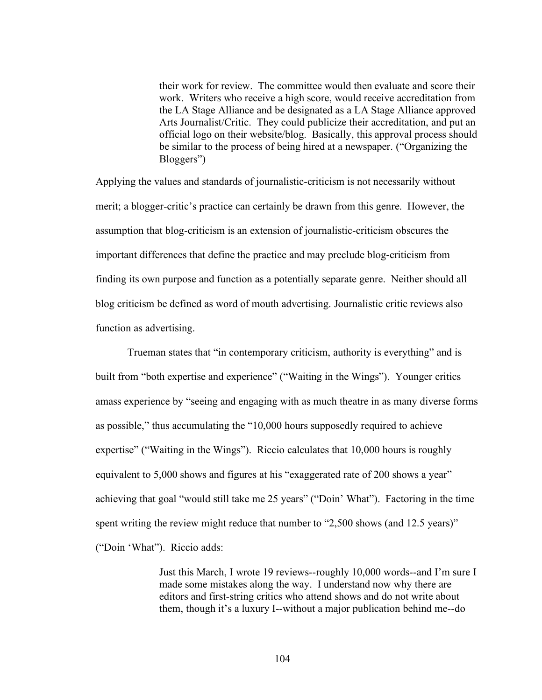their work for review. The committee would then evaluate and score their work. Writers who receive a high score, would receive accreditation from the LA Stage Alliance and be designated as a LA Stage Alliance approved Arts Journalist/Critic. They could publicize their accreditation, and put an official logo on their website/blog. Basically, this approval process should be similar to the process of being hired at a newspaper. ("Organizing the Bloggers")

Applying the values and standards of journalistic-criticism is not necessarily without merit; a blogger-critic's practice can certainly be drawn from this genre. However, the assumption that blog-criticism is an extension of journalistic-criticism obscures the important differences that define the practice and may preclude blog-criticism from finding its own purpose and function as a potentially separate genre. Neither should all blog criticism be defined as word of mouth advertising. Journalistic critic reviews also function as advertising.

Trueman states that "in contemporary criticism, authority is everything" and is built from "both expertise and experience" ("Waiting in the Wings"). Younger critics amass experience by "seeing and engaging with as much theatre in as many diverse forms as possible," thus accumulating the "10,000 hours supposedly required to achieve expertise" ("Waiting in the Wings"). Riccio calculates that 10,000 hours is roughly equivalent to 5,000 shows and figures at his "exaggerated rate of 200 shows a year" achieving that goal "would still take me 25 years" ("Doin' What"). Factoring in the time spent writing the review might reduce that number to "2,500 shows (and 12.5 years)" ("Doin 'What"). Riccio adds:

> Just this March, I wrote 19 reviews--roughly 10,000 words--and I'm sure I made some mistakes along the way. I understand now why there are editors and first-string critics who attend shows and do not write about them, though it's a luxury I--without a major publication behind me--do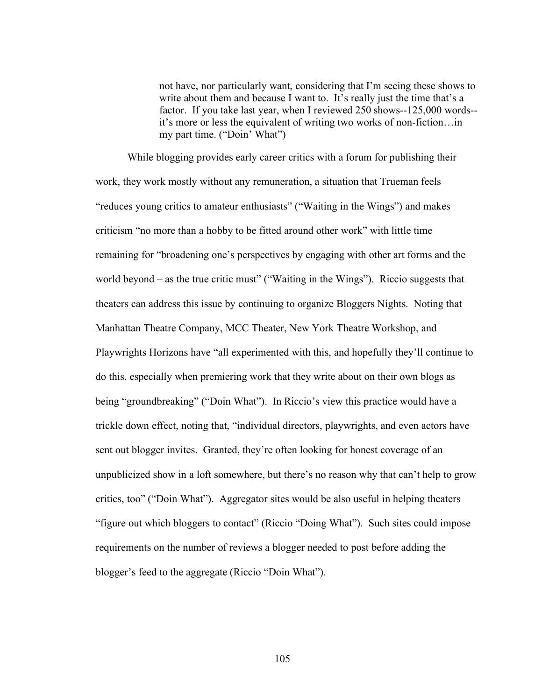not have, nor particularly want, considering that I'm seeing these shows to write about them and because I want to. It's really just the time that's a factor. If you take last year, when I reviewed 250 shows--125,000 words- it's more or less the equivalent of writing two works of non-fiction…in my part time. ("Doin' What")

While blogging provides early career critics with a forum for publishing their work, they work mostly without any remuneration, a situation that Trueman feels "reduces young critics to amateur enthusiasts" ("Waiting in the Wings") and makes criticism "no more than a hobby to be fitted around other work" with little time remaining for "broadening one's perspectives by engaging with other art forms and the world beyond – as the true critic must" ("Waiting in the Wings"). Riccio suggests that theaters can address this issue by continuing to organize Bloggers Nights. Noting that Manhattan Theatre Company, MCC Theater, New York Theatre Workshop, and Playwrights Horizons have "all experimented with this, and hopefully they'll continue to do this, especially when premiering work that they write about on their own blogs as being "groundbreaking" ("Doin What"). In Riccio's view this practice would have a trickle down effect, noting that, "individual directors, playwrights, and even actors have sent out blogger invites. Granted, they're often looking for honest coverage of an unpublicized show in a loft somewhere, but there's no reason why that can't help to grow critics, too" ("Doin What"). Aggregator sites would be also useful in helping theaters "figure out which bloggers to contact" (Riccio "Doing What"). Such sites could impose requirements on the number of reviews a blogger needed to post before adding the blogger's feed to the aggregate (Riccio "Doin What").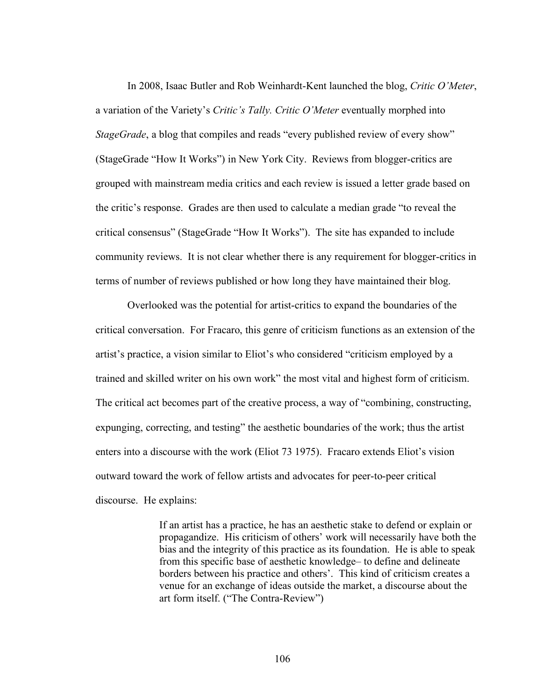In 2008, Isaac Butler and Rob Weinhardt-Kent launched the blog, *Critic O'Meter*, a variation of the Variety's *Critic's Tally. Critic O'Meter* eventually morphed into *StageGrade*, a blog that compiles and reads "every published review of every show" (StageGrade "How It Works") in New York City. Reviews from blogger-critics are grouped with mainstream media critics and each review is issued a letter grade based on the critic's response. Grades are then used to calculate a median grade "to reveal the critical consensus" (StageGrade "How It Works"). The site has expanded to include community reviews. It is not clear whether there is any requirement for blogger-critics in terms of number of reviews published or how long they have maintained their blog.

Overlooked was the potential for artist-critics to expand the boundaries of the critical conversation. For Fracaro, this genre of criticism functions as an extension of the artist's practice, a vision similar to Eliot's who considered "criticism employed by a trained and skilled writer on his own work" the most vital and highest form of criticism. The critical act becomes part of the creative process, a way of "combining, constructing, expunging, correcting, and testing" the aesthetic boundaries of the work; thus the artist enters into a discourse with the work (Eliot 73 1975). Fracaro extends Eliot's vision outward toward the work of fellow artists and advocates for peer-to-peer critical discourse. He explains:

> If an artist has a practice, he has an aesthetic stake to defend or explain or propagandize. His criticism of others' work will necessarily have both the bias and the integrity of this practice as its foundation. He is able to speak from this specific base of aesthetic knowledge– to define and delineate borders between his practice and others'. This kind of criticism creates a venue for an exchange of ideas outside the market, a discourse about the art form itself. ("The Contra-Review")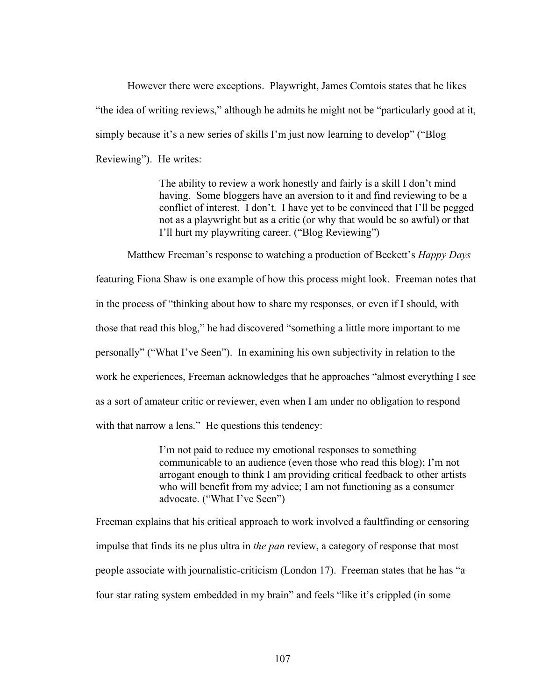However there were exceptions. Playwright, James Comtois states that he likes "the idea of writing reviews," although he admits he might not be "particularly good at it, simply because it's a new series of skills I'm just now learning to develop" ("Blog Reviewing"). He writes:

> The ability to review a work honestly and fairly is a skill I don't mind having. Some bloggers have an aversion to it and find reviewing to be a conflict of interest. I don't. I have yet to be convinced that I'll be pegged not as a playwright but as a critic (or why that would be so awful) or that I'll hurt my playwriting career. ("Blog Reviewing")

Matthew Freeman's response to watching a production of Beckett's *Happy Days* featuring Fiona Shaw is one example of how this process might look. Freeman notes that in the process of "thinking about how to share my responses, or even if I should, with those that read this blog," he had discovered "something a little more important to me personally" ("What I've Seen"). In examining his own subjectivity in relation to the work he experiences, Freeman acknowledges that he approaches "almost everything I see as a sort of amateur critic or reviewer, even when I am under no obligation to respond with that narrow a lens." He questions this tendency:

> I'm not paid to reduce my emotional responses to something communicable to an audience (even those who read this blog); I'm not arrogant enough to think I am providing critical feedback to other artists who will benefit from my advice; I am not functioning as a consumer advocate. ("What I've Seen")

Freeman explains that his critical approach to work involved a faultfinding or censoring impulse that finds its ne plus ultra in *the pan* review, a category of response that most people associate with journalistic-criticism (London 17). Freeman states that he has "a four star rating system embedded in my brain" and feels "like it's crippled (in some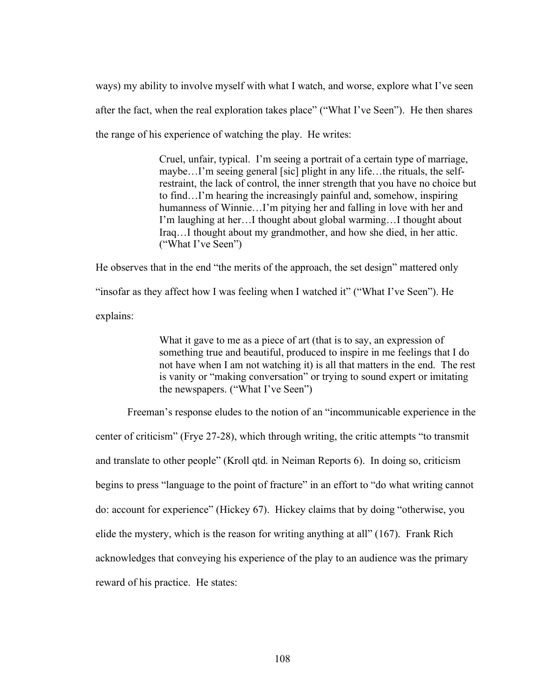ways) my ability to involve myself with what I watch, and worse, explore what I've seen after the fact, when the real exploration takes place" ("What I've Seen"). He then shares the range of his experience of watching the play. He writes:

> Cruel, unfair, typical. I'm seeing a portrait of a certain type of marriage, maybe…I'm seeing general [sic] plight in any life…the rituals, the selfrestraint, the lack of control, the inner strength that you have no choice but to find…I'm hearing the increasingly painful and, somehow, inspiring humanness of Winnie...I'm pitying her and falling in love with her and I'm laughing at her…I thought about global warming…I thought about Iraq…I thought about my grandmother, and how she died, in her attic. ("What I've Seen")

He observes that in the end "the merits of the approach, the set design" mattered only "insofar as they affect how I was feeling when I watched it" ("What I've Seen"). He explains:

> What it gave to me as a piece of art (that is to say, an expression of something true and beautiful, produced to inspire in me feelings that I do not have when I am not watching it) is all that matters in the end. The rest is vanity or "making conversation" or trying to sound expert or imitating the newspapers. ("What I've Seen")

Freeman's response eludes to the notion of an "incommunicable experience in the center of criticism" (Frye 27-28), which through writing, the critic attempts "to transmit and translate to other people" (Kroll qtd. in Neiman Reports 6). In doing so, criticism begins to press "language to the point of fracture" in an effort to "do what writing cannot do: account for experience" (Hickey 67). Hickey claims that by doing "otherwise, you elide the mystery, which is the reason for writing anything at all" (167). Frank Rich acknowledges that conveying his experience of the play to an audience was the primary reward of his practice. He states: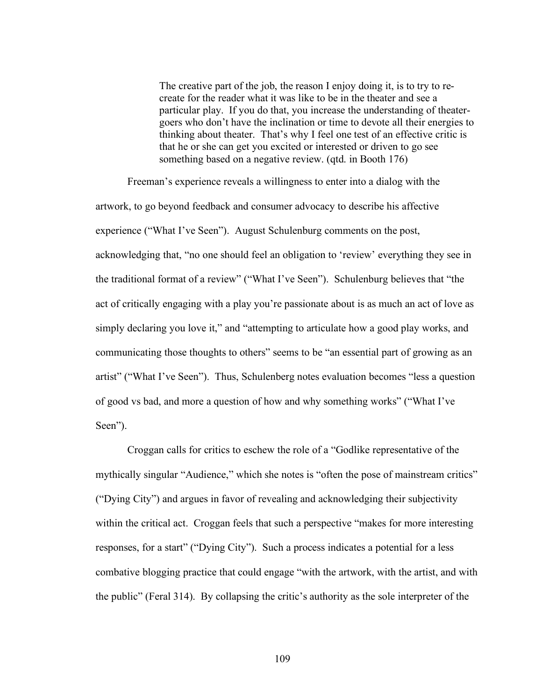The creative part of the job, the reason I enjoy doing it, is to try to recreate for the reader what it was like to be in the theater and see a particular play. If you do that, you increase the understanding of theatergoers who don't have the inclination or time to devote all their energies to thinking about theater. That's why I feel one test of an effective critic is that he or she can get you excited or interested or driven to go see something based on a negative review. (qtd. in Booth 176)

Freeman's experience reveals a willingness to enter into a dialog with the artwork, to go beyond feedback and consumer advocacy to describe his affective experience ("What I've Seen"). August Schulenburg comments on the post, acknowledging that, "no one should feel an obligation to 'review' everything they see in the traditional format of a review" ("What I've Seen"). Schulenburg believes that "the act of critically engaging with a play you're passionate about is as much an act of love as simply declaring you love it," and "attempting to articulate how a good play works, and communicating those thoughts to others" seems to be "an essential part of growing as an artist" ("What I've Seen"). Thus, Schulenberg notes evaluation becomes "less a question of good vs bad, and more a question of how and why something works" ("What I've Seen").

Croggan calls for critics to eschew the role of a "Godlike representative of the mythically singular "Audience," which she notes is "often the pose of mainstream critics" ("Dying City") and argues in favor of revealing and acknowledging their subjectivity within the critical act. Croggan feels that such a perspective "makes for more interesting responses, for a start" ("Dying City"). Such a process indicates a potential for a less combative blogging practice that could engage "with the artwork, with the artist, and with the public" (Feral 314). By collapsing the critic's authority as the sole interpreter of the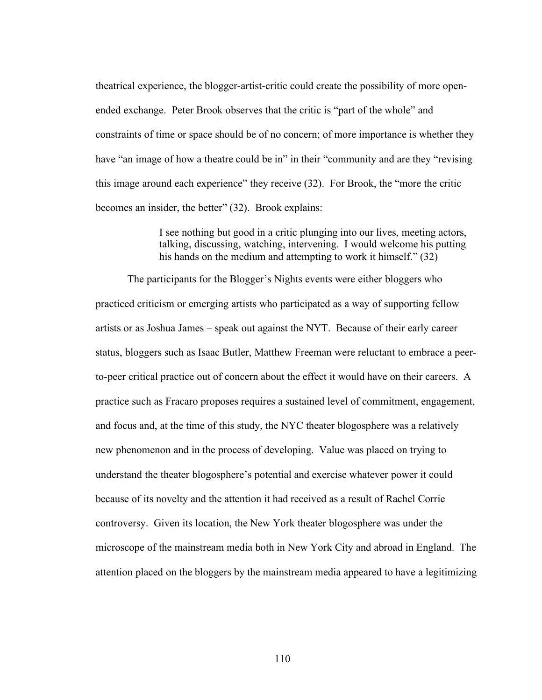theatrical experience, the blogger-artist-critic could create the possibility of more openended exchange. Peter Brook observes that the critic is "part of the whole" and constraints of time or space should be of no concern; of more importance is whether they have "an image of how a theatre could be in" in their "community and are they "revising this image around each experience" they receive (32). For Brook, the "more the critic becomes an insider, the better" (32). Brook explains:

> I see nothing but good in a critic plunging into our lives, meeting actors, talking, discussing, watching, intervening. I would welcome his putting his hands on the medium and attempting to work it himself." (32)

The participants for the Blogger's Nights events were either bloggers who practiced criticism or emerging artists who participated as a way of supporting fellow artists or as Joshua James – speak out against the NYT. Because of their early career status, bloggers such as Isaac Butler, Matthew Freeman were reluctant to embrace a peerto-peer critical practice out of concern about the effect it would have on their careers. A practice such as Fracaro proposes requires a sustained level of commitment, engagement, and focus and, at the time of this study, the NYC theater blogosphere was a relatively new phenomenon and in the process of developing. Value was placed on trying to understand the theater blogosphere's potential and exercise whatever power it could because of its novelty and the attention it had received as a result of Rachel Corrie controversy. Given its location, the New York theater blogosphere was under the microscope of the mainstream media both in New York City and abroad in England. The attention placed on the bloggers by the mainstream media appeared to have a legitimizing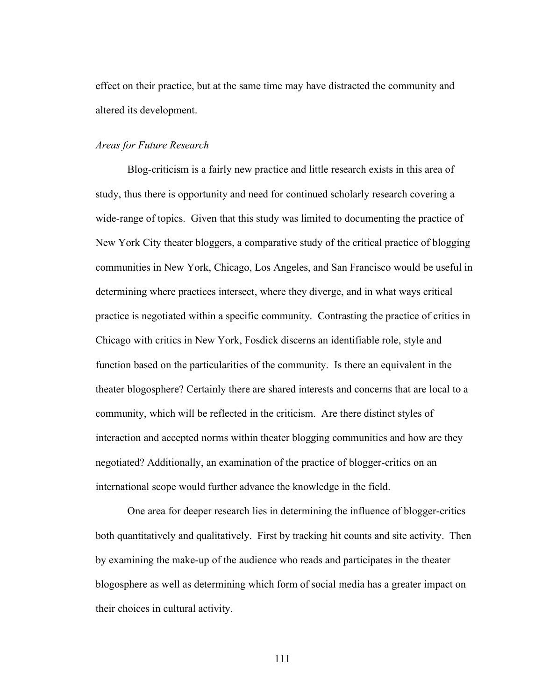effect on their practice, but at the same time may have distracted the community and altered its development.

## *Areas for Future Research*

Blog-criticism is a fairly new practice and little research exists in this area of study, thus there is opportunity and need for continued scholarly research covering a wide-range of topics. Given that this study was limited to documenting the practice of New York City theater bloggers, a comparative study of the critical practice of blogging communities in New York, Chicago, Los Angeles, and San Francisco would be useful in determining where practices intersect, where they diverge, and in what ways critical practice is negotiated within a specific community. Contrasting the practice of critics in Chicago with critics in New York, Fosdick discerns an identifiable role, style and function based on the particularities of the community. Is there an equivalent in the theater blogosphere? Certainly there are shared interests and concerns that are local to a community, which will be reflected in the criticism. Are there distinct styles of interaction and accepted norms within theater blogging communities and how are they negotiated? Additionally, an examination of the practice of blogger-critics on an international scope would further advance the knowledge in the field.

One area for deeper research lies in determining the influence of blogger-critics both quantitatively and qualitatively. First by tracking hit counts and site activity. Then by examining the make-up of the audience who reads and participates in the theater blogosphere as well as determining which form of social media has a greater impact on their choices in cultural activity.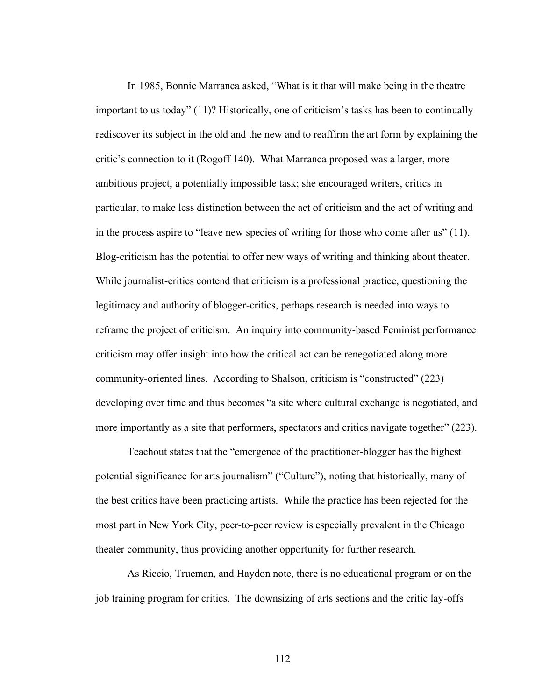In 1985, Bonnie Marranca asked, "What is it that will make being in the theatre important to us today" (11)? Historically, one of criticism's tasks has been to continually rediscover its subject in the old and the new and to reaffirm the art form by explaining the critic's connection to it (Rogoff 140). What Marranca proposed was a larger, more ambitious project, a potentially impossible task; she encouraged writers, critics in particular, to make less distinction between the act of criticism and the act of writing and in the process aspire to "leave new species of writing for those who come after us" (11). Blog-criticism has the potential to offer new ways of writing and thinking about theater. While journalist-critics contend that criticism is a professional practice, questioning the legitimacy and authority of blogger-critics, perhaps research is needed into ways to reframe the project of criticism. An inquiry into community-based Feminist performance criticism may offer insight into how the critical act can be renegotiated along more community-oriented lines. According to Shalson, criticism is "constructed" (223) developing over time and thus becomes "a site where cultural exchange is negotiated, and more importantly as a site that performers, spectators and critics navigate together" (223).

Teachout states that the "emergence of the practitioner-blogger has the highest potential significance for arts journalism" ("Culture"), noting that historically, many of the best critics have been practicing artists. While the practice has been rejected for the most part in New York City, peer-to-peer review is especially prevalent in the Chicago theater community, thus providing another opportunity for further research.

As Riccio, Trueman, and Haydon note, there is no educational program or on the job training program for critics. The downsizing of arts sections and the critic lay-offs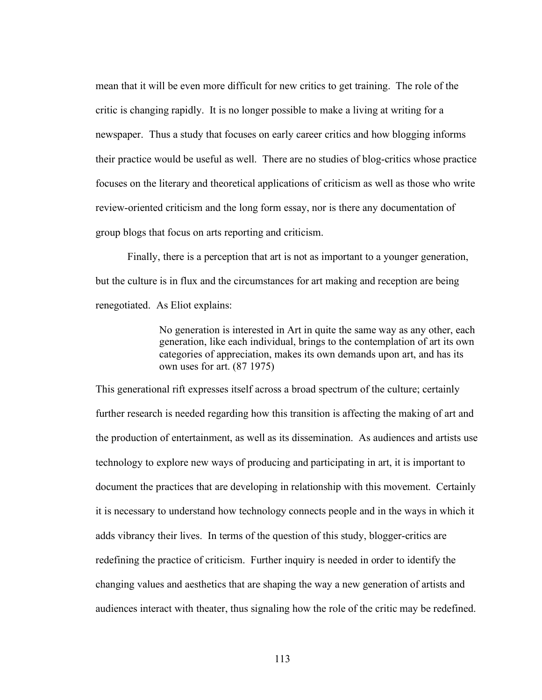mean that it will be even more difficult for new critics to get training. The role of the critic is changing rapidly. It is no longer possible to make a living at writing for a newspaper. Thus a study that focuses on early career critics and how blogging informs their practice would be useful as well. There are no studies of blog-critics whose practice focuses on the literary and theoretical applications of criticism as well as those who write review-oriented criticism and the long form essay, nor is there any documentation of group blogs that focus on arts reporting and criticism.

Finally, there is a perception that art is not as important to a younger generation, but the culture is in flux and the circumstances for art making and reception are being renegotiated. As Eliot explains:

> No generation is interested in Art in quite the same way as any other, each generation, like each individual, brings to the contemplation of art its own categories of appreciation, makes its own demands upon art, and has its own uses for art. (87 1975)

This generational rift expresses itself across a broad spectrum of the culture; certainly further research is needed regarding how this transition is affecting the making of art and the production of entertainment, as well as its dissemination. As audiences and artists use technology to explore new ways of producing and participating in art, it is important to document the practices that are developing in relationship with this movement. Certainly it is necessary to understand how technology connects people and in the ways in which it adds vibrancy their lives. In terms of the question of this study, blogger-critics are redefining the practice of criticism. Further inquiry is needed in order to identify the changing values and aesthetics that are shaping the way a new generation of artists and audiences interact with theater, thus signaling how the role of the critic may be redefined.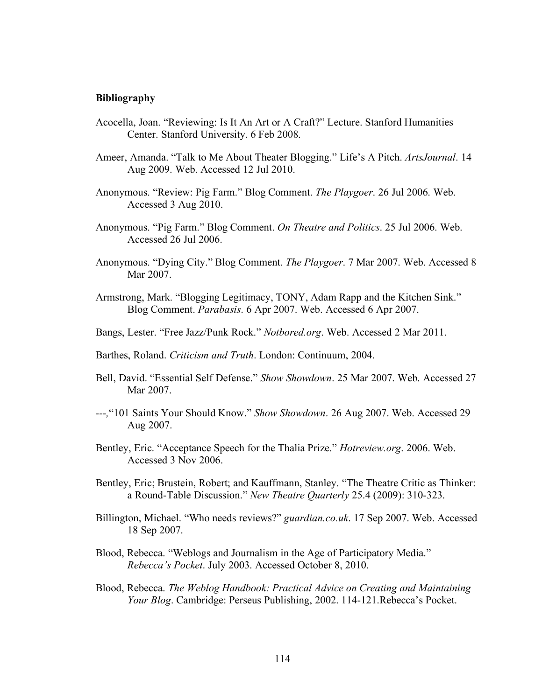## **Bibliography**

- Acocella, Joan. "Reviewing: Is It An Art or A Craft?" Lecture. Stanford Humanities Center. Stanford University. 6 Feb 2008.
- Ameer, Amanda. "Talk to Me About Theater Blogging." Life's A Pitch. *ArtsJournal*. 14 Aug 2009. Web. Accessed 12 Jul 2010.
- Anonymous. "Review: Pig Farm." Blog Comment. *The Playgoer*. 26 Jul 2006. Web. Accessed 3 Aug 2010.
- Anonymous. "Pig Farm." Blog Comment. *On Theatre and Politics*. 25 Jul 2006. Web. Accessed 26 Jul 2006.
- Anonymous. "Dying City." Blog Comment. *The Playgoer*. 7 Mar 2007. Web. Accessed 8 Mar 2007.
- Armstrong, Mark. "Blogging Legitimacy, TONY, Adam Rapp and the Kitchen Sink." Blog Comment. *Parabasis*. 6 Apr 2007. Web. Accessed 6 Apr 2007.
- Bangs, Lester. "Free Jazz/Punk Rock." *Notbored.org*. Web. Accessed 2 Mar 2011.
- Barthes, Roland. *Criticism and Truth*. London: Continuum, 2004.
- Bell, David. "Essential Self Defense." *Show Showdown*. 25 Mar 2007. Web. Accessed 27 Mar 2007.
- *---,*"101 Saints Your Should Know." *Show Showdown*. 26 Aug 2007. Web. Accessed 29 Aug 2007.
- Bentley, Eric. "Acceptance Speech for the Thalia Prize." *Hotreview.org*. 2006. Web. Accessed 3 Nov 2006.
- Bentley, Eric; Brustein, Robert; and Kauffmann, Stanley. "The Theatre Critic as Thinker: a Round-Table Discussion." *New Theatre Quarterly* 25.4 (2009): 310-323.
- Billington, Michael. "Who needs reviews?" *guardian.co.uk*. 17 Sep 2007. Web. Accessed 18 Sep 2007.
- Blood, Rebecca. "Weblogs and Journalism in the Age of Participatory Media." *Rebecca's Pocket*. July 2003. Accessed October 8, 2010.
- Blood, Rebecca. *The Weblog Handbook: Practical Advice on Creating and Maintaining Your Blog*. Cambridge: Perseus Publishing, 2002. 114-121.Rebecca's Pocket.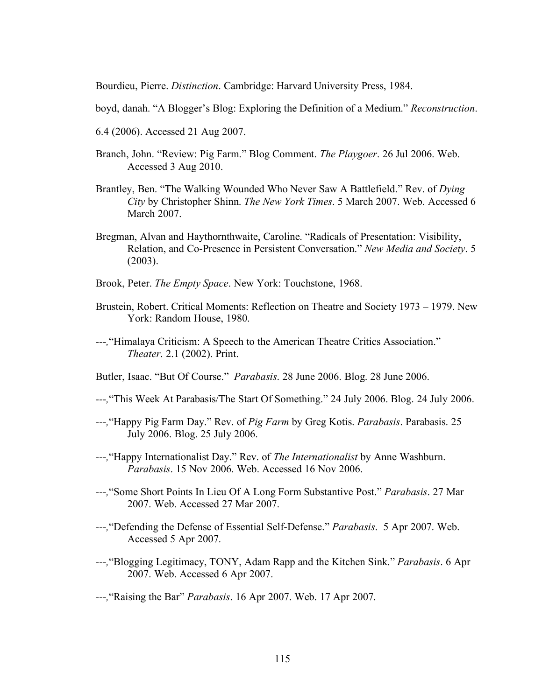Bourdieu, Pierre. *Distinction*. Cambridge: Harvard University Press, 1984.

boyd, danah. "A Blogger's Blog: Exploring the Definition of a Medium." *Reconstruction*.

- 6.4 (2006). Accessed 21 Aug 2007.
- Branch, John. "Review: Pig Farm." Blog Comment. *The Playgoer*. 26 Jul 2006. Web. Accessed 3 Aug 2010.
- Brantley, Ben. "The Walking Wounded Who Never Saw A Battlefield." Rev. of *Dying City* by Christopher Shinn. *The New York Times*. 5 March 2007. Web. Accessed 6 March 2007.
- Bregman, Alvan and Haythornthwaite, Caroline. "Radicals of Presentation: Visibility, Relation, and Co-Presence in Persistent Conversation." *New Media and Society*. 5 (2003).
- Brook, Peter. *The Empty Space*. New York: Touchstone, 1968.
- Brustein, Robert. Critical Moments: Reflection on Theatre and Society 1973 1979. New York: Random House, 1980.
- *---,*"Himalaya Criticism: A Speech to the American Theatre Critics Association." *Theater*. 2.1 (2002). Print.
- Butler, Isaac. "But Of Course." *Parabasis*. 28 June 2006. Blog. 28 June 2006.
- *---,*"This Week At Parabasis/The Start Of Something." 24 July 2006. Blog. 24 July 2006.
- *---,*"Happy Pig Farm Day." Rev. of *Pig Farm* by Greg Kotis. *Parabasis*. Parabasis. 25 July 2006. Blog. 25 July 2006.
- *---,*"Happy Internationalist Day." Rev. of *The Internationalist* by Anne Washburn. *Parabasis*. 15 Nov 2006. Web. Accessed 16 Nov 2006.
- *---,*"Some Short Points In Lieu Of A Long Form Substantive Post." *Parabasis*. 27 Mar 2007. Web. Accessed 27 Mar 2007.
- *---,*"Defending the Defense of Essential Self-Defense." *Parabasis*. 5 Apr 2007. Web. Accessed 5 Apr 2007.
- *---,*"Blogging Legitimacy, TONY, Adam Rapp and the Kitchen Sink." *Parabasis*. 6 Apr 2007. Web. Accessed 6 Apr 2007.
- *---,*"Raising the Bar" *Parabasis*. 16 Apr 2007. Web. 17 Apr 2007.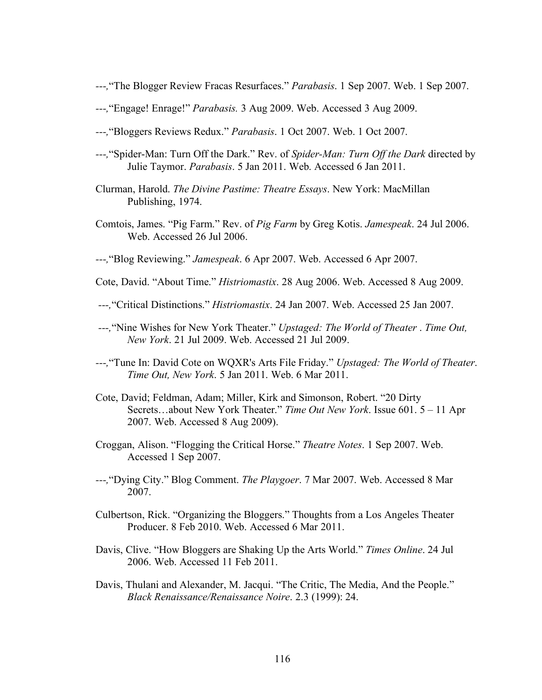- *---,*"The Blogger Review Fracas Resurfaces." *Parabasis*. 1 Sep 2007. Web. 1 Sep 2007.
- *---,*"Engage! Enrage!" *Parabasis.* 3 Aug 2009. Web. Accessed 3 Aug 2009.
- *---,*"Bloggers Reviews Redux." *Parabasis*. 1 Oct 2007. Web. 1 Oct 2007.
- *---,*"Spider-Man: Turn Off the Dark." Rev. of *Spider-Man: Turn Off the Dark* directed by Julie Taymor. *Parabasis*. 5 Jan 2011. Web. Accessed 6 Jan 2011.
- Clurman, Harold. *The Divine Pastime: Theatre Essays*. New York: MacMillan Publishing, 1974.
- Comtois, James. "Pig Farm." Rev. of *Pig Farm* by Greg Kotis. *Jamespeak*. 24 Jul 2006. Web. Accessed 26 Jul 2006.
- *---,*"Blog Reviewing." *Jamespeak*. 6 Apr 2007. Web. Accessed 6 Apr 2007.
- Cote, David. "About Time." *Histriomastix*. 28 Aug 2006. Web. Accessed 8 Aug 2009.
- *---,*"Critical Distinctions." *Histriomastix*. 24 Jan 2007. Web. Accessed 25 Jan 2007.
- *---,*"Nine Wishes for New York Theater." *Upstaged: The World of Theater* . *Time Out, New York*. 21 Jul 2009. Web. Accessed 21 Jul 2009.
- *---,*"Tune In: David Cote on WQXR's Arts File Friday." *Upstaged: The World of Theater*. *Time Out, New York*. 5 Jan 2011. Web. 6 Mar 2011.
- Cote, David; Feldman, Adam; Miller, Kirk and Simonson, Robert. "20 Dirty Secrets…about New York Theater." *Time Out New York*. Issue 601. 5 – 11 Apr 2007. Web. Accessed 8 Aug 2009).
- Croggan, Alison. "Flogging the Critical Horse." *Theatre Notes*. 1 Sep 2007. Web. Accessed 1 Sep 2007.
- *---,*"Dying City." Blog Comment. *The Playgoer*. 7 Mar 2007. Web. Accessed 8 Mar 2007.
- Culbertson, Rick. "Organizing the Bloggers." Thoughts from a Los Angeles Theater Producer. 8 Feb 2010. Web. Accessed 6 Mar 2011.
- Davis, Clive. "How Bloggers are Shaking Up the Arts World." *Times Online*. 24 Jul 2006. Web. Accessed 11 Feb 2011.
- Davis, Thulani and Alexander, M. Jacqui. "The Critic, The Media, And the People." *Black Renaissance/Renaissance Noire*. 2.3 (1999): 24.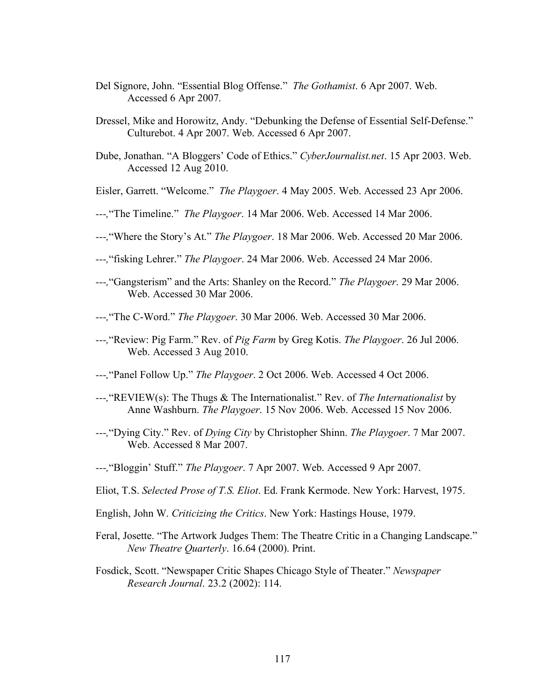- Del Signore, John. "Essential Blog Offense." *The Gothamist*. 6 Apr 2007. Web. Accessed 6 Apr 2007.
- Dressel, Mike and Horowitz, Andy. "Debunking the Defense of Essential Self-Defense." Culturebot. 4 Apr 2007. Web. Accessed 6 Apr 2007.
- Dube, Jonathan. "A Bloggers' Code of Ethics." *CyberJournalist.net*. 15 Apr 2003. Web. Accessed 12 Aug 2010.
- Eisler, Garrett. "Welcome." *The Playgoer*. 4 May 2005. Web. Accessed 23 Apr 2006.
- *---,*"The Timeline." *The Playgoer*. 14 Mar 2006. Web. Accessed 14 Mar 2006.
- *---,*"Where the Story's At." *The Playgoer*. 18 Mar 2006. Web. Accessed 20 Mar 2006.
- *---,*"fisking Lehrer." *The Playgoer*. 24 Mar 2006. Web. Accessed 24 Mar 2006.
- *---,*"Gangsterism" and the Arts: Shanley on the Record." *The Playgoer*. 29 Mar 2006. Web. Accessed 30 Mar 2006.
- *---,*"The C-Word." *The Playgoer*. 30 Mar 2006. Web. Accessed 30 Mar 2006.
- *---,*"Review: Pig Farm." Rev. of *Pig Farm* by Greg Kotis. *The Playgoer*. 26 Jul 2006. Web. Accessed 3 Aug 2010.
- *---,*"Panel Follow Up." *The Playgoer*. 2 Oct 2006. Web. Accessed 4 Oct 2006.
- *---,*"REVIEW(s): The Thugs & The Internationalist." Rev. of *The Internationalist* by Anne Washburn. *The Playgoer*. 15 Nov 2006. Web. Accessed 15 Nov 2006.
- *---,*"Dying City." Rev. of *Dying City* by Christopher Shinn. *The Playgoer*. 7 Mar 2007. Web. Accessed 8 Mar 2007.
- *---,*"Bloggin' Stuff." *The Playgoer*. 7 Apr 2007. Web. Accessed 9 Apr 2007.
- Eliot, T.S. *Selected Prose of T.S. Eliot*. Ed. Frank Kermode. New York: Harvest, 1975.
- English, John W. *Criticizing the Critics*. New York: Hastings House, 1979.
- Feral, Josette. "The Artwork Judges Them: The Theatre Critic in a Changing Landscape." *New Theatre Quarterly*. 16.64 (2000). Print.
- Fosdick, Scott. "Newspaper Critic Shapes Chicago Style of Theater." *Newspaper Research Journal*. 23.2 (2002): 114.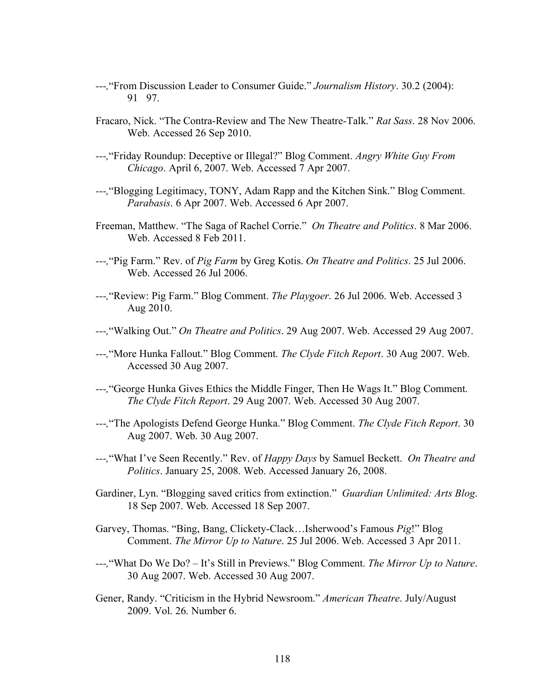- *---,*"From Discussion Leader to Consumer Guide." *Journalism History*. 30.2 (2004): 91 97.
- Fracaro, Nick. "The Contra-Review and The New Theatre-Talk." *Rat Sass*. 28 Nov 2006. Web. Accessed 26 Sep 2010.
- *---,*"Friday Roundup: Deceptive or Illegal?" Blog Comment. *Angry White Guy From Chicago*. April 6, 2007. Web. Accessed 7 Apr 2007.
- *---,*"Blogging Legitimacy, TONY, Adam Rapp and the Kitchen Sink." Blog Comment. *Parabasis*. 6 Apr 2007. Web. Accessed 6 Apr 2007.
- Freeman, Matthew. "The Saga of Rachel Corrie." *On Theatre and Politics*. 8 Mar 2006. Web. Accessed 8 Feb 2011.
- *---,*"Pig Farm." Rev. of *Pig Farm* by Greg Kotis. *On Theatre and Politics*. 25 Jul 2006. Web. Accessed 26 Jul 2006.
- *---,*"Review: Pig Farm." Blog Comment. *The Playgoer*. 26 Jul 2006. Web. Accessed 3 Aug 2010.
- *---,*"Walking Out." *On Theatre and Politics*. 29 Aug 2007. Web. Accessed 29 Aug 2007.
- *---,*"More Hunka Fallout." Blog Comment. *The Clyde Fitch Report*. 30 Aug 2007. Web. Accessed 30 Aug 2007.
- *---,*"George Hunka Gives Ethics the Middle Finger, Then He Wags It." Blog Comment. *The Clyde Fitch Report*. 29 Aug 2007. Web. Accessed 30 Aug 2007.
- *---,*"The Apologists Defend George Hunka." Blog Comment. *The Clyde Fitch Report*. 30 Aug 2007. Web. 30 Aug 2007.
- *---,*"What I've Seen Recently." Rev. of *Happy Days* by Samuel Beckett. *On Theatre and Politics*. January 25, 2008. Web. Accessed January 26, 2008.
- Gardiner, Lyn. "Blogging saved critics from extinction." *Guardian Unlimited: Arts Blog*. 18 Sep 2007. Web. Accessed 18 Sep 2007.
- Garvey, Thomas. "Bing, Bang, Clickety-Clack…Isherwood's Famous *Pig*!" Blog Comment. *The Mirror Up to Nature*. 25 Jul 2006. Web. Accessed 3 Apr 2011.
- *---,*"What Do We Do? It's Still in Previews." Blog Comment. *The Mirror Up to Nature*. 30 Aug 2007. Web. Accessed 30 Aug 2007.
- Gener, Randy. "Criticism in the Hybrid Newsroom." *American Theatre*. July/August 2009. Vol. 26. Number 6.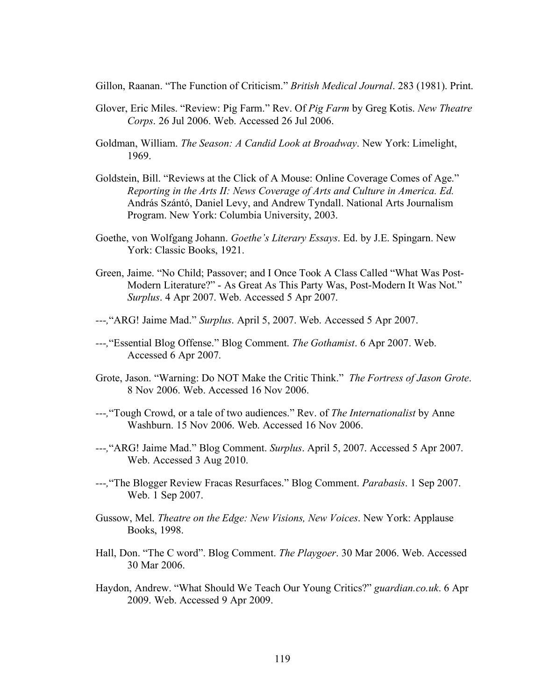Gillon, Raanan. "The Function of Criticism." *British Medical Journal*. 283 (1981). Print.

- Glover, Eric Miles. "Review: Pig Farm." Rev. Of *Pig Farm* by Greg Kotis. *New Theatre Corps*. 26 Jul 2006. Web. Accessed 26 Jul 2006.
- Goldman, William. *The Season: A Candid Look at Broadway*. New York: Limelight, 1969.
- Goldstein, Bill. "Reviews at the Click of A Mouse: Online Coverage Comes of Age." *Reporting in the Arts II: News Coverage of Arts and Culture in America. Ed.*  András Szántó, Daniel Levy, and Andrew Tyndall. National Arts Journalism Program. New York: Columbia University, 2003.
- Goethe, von Wolfgang Johann. *Goethe's Literary Essays*. Ed. by J.E. Spingarn. New York: Classic Books, 1921.
- Green, Jaime. "No Child; Passover; and I Once Took A Class Called "What Was Post-Modern Literature?" - As Great As This Party Was, Post-Modern It Was Not." *Surplus*. 4 Apr 2007. Web. Accessed 5 Apr 2007.
- *---,*"ARG! Jaime Mad." *Surplus*. April 5, 2007. Web. Accessed 5 Apr 2007.
- *---,*"Essential Blog Offense." Blog Comment. *The Gothamist*. 6 Apr 2007. Web. Accessed 6 Apr 2007.
- Grote, Jason. "Warning: Do NOT Make the Critic Think." *The Fortress of Jason Grote*. 8 Nov 2006. Web. Accessed 16 Nov 2006.
- *---,*"Tough Crowd, or a tale of two audiences." Rev. of *The Internationalist* by Anne Washburn. 15 Nov 2006. Web. Accessed 16 Nov 2006.
- *---,*"ARG! Jaime Mad." Blog Comment. *Surplus*. April 5, 2007. Accessed 5 Apr 2007. Web. Accessed 3 Aug 2010.
- *---,*"The Blogger Review Fracas Resurfaces." Blog Comment. *Parabasis*. 1 Sep 2007. Web. 1 Sep 2007.
- Gussow, Mel. *Theatre on the Edge: New Visions, New Voices*. New York: Applause Books, 1998.
- Hall, Don. "The C word". Blog Comment. *The Playgoer*. 30 Mar 2006. Web. Accessed 30 Mar 2006.
- Haydon, Andrew. "What Should We Teach Our Young Critics?" *guardian.co.uk*. 6 Apr 2009. Web. Accessed 9 Apr 2009.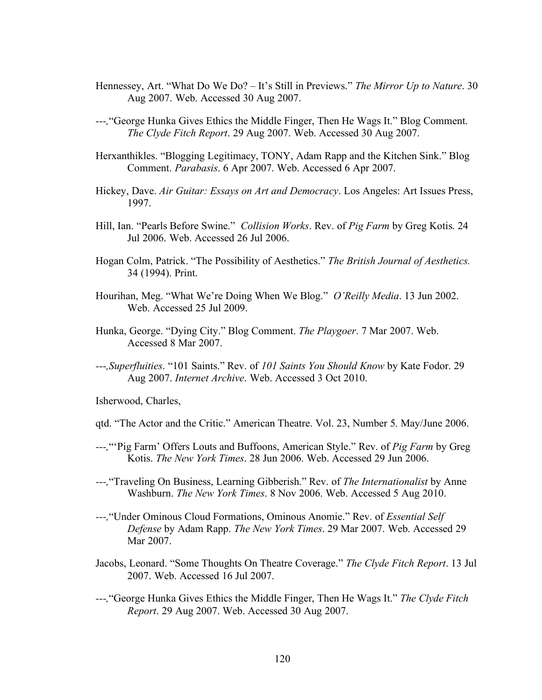- Hennessey, Art. "What Do We Do? It's Still in Previews." *The Mirror Up to Nature*. 30 Aug 2007. Web. Accessed 30 Aug 2007.
- *---,*"George Hunka Gives Ethics the Middle Finger, Then He Wags It." Blog Comment. *The Clyde Fitch Report*. 29 Aug 2007. Web. Accessed 30 Aug 2007.
- Herxanthikles. "Blogging Legitimacy, TONY, Adam Rapp and the Kitchen Sink." Blog Comment. *Parabasis*. 6 Apr 2007. Web. Accessed 6 Apr 2007.
- Hickey, Dave. *Air Guitar: Essays on Art and Democracy*. Los Angeles: Art Issues Press, 1997.
- Hill, Ian. "Pearls Before Swine." *Collision Works*. Rev. of *Pig Farm* by Greg Kotis. 24 Jul 2006. Web. Accessed 26 Jul 2006.
- Hogan Colm, Patrick. "The Possibility of Aesthetics." *The British Journal of Aesthetics.* 34 (1994). Print.
- Hourihan, Meg. "What We're Doing When We Blog." *O'Reilly Media*. 13 Jun 2002. Web. Accessed 25 Jul 2009.
- Hunka, George. "Dying City." Blog Comment. *The Playgoer*. 7 Mar 2007. Web. Accessed 8 Mar 2007.
- *---,Superfluities*. "101 Saints." Rev. of *101 Saints You Should Know* by Kate Fodor. 29 Aug 2007. *Internet Archive*. Web. Accessed 3 Oct 2010.

Isherwood, Charles,

- qtd. "The Actor and the Critic." American Theatre. Vol. 23, Number 5. May/June 2006.
- *---,*"'Pig Farm' Offers Louts and Buffoons, American Style." Rev. of *Pig Farm* by Greg Kotis. *The New York Times*. 28 Jun 2006. Web. Accessed 29 Jun 2006.
- *---,*"Traveling On Business, Learning Gibberish." Rev. of *The Internationalist* by Anne Washburn. *The New York Times*. 8 Nov 2006. Web. Accessed 5 Aug 2010.
- *---,*"Under Ominous Cloud Formations, Ominous Anomie." Rev. of *Essential Self Defense* by Adam Rapp. *The New York Times*. 29 Mar 2007. Web. Accessed 29 Mar 2007.
- Jacobs, Leonard. "Some Thoughts On Theatre Coverage." *The Clyde Fitch Report*. 13 Jul 2007. Web. Accessed 16 Jul 2007.
- *---,*"George Hunka Gives Ethics the Middle Finger, Then He Wags It." *The Clyde Fitch Report*. 29 Aug 2007. Web. Accessed 30 Aug 2007.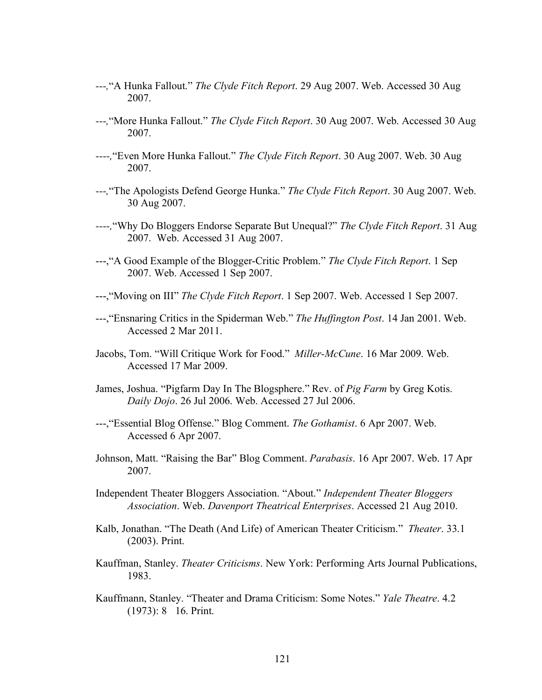- *---,*"A Hunka Fallout." *The Clyde Fitch Report*. 29 Aug 2007. Web. Accessed 30 Aug 2007.
- *---,*"More Hunka Fallout." *The Clyde Fitch Report*. 30 Aug 2007. Web. Accessed 30 Aug 2007.
- *----,*"Even More Hunka Fallout." *The Clyde Fitch Report*. 30 Aug 2007. Web. 30 Aug 2007.
- *---,*"The Apologists Defend George Hunka." *The Clyde Fitch Report*. 30 Aug 2007. Web. 30 Aug 2007.
- *----,*"Why Do Bloggers Endorse Separate But Unequal?" *The Clyde Fitch Report*. 31 Aug 2007. Web. Accessed 31 Aug 2007.
- ---,"A Good Example of the Blogger-Critic Problem." *The Clyde Fitch Report*. 1 Sep 2007. Web. Accessed 1 Sep 2007.
- ---,"Moving on III" *The Clyde Fitch Report*. 1 Sep 2007. Web. Accessed 1 Sep 2007.
- ---,"Ensnaring Critics in the Spiderman Web." *The Huffington Post*. 14 Jan 2001. Web. Accessed 2 Mar 2011.
- Jacobs, Tom. "Will Critique Work for Food." *Miller-McCune*. 16 Mar 2009. Web. Accessed 17 Mar 2009.
- James, Joshua. "Pigfarm Day In The Blogsphere." Rev. of *Pig Farm* by Greg Kotis. *Daily Dojo*. 26 Jul 2006. Web. Accessed 27 Jul 2006.
- ---,"Essential Blog Offense." Blog Comment. *The Gothamist*. 6 Apr 2007. Web. Accessed 6 Apr 2007.
- Johnson, Matt. "Raising the Bar" Blog Comment. *Parabasis*. 16 Apr 2007. Web. 17 Apr 2007.
- Independent Theater Bloggers Association. "About." *Independent Theater Bloggers Association*. Web. *Davenport Theatrical Enterprises*. Accessed 21 Aug 2010.
- Kalb, Jonathan. "The Death (And Life) of American Theater Criticism." *Theater*. 33.1 (2003). Print.
- Kauffman, Stanley. *Theater Criticisms*. New York: Performing Arts Journal Publications, 1983.
- Kauffmann, Stanley. "Theater and Drama Criticism: Some Notes." *Yale Theatre*. 4.2  $(1973): 8$  16. Print.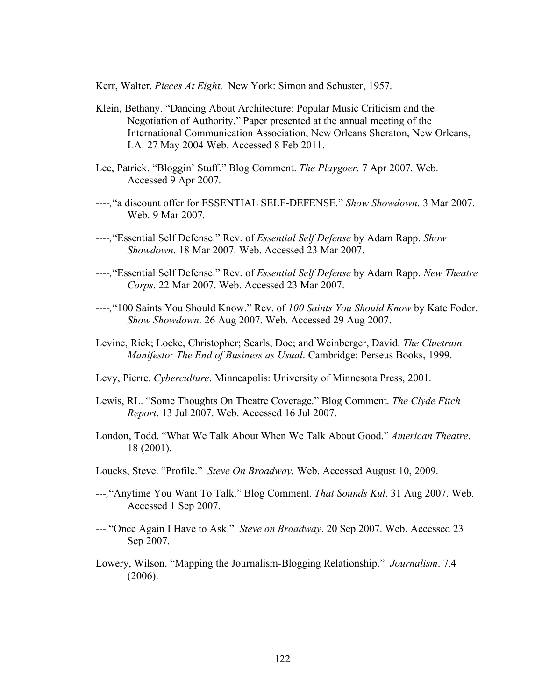Kerr, Walter. *Pieces At Eight*. New York: Simon and Schuster, 1957.

- Klein, Bethany. "Dancing About Architecture: Popular Music Criticism and the Negotiation of Authority." Paper presented at the annual meeting of the International Communication Association, New Orleans Sheraton, New Orleans, LA. 27 May 2004 Web. Accessed 8 Feb 2011.
- Lee, Patrick. "Bloggin' Stuff." Blog Comment. *The Playgoer*. 7 Apr 2007. Web. Accessed 9 Apr 2007.
- *----,*"a discount offer for ESSENTIAL SELF-DEFENSE." *Show Showdown*. 3 Mar 2007. Web. 9 Mar 2007.
- *----,*"Essential Self Defense." Rev. of *Essential Self Defense* by Adam Rapp. *Show Showdown*. 18 Mar 2007. Web. Accessed 23 Mar 2007.
- *----,*"Essential Self Defense." Rev. of *Essential Self Defense* by Adam Rapp. *New Theatre Corps*. 22 Mar 2007. Web. Accessed 23 Mar 2007.
- *----,*"100 Saints You Should Know." Rev. of *100 Saints You Should Know* by Kate Fodor. *Show Showdown*. 26 Aug 2007. Web. Accessed 29 Aug 2007.
- Levine, Rick; Locke, Christopher; Searls, Doc; and Weinberger, David. *The Cluetrain Manifesto: The End of Business as Usual*. Cambridge: Perseus Books, 1999.
- Levy, Pierre. *Cyberculture*. Minneapolis: University of Minnesota Press, 2001.
- Lewis, RL. "Some Thoughts On Theatre Coverage." Blog Comment. *The Clyde Fitch Report*. 13 Jul 2007. Web. Accessed 16 Jul 2007.
- London, Todd. "What We Talk About When We Talk About Good." *American Theatre*. 18 (2001).
- Loucks, Steve. "Profile." *Steve On Broadway*. Web. Accessed August 10, 2009.
- *---,*"Anytime You Want To Talk." Blog Comment. *That Sounds Kul*. 31 Aug 2007. Web. Accessed 1 Sep 2007.
- *---,*"Once Again I Have to Ask." *Steve on Broadway*. 20 Sep 2007. Web. Accessed 23 Sep 2007.
- Lowery, Wilson. "Mapping the Journalism-Blogging Relationship." *Journalism*. 7.4 (2006).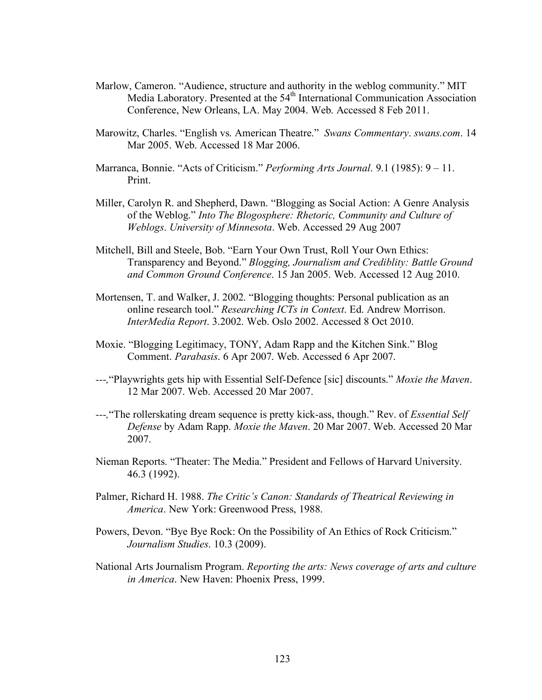- Marlow, Cameron. "Audience, structure and authority in the weblog community." MIT Media Laboratory. Presented at the  $54<sup>th</sup>$  International Communication Association Conference, New Orleans, LA. May 2004. Web. Accessed 8 Feb 2011.
- Marowitz, Charles. "English vs. American Theatre." *Swans Commentary*. *swans.com*. 14 Mar 2005. Web. Accessed 18 Mar 2006.
- Marranca, Bonnie. "Acts of Criticism." *Performing Arts Journal*. 9.1 (1985): 9 11. Print.
- Miller, Carolyn R. and Shepherd, Dawn. "Blogging as Social Action: A Genre Analysis of the Weblog." *Into The Blogosphere: Rhetoric, Community and Culture of Weblogs*. *University of Minnesota*. Web. Accessed 29 Aug 2007
- Mitchell, Bill and Steele, Bob. "Earn Your Own Trust, Roll Your Own Ethics: Transparency and Beyond." *Blogging, Journalism and Crediblity: Battle Ground and Common Ground Conference*. 15 Jan 2005. Web. Accessed 12 Aug 2010.
- Mortensen, T. and Walker, J. 2002. "Blogging thoughts: Personal publication as an online research tool." *Researching ICTs in Context*. Ed. Andrew Morrison. *InterMedia Report*. 3.2002. Web. Oslo 2002. Accessed 8 Oct 2010.
- Moxie. "Blogging Legitimacy, TONY, Adam Rapp and the Kitchen Sink." Blog Comment. *Parabasis*. 6 Apr 2007. Web. Accessed 6 Apr 2007.
- *---,*"Playwrights gets hip with Essential Self-Defence [sic] discounts." *Moxie the Maven*. 12 Mar 2007. Web. Accessed 20 Mar 2007.
- *---,*"The rollerskating dream sequence is pretty kick-ass, though." Rev. of *Essential Self Defense* by Adam Rapp. *Moxie the Maven*. 20 Mar 2007. Web. Accessed 20 Mar 2007.
- Nieman Reports. "Theater: The Media." President and Fellows of Harvard University. 46.3 (1992).
- Palmer, Richard H. 1988. *The Critic's Canon: Standards of Theatrical Reviewing in America*. New York: Greenwood Press, 1988.
- Powers, Devon. "Bye Bye Rock: On the Possibility of An Ethics of Rock Criticism." *Journalism Studies*. 10.3 (2009).
- National Arts Journalism Program. *Reporting the arts: News coverage of arts and culture in America*. New Haven: Phoenix Press, 1999.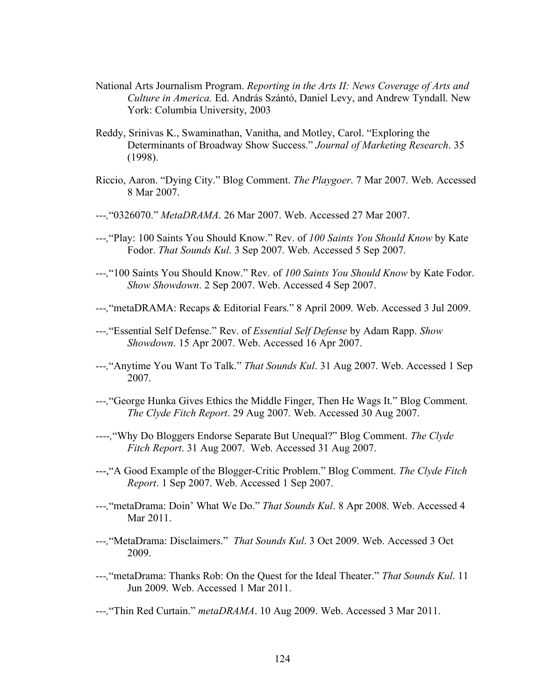- National Arts Journalism Program. *Reporting in the Arts II: News Coverage of Arts and Culture in America.* Ed. András Szántó, Daniel Levy, and Andrew Tyndall. New York: Columbia University, 2003
- Reddy, Srinivas K., Swaminathan, Vanitha, and Motley, Carol. "Exploring the Determinants of Broadway Show Success." *Journal of Marketing Research*. 35 (1998).
- Riccio, Aaron. "Dying City." Blog Comment. *The Playgoer*. 7 Mar 2007. Web. Accessed 8 Mar 2007.
- *---,*"0326070." *MetaDRAMA*. 26 Mar 2007. Web. Accessed 27 Mar 2007.
- *---,*"Play: 100 Saints You Should Know." Rev. of *100 Saints You Should Know* by Kate Fodor. *That Sounds Kul*. 3 Sep 2007. Web. Accessed 5 Sep 2007.
- *---,*"100 Saints You Should Know." Rev. of *100 Saints You Should Know* by Kate Fodor. *Show Showdown*. 2 Sep 2007. Web. Accessed 4 Sep 2007.
- *---,*"metaDRAMA: Recaps & Editorial Fears." 8 April 2009. Web. Accessed 3 Jul 2009.
- *---,*"Essential Self Defense." Rev. of *Essential Self Defense* by Adam Rapp. *Show Showdown*. 15 Apr 2007. Web. Accessed 16 Apr 2007.
- *---,*"Anytime You Want To Talk." *That Sounds Kul*. 31 Aug 2007. Web. Accessed 1 Sep 2007.
- *---,*"George Hunka Gives Ethics the Middle Finger, Then He Wags It." Blog Comment. *The Clyde Fitch Report*. 29 Aug 2007. Web. Accessed 30 Aug 2007.
- *----,*"Why Do Bloggers Endorse Separate But Unequal?" Blog Comment. *The Clyde Fitch Report*. 31 Aug 2007. Web. Accessed 31 Aug 2007.
- ---,"A Good Example of the Blogger-Critic Problem." Blog Comment. *The Clyde Fitch Report*. 1 Sep 2007. Web. Accessed 1 Sep 2007.
- *---,*"metaDrama: Doin' What We Do." *That Sounds Kul*. 8 Apr 2008. Web. Accessed 4 Mar 2011.
- *---,*"MetaDrama: Disclaimers." *That Sounds Kul*. 3 Oct 2009. Web. Accessed 3 Oct 2009.
- *---,*"metaDrama: Thanks Rob: On the Quest for the Ideal Theater." *That Sounds Kul*. 11 Jun 2009. Web. Accessed 1 Mar 2011.

*---,*"Thin Red Curtain." *metaDRAMA*. 10 Aug 2009. Web. Accessed 3 Mar 2011.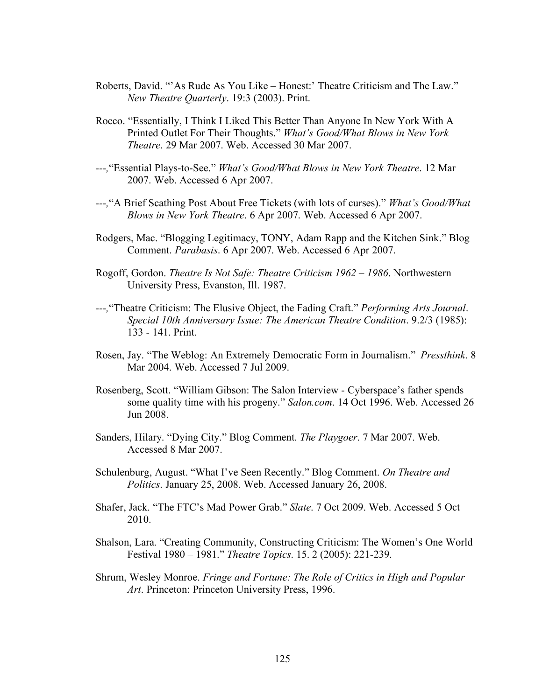- Roberts, David. "'As Rude As You Like Honest:' Theatre Criticism and The Law." *New Theatre Quarterly*. 19:3 (2003). Print.
- Rocco. "Essentially, I Think I Liked This Better Than Anyone In New York With A Printed Outlet For Their Thoughts." *What's Good/What Blows in New York Theatre*. 29 Mar 2007. Web. Accessed 30 Mar 2007.
- *---,*"Essential Plays-to-See." *What's Good/What Blows in New York Theatre*. 12 Mar 2007. Web. Accessed 6 Apr 2007.
- *---,*"A Brief Scathing Post About Free Tickets (with lots of curses)." *What's Good/What Blows in New York Theatre*. 6 Apr 2007. Web. Accessed 6 Apr 2007.
- Rodgers, Mac. "Blogging Legitimacy, TONY, Adam Rapp and the Kitchen Sink." Blog Comment. *Parabasis*. 6 Apr 2007. Web. Accessed 6 Apr 2007.
- Rogoff, Gordon. *Theatre Is Not Safe: Theatre Criticism 1962 1986*. Northwestern University Press, Evanston, Ill. 1987.
- *---,*"Theatre Criticism: The Elusive Object, the Fading Craft." *Performing Arts Journal*. *Special 10th Anniversary Issue: The American Theatre Condition*. 9.2/3 (1985): 133 - 141. Print.
- Rosen, Jay. "The Weblog: An Extremely Democratic Form in Journalism." *Pressthink*. 8 Mar 2004. Web. Accessed 7 Jul 2009.
- Rosenberg, Scott. "William Gibson: The Salon Interview Cyberspace's father spends some quality time with his progeny." *Salon.com*. 14 Oct 1996. Web. Accessed 26 Jun 2008.
- Sanders, Hilary. "Dying City." Blog Comment. *The Playgoer*. 7 Mar 2007. Web. Accessed 8 Mar 2007.
- Schulenburg, August. "What I've Seen Recently." Blog Comment. *On Theatre and Politics*. January 25, 2008. Web. Accessed January 26, 2008.
- Shafer, Jack. "The FTC's Mad Power Grab." *Slate*. 7 Oct 2009. Web. Accessed 5 Oct 2010.
- Shalson, Lara. "Creating Community, Constructing Criticism: The Women's One World Festival 1980 – 1981." *Theatre Topics*. 15. 2 (2005): 221-239.
- Shrum, Wesley Monroe. *Fringe and Fortune: The Role of Critics in High and Popular Art*. Princeton: Princeton University Press, 1996.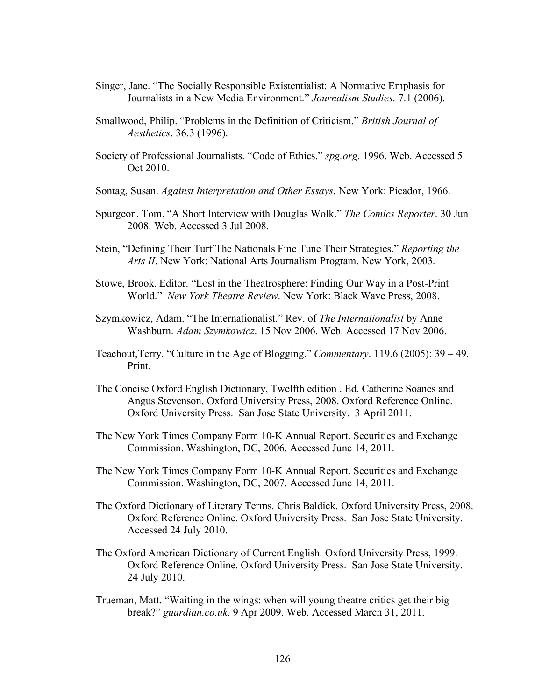- Singer, Jane. "The Socially Responsible Existentialist: A Normative Emphasis for Journalists in a New Media Environment." *Journalism Studies*. 7.1 (2006).
- Smallwood, Philip. "Problems in the Definition of Criticism." *British Journal of Aesthetics*. 36.3 (1996).
- Society of Professional Journalists. "Code of Ethics." *spg.org*. 1996. Web. Accessed 5 Oct 2010.
- Sontag, Susan. *Against Interpretation and Other Essays*. New York: Picador, 1966.
- Spurgeon, Tom. "A Short Interview with Douglas Wolk." *The Comics Reporter*. 30 Jun 2008. Web. Accessed 3 Jul 2008.
- Stein, "Defining Their Turf The Nationals Fine Tune Their Strategies." *Reporting the Arts II*. New York: National Arts Journalism Program. New York, 2003.
- Stowe, Brook. Editor. "Lost in the Theatrosphere: Finding Our Way in a Post-Print World." *New York Theatre Review*. New York: Black Wave Press, 2008.
- Szymkowicz, Adam. "The Internationalist." Rev. of *The Internationalist* by Anne Washburn. *Adam Szymkowicz*. 15 Nov 2006. Web. Accessed 17 Nov 2006.
- Teachout,Terry. "Culture in the Age of Blogging." *Commentary*. 119.6 (2005): 39 49. Print.
- The Concise Oxford English Dictionary, Twelfth edition . Ed. Catherine Soanes and Angus Stevenson. Oxford University Press, 2008. Oxford Reference Online. Oxford University Press. San Jose State University. 3 April 2011.
- The New York Times Company Form 10-K Annual Report. Securities and Exchange Commission. Washington, DC, 2006. Accessed June 14, 2011.
- The New York Times Company Form 10-K Annual Report. Securities and Exchange Commission. Washington, DC, 2007. Accessed June 14, 2011.
- The Oxford Dictionary of Literary Terms. Chris Baldick. Oxford University Press, 2008. Oxford Reference Online. Oxford University Press. San Jose State University. Accessed 24 July 2010.
- The Oxford American Dictionary of Current English. Oxford University Press, 1999. Oxford Reference Online. Oxford University Press. San Jose State University. 24 July 2010.
- Trueman, Matt. "Waiting in the wings: when will young theatre critics get their big break?" *guardian.co.uk*. 9 Apr 2009. Web. Accessed March 31, 2011.